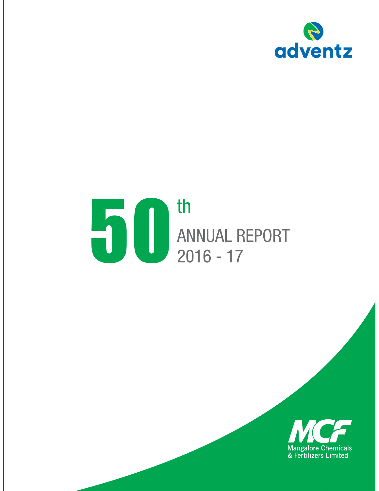

# THE REPORT OF SAMMUAL REPORT

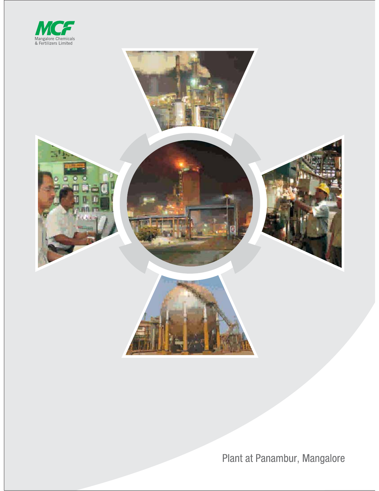



Plant at Panambur, Mangalore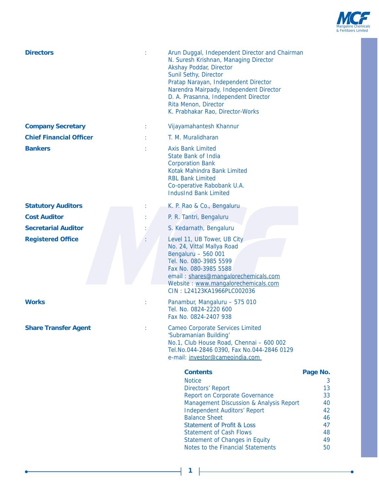

| <b>Directors</b>               | Arun Duggal, Independent Director and Chairman<br>N. Suresh Krishnan, Managing Director<br>Akshay Poddar, Director<br>Sunil Sethy, Director<br>Pratap Narayan, Independent Director<br>Narendra Mairpady, Independent Director<br>D. A. Prasanna, Independent Director<br>Rita Menon, Director<br>K. Prabhakar Rao, Director-Works                                                  |                                                                     |
|--------------------------------|-------------------------------------------------------------------------------------------------------------------------------------------------------------------------------------------------------------------------------------------------------------------------------------------------------------------------------------------------------------------------------------|---------------------------------------------------------------------|
| <b>Company Secretary</b>       | Vijayamahantesh Khannur                                                                                                                                                                                                                                                                                                                                                             |                                                                     |
| <b>Chief Financial Officer</b> | T. M. Muralidharan                                                                                                                                                                                                                                                                                                                                                                  |                                                                     |
| <b>Bankers</b>                 | <b>Axis Bank Limited</b><br>State Bank of India<br><b>Corporation Bank</b><br>Kotak Mahindra Bank Limited<br><b>RBL Bank Limited</b><br>Co-operative Rabobank U.A.<br><b>IndusInd Bank Limited</b>                                                                                                                                                                                  |                                                                     |
| <b>Statutory Auditors</b>      | K. P. Rao & Co., Bengaluru                                                                                                                                                                                                                                                                                                                                                          |                                                                     |
| <b>Cost Auditor</b>            | P. R. Tantri, Bengaluru                                                                                                                                                                                                                                                                                                                                                             |                                                                     |
| <b>Secretarial Auditor</b>     | S. Kedarnath, Bengaluru                                                                                                                                                                                                                                                                                                                                                             |                                                                     |
| <b>Registered Office</b>       | Level 11, UB Tower, UB City<br>No. 24, Vittal Mallya Road<br>Bengaluru - 560 001<br>Tel. No. 080-3985 5599<br>Fax No. 080-3985 5588<br>email: shares@mangalorechemicals.com<br>Website: www.mangalorechemicals.com<br>CIN: L24123KA1966PLC002036                                                                                                                                    |                                                                     |
| <b>Works</b>                   | Panambur, Mangaluru - 575 010<br>Tel. No. 0824-2220 600<br>Fax No. 0824-2407 938                                                                                                                                                                                                                                                                                                    |                                                                     |
| <b>Share Transfer Agent</b>    | <b>Cameo Corporate Services Limited</b><br>'Subramanian Building'<br>No.1, Club House Road, Chennai - 600 002<br>Tel.No.044-2846 0390, Fax No.044-2846 0129<br>e-mail: investor@cameoindia.com                                                                                                                                                                                      |                                                                     |
|                                | <b>Contents</b><br><b>Notice</b><br><b>Directors' Report</b><br><b>Report on Corporate Governance</b><br><b>Management Discussion &amp; Analysis Report</b><br><b>Independent Auditors' Report</b><br><b>Balance Sheet</b><br><b>Statement of Profit &amp; Loss</b><br><b>Statement of Cash Flows</b><br><b>Statement of Changes in Equity</b><br>Notes to the Financial Statements | Page No.<br>3<br>13<br>33<br>40<br>42<br>46<br>47<br>48<br>49<br>50 |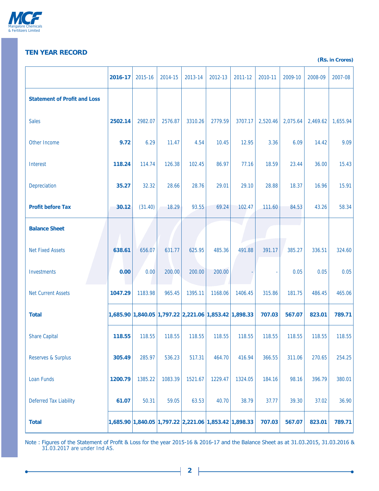

# **TEN YEAR RECORD (Rs.** in Crores)

÷

|                                     | 2016-17 | 2015-16 | 2014-15 | 2013-14                                               | 2012-13 | 2011-12 | 2010-11  | 2009-10  | 2008-09  | 2007-08  |
|-------------------------------------|---------|---------|---------|-------------------------------------------------------|---------|---------|----------|----------|----------|----------|
| <b>Statement of Profit and Loss</b> |         |         |         |                                                       |         |         |          |          |          |          |
| <b>Sales</b>                        | 2502.14 | 2982.07 | 2576.87 | 3310.26                                               | 2779.59 | 3707.17 | 2,520.46 | 2,075.64 | 2,469.62 | 1,655.94 |
| Other Income                        | 9.72    | 6.29    | 11.47   | 4.54                                                  | 10.45   | 12.95   | 3.36     | 6.09     | 14.42    | 9.09     |
| Interest                            | 118.24  | 114.74  | 126.38  | 102.45                                                | 86.97   | 77.16   | 18.59    | 23.44    | 36.00    | 15.43    |
| Depreciation                        | 35.27   | 32.32   | 28.66   | 28.76                                                 | 29.01   | 29.10   | 28.88    | 18.37    | 16.96    | 15.91    |
| <b>Profit before Tax</b>            | 30.12   | (31.40) | 18.29   | 93.55                                                 | 69.24   | 102.47  | 111.60   | 84.53    | 43.26    | 58.34    |
| <b>Balance Sheet</b>                |         |         |         |                                                       |         |         |          |          |          |          |
| <b>Net Fixed Assets</b>             | 638.61  | 656.07  | 631.77  | 625.95                                                | 485.36  | 491.88  | 391.17   | 385.27   | 336.51   | 324.60   |
| Investments                         | 0.00    | 0.00    | 200.00  | 200.00                                                | 200.00  |         |          | 0.05     | 0.05     | 0.05     |
| <b>Net Current Assets</b>           | 1047.29 | 1183.98 | 965.45  | 1395.11                                               | 1168.06 | 1406.45 | 315.86   | 181.75   | 486.45   | 465.06   |
| <b>Total</b>                        |         |         |         | 1,685.90 1,840.05 1,797.22 2,221.06 1,853.42 1,898.33 |         |         | 707.03   | 567.07   | 823.01   | 789.71   |
| <b>Share Capital</b>                | 118.55  | 118.55  | 118.55  | 118.55                                                | 118.55  | 118.55  | 118.55   | 118.55   | 118.55   | 118.55   |
| <b>Reserves &amp; Surplus</b>       | 305.49  | 285.97  | 536.23  | 517.31                                                | 464.70  | 416.94  | 366.55   | 311.06   | 270.65   | 254.25   |
| <b>Loan Funds</b>                   | 1200.79 | 1385.22 | 1083.39 | 1521.67                                               | 1229.47 | 1324.05 | 184.16   | 98.16    | 396.79   | 380.01   |
| <b>Deferred Tax Liability</b>       | 61.07   | 50.31   | 59.05   | 63.53                                                 | 40.70   | 38.79   | 37.77    | 39.30    | 37.02    | 36.90    |
| <b>Total</b>                        |         |         |         | 1,685.90 1,840.05 1,797.22 2,221.06 1,853.42 1,898.33 |         |         | 707.03   | 567.07   | 823.01   | 789.71   |

Note : Figures of the Statement of Profit & Loss for the year 2015-16 & 2016-17 and the Balance Sheet as at 31.03.2015, 31.03.2016 & 31.03.2017 are under Ind AS.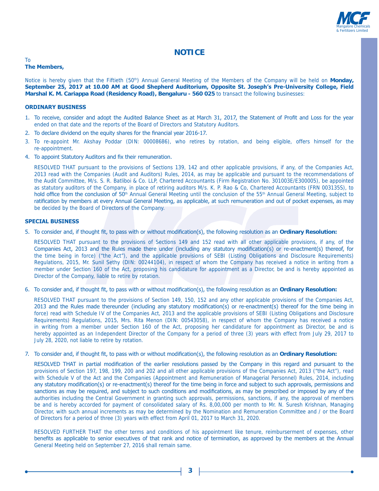

# **NOTICE**

#### To **The Members,**

Notice is hereby given that the Fiftieth (50<sup>th</sup>) Annual General Meeting of the Members of the Company will be held on **Monday**, September 25, 2017 at 10.00 AM at Good Shepherd Auditorium, Opposite St. Joseph's Pre-University College, Field **Marshal K. M. Cariappa Road (Residency Road), Bengaluru - 560 025** to transact the following businesses:

#### *<u>ORDINARY BUSINESS</u>*

- 1. To receive, consider and adopt the Audited Balance Sheet as at March 31, 2017, the Statement of Profit and Loss for the year ended on that date and the reports of the Board of Directors and Statutory Auditors.
- 2. To declare dividend on the equity shares for the financial year 2016-17.
- 3. To re-appoint Mr. Akshay Poddar (DIN: 00008686), who retires by rotation, and being eligible, offers himself for the re-appointment.
- 4. To appoint Statutory Auditors and fix their remuneration.

 RESOLVED THAT pursuant to the provisions of Sections 139, 142 and other applicable provisions, if any, of the Companies Act, 2013 read with the Companies (Audit and Auditors) Rules, 2014, as may be applicable and pursuant to the recommendations of the Audit Committee, M/s. S. R. Batliboi & Co. LLP, Chartered Accountants (Firm Registration No. 301003E/E300005), be appointed as statutory auditors of the Company, in place of retiring auditors M/s. K. P. Rao & Co, Chartered Accountants (FRN 003135S), to hold office from the conclusion of 50<sup>th</sup> Annual General Meeting until the conclusion of the 55<sup>th</sup> Annual General Meeting, subject to ratification by members at every Annual General Meeting, as applicable, at such remuneration and out of pocket expenses, as may be decided by the Board of Directors of the Company.

#### **SPECIAL BUSINESS**

5. To consider and, if thought fit, to pass with or without modification(s), the following resolution as an Ordinary Resolution:

 RESOLVED THAT pursuant to the provisions of Sections 149 and 152 read with all other applicable provisions, if any, of the Companies Act, 2013 and the Rules made there under (including any statutory modification(s) or re-enactment(s) thereof, for the time being in force) ("the Act"), and the applicable provisions of SEBI (Listing Obligations and Disclosure Requirements) Regulations, 2015, Mr. Sunil Sethy (DIN: 00244104), in respect of whom the Company has received a notice in writing from a member under Section 160 of the Act, proposing his candidature for appointment as a Director, be and is hereby appointed as Director of the Company, liable to retire by rotation.

6. To consider and, if thought fit, to pass with or without modification(s), the following resolution as an Ordinary Resolution:

 RESOLVED THAT pursuant to the provisions of Section 149, 150, 152 and any other applicable provisions of the Companies Act, 2013 and the Rules made thereunder (including any statutory modification(s) or re-enactment(s) thereof for the time being in force) read with Schedule IV of the Companies Act, 2013 and the applicable provisions of SEBI (Listing Obligations and Disclosure Requirements) Regulations, 2015, Mrs. Rita Menon (DIN: 00543058), in respect of whom the Company has received a notice in writing from a member under Section 160 of the Act, proposing her candidature for appointment as Director, be and is hereby appointed as an Independent Director of the Company for a period of three (3) years with effect from July 29, 2017 to July 28, 2020, not liable to retire by rotation.

7. To consider and, if thought fit, to pass with or without modification(s), the following resolution as an Ordinary Resolution:

RESOLVED THAT in partial modification of the earlier resolutions passed by the Company in this regard and pursuant to the provisions of Section 197, 198, 199, 200 and 202 and all other applicable provisions of the Companies Act, 2013 ("the Act"), read with Schedule V of the Act and the Companies (Appointment and Remuneration of Managerial Personnel) Rules, 2014, including any statutory modification(s) or re-enactment(s) thereof for the time being in force and subject to such approvals, permissions and sanctions as may be required, and subject to such conditions and modifications, as may be prescribed or imposed by any of the authorities including the Central Government in granting such approvals, permissions, sanctions, if any, the approval of members be and is hereby accorded for payment of consolidated salary of Rs. 8,00,000 per month to Mr. N. Suresh Krishnan, Managing Director, with such annual increments as may be determined by the Nomination and Remuneration Committee and / or the Board of Directors for a period of three (3) years with effect from April 01, 2017 to March 31, 2020.

 RESOLVED FURTHER THAT the other terms and conditions of his appointment like tenure, reimburserment of expenses, other benefits as applicable to senior executives of that rank and notice of termination, as approved by the members at the Annual General Meeting held on September 27, 2016 shall remain same.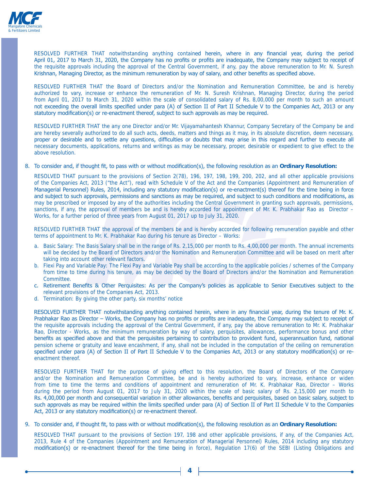

RESOLVED FURTHER THAT notwithstanding anything contained herein, where in any financial year, during the period April 01, 2017 to March 31, 2020, the Company has no profits or profits are inadequate, the Company may subject to receipt of the requisite approvals including the approval of the Central Government, if any, pay the above remuneration to Mr. N. Suresh Krishnan, Managing Director, as the minimum remuneration by way of salary, and other benefits as specified above.

 RESOLVED FURTHER THAT the Board of Directors and/or the Nomination and Remuneration Committee, be and is hereby authorized to vary, increase or enhance the remuneration of Mr. N. Suresh Krishnan, Managing Director, during the period from April 01, 2017 to March 31, 2020 within the scale of consolidated salary of Rs. 8,00,000 per month to such an amount not exceeding the overall limits specified under para (A) of Section II of Part II Schedule V to the Companies Act, 2013 or any statutory modification(s) or re-enactment thereof, subject to such approvals as may be required.

 RESOLVED FURTHER THAT the any one Director and/or Mr. Vijayamahantesh Khannur, Company Secretary of the Company be and are hereby severally authorized to do all such acts, deeds, matters and things as it may, in its absolute discretion, deem necessary, proper or desirable and to settle any questions, difficulties or doubts that may arise in this regard and further to execute all necessary documents, applications, returns and writings as may be necessary, proper, desirable or expedient to give effect to the above resolution.

8. To consider and, if thought fit, to pass with or without modification(s), the following resolution as an Ordinary Resolution:

 RESOLVED THAT pursuant to the provisions of Section 2(78), 196, 197, 198, 199, 200, 202, and all other applicable provisions of the Companies Act, 2013 ("the Act"), read with Schedule V of the Act and the Companies (Appointment and Remuneration of Managerial Personnel) Rules, 2014, including any statutory modification(s) or re-enactment(s) thereof for the time being in force and subject to such approvals, permissions and sanctions as may be required, and subject to such conditions and modifications, as may be prescribed or imposed by any of the authorities including the Central Government in granting such approvals, permissions, sanctions, if any, the approval of members be and is hereby accorded for appointment of Mr. K. Prabhakar Rao as Director – Works, for a further period of three years from August 01, 2017 up to July 31, 2020.

 RESOLVED FURTHER THAT the approval of the members be and is hereby accorded for following remuneration payable and other terms of appointment to Mr. K. Prabhakar Rao during his tenure as Director – Works:

- a. Basic Salary: The Basis Salary shall be in the range of Rs. 2,15,000 per month to Rs. 4,00,000 per month. The annual increments will be decided by the Board of Directors and/or the Nomination and Remuneration Committee and will be based on merit after taking into account other relevant factors.
- b. Flexi Pay and Variable Pay: The Flexi Pay and Variable Pay shall be according to the applicable policies / schemes of the Company from time to time during his tenure, as may be decided by the Board of Directors and/or the Nomination and Remuneration Committee.
- c. Retirement Benefits & Other Perquisites: As per the Company's policies as applicable to Senior Executives subject to the relevant provisions of the Companies Act, 2013.
- d. Termination: By giving the other party, six months' notice

RESOLVED FURTHER THAT notwithstanding anything contained herein, where in any financial year, during the tenure of Mr. K. Prabhakar Rao as Director - Works, the Company has no profits or profits are inadequate, the Company may subject to receipt of the requisite approvals including the approval of the Central Government, if any, pay the above remuneration to Mr. K. Prabhakar Rao, Director - Works, as the minimum remuneration by way of salary, perquisites, allowances, performance bonus and other benefits as specified above and that the perquisites pertaining to contribution to provident fund, superannuation fund, national pension scheme or gratuity and leave encashment, if any, shall not be included in the computation of the ceiling on remuneration specified under para (A) of Section II of Part II Schedule V to the Companies Act, 2013 or any statutory modification(s) or reenactment thereof.

 RESOLVED FURTHER THAT for the purpose of giving effect to this resolution, the Board of Directors of the Company and/or the Nomination and Remuneration Committee, be and is hereby authorized to vary, increase, enhance or widen from time to time the terms and conditions of appointment and remuneration of Mr. K. Prabhakar Rao, Director – Works during the period from August 01, 2017 to July 31, 2020 within the scale of basic salary of Rs. 2,15,000 per month to Rs. 4,00,000 per month and consequential variation in other allowances, benefits and perquisites, based on basic salary, subject to such approvals as may be required within the limits specified under para (A) of Section II of Part II Schedule V to the Companies Act, 2013 or any statutory modification(s) or re-enactment thereof.

9. To consider and, if thought fit, to pass with or without modification(s), the following resolution as an **Ordinary Resolution**:

 RESOLVED THAT pursuant to the provisions of Section 197, 198 and other applicable provisions, if any, of the Companies Act, 2013, Rule 4 of the Companies (Appointment and Remuneration of Managerial Personnel) Rules, 2014 including any statutory modification(s) or re-enactment thereof for the time being in force), Regulation 17(6) of the SEBI (Listing Obligations and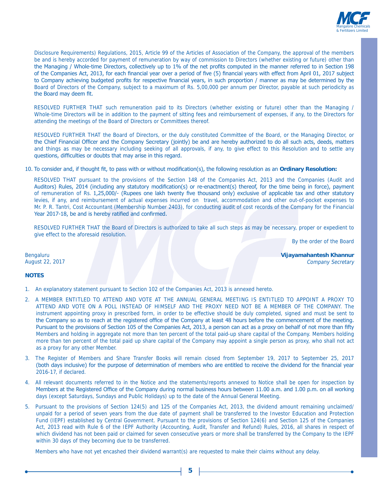

Disclosure Requirements) Regulations, 2015, Article 99 of the Articles of Association of the Company, the approval of the members be and is hereby accorded for payment of remuneration by way of commission to Directors (whether existing or future) other than the Managing / Whole-time Directors, collectively up to 1% of the net profits computed in the manner referred to in Section 198 of the Companies Act, 2013, for each financial year over a period of five (5) financial years with effect from April 01, 2017 subject to Company achieving budgeted profits for respective financial years, in such proportion / manner as may be determined by the Board of Directors of the Company, subject to a maximum of Rs. 5,00,000 per annum per Director, payable at such periodicity as the Board may deem fit.

 RESOLVED FURTHER THAT such remuneration paid to its Directors (whether existing or future) other than the Managing / Whole-time Directors will be in addition to the payment of sitting fees and reimbursement of expenses, if any, to the Directors for attending the meetings of the Board of Directors or Committees thereof.

 RESOLVED FURTHER THAT the Board of Directors, or the duly constituted Committee of the Board, or the Managing Director, or the Chief Financial Officer and the Company Secretary (jointly) be and are hereby authorized to do all such acts, deeds, matters and things as may be necessary including seeking of all approvals, if any, to give effect to this Resolution and to settle any questions, difficulties or doubts that may arise in this regard.

10. To consider and, if thought fit, to pass with or without modification(s), the following resolution as an **Ordinary Resolution**:

 RESOLVED THAT pursuant to the provisions of the Section 148 of the Companies Act, 2013 and the Companies (Audit and Auditors) Rules, 2014 (including any statutory modification(s) or re-enactment(s) thereof, for the time being in force), payment of remuneration of Rs. 1,25,000/- (Rupees one lakh twenty five thousand only) exclusive of applicable tax and other statutory levies, if any, and reimbursement of actual expenses incurred on travel, accommodation and other out-of-pocket expenses to Mr. P. R. Tantri, Cost Accountant (Membership Number 2403), for conducting audit of cost records of the Company for the Financial Year 2017-18, be and is hereby ratified and confirmed.

 RESOLVED FURTHER THAT the Board of Directors is authorized to take all such steps as may be necessary, proper or expedient to give effect to the aforesaid resolution.

By the order of the Board

Bengaluru **Vijayamahantesh Khannur**  August 22, 2017 Company Secretary

#### **NOTES**

- 1. An explanatory statement pursuant to Section 102 of the Companies Act, 2013 is annexed hereto.
- 2. A MEMBER ENTITLED TO ATTEND AND VOTE AT THE ANNUAL GENERAL MEETING IS ENTITLED TO APPOINT A PROXY TO ATTEND AND VOTE ON A POLL INSTEAD OF HIMSELF AND THE PROXY NEED NOT BE A MEMBER OF THE COMPANY. The instrument appointing proxy in prescribed form, in order to be effective should be duly completed, signed and must be sent to the Company so as to reach at the registered office of the Company at least 48 hours before the commencement of the meeting. Pursuant to the provisions of Section 105 of the Companies Act, 2013, a person can act as a proxy on behalf of not more than fifty Members and holding in aggregate not more than ten percent of the total paid-up share capital of the Company. Members holding more than ten percent of the total paid up share capital of the Company may appoint a single person as proxy, who shall not act as a proxy for any other Member.
- 3. The Register of Members and Share Transfer Books will remain closed from September 19, 2017 to September 25, 2017 (both days inclusive) for the purpose of determination of members who are entitled to receive the dividend for the financial year 2016-17, if declared.
- 4. All relevant documents referred to in the Notice and the statements/reports annexed to Notice shall be open for inspection by Members at the Registered Office of the Company during normal business hours between 11.00 a.m. and 1.00 p.m. on all working days (except Saturdays, Sundays and Public Holidays) up to the date of the Annual General Meeting.
- 5. Pursuant to the provisions of Section 124(5) and 125 of the Companies Act, 2013, the dividend amount remaining unclaimed/ unpaid for a period of seven years from the due date of payment shall be transferred to the Investor Education and Protection Fund (IEPF) established by Central Government. Pursuant to the provisions of Section 124(6) and Section 125 of the Companies Act, 2013 read with Rule 6 of the IEPF Authority (Accounting, Audit, Transfer and Refund) Rules, 2016, all shares in respect of which dividend has not been paid or claimed for seven consecutive years or more shall be transferred by the Company to the IEPF within 30 days of they becoming due to be transferred.

Members who have not yet encashed their dividend warrant(s) are requested to make their claims without any delay.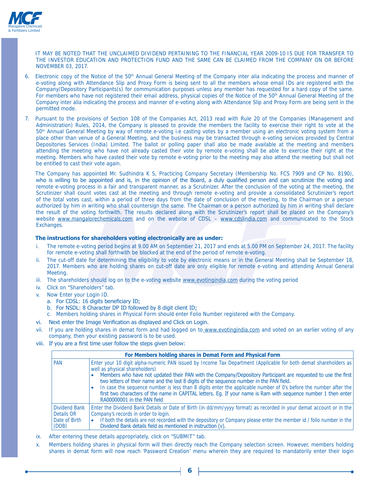

 IT MAY BE NOTED THAT THE UNCLAIMED DIVIDEND PERTAINING TO THE FINANCIAL YEAR 2009-10 IS DUE FOR TRANSFER TO THE INVESTOR EDUCATION AND PROTECTION FUND AND THE SAME CAN BE CLAIMED FROM THE COMPANY ON OR BEFORE NOVEMBER 03, 2017.

- Electronic copy of the Notice of the 50<sup>th</sup> Annual General Meeting of the Company inter alia indicating the process and manner of e-voting along with Attendance Slip and Proxy Form is being sent to all the members whose email IDs are registered with the Company/Depository Participants(s) for communication purposes unless any member has requested for a hard copy of the same. For members who have not registered their email address, physical copies of the Notice of the 50<sup>th</sup> Annual General Meeting of the Company inter alia indicating the process and manner of e-voting along with Attendance Slip and Proxy Form are being sent in the permitted mode.
- 7. Pursuant to the provisions of Section 108 of the Companies Act, 2013 read with Rule 20 of the Companies (Management and Administration) Rules, 2014, the Company is pleased to provide the members the facility to exercise their right to vote at the 50<sup>th</sup> Annual General Meeting by way of remote e-voting i.e casting votes by a member using an electronic voting system from a place other than venue of a General Meeting, and the business may be transacted through e-voting services provided by Central Depositories Services (India) Limited. The ballot or polling paper shall also be made available at the meeting and members attending the meeting who have not already casted their vote by remote e-voting shall be able to exercise their right at the meeting. Members who have casted their vote by remote e-voting prior to the meeting may also attend the meeting but shall not be entitled to cast their vote again.

 The Company has appointed Mr. Sudhindra K S, Practicing Company Secretary (Membership No. FCS 7909 and CP No. 8190), who is willing to be appointed and is, in the opinion of the Board, a duly qualified person and can scrutinize the voting and remote e-voting process in a fair and transparent manner, as a Scrutinizer. After the conclusion of the voting at the meeting, the Scrutinizer shall count votes cast at the meeting and through remote e-voting and provide a consolidated Scrutinizer's report of the total votes cast, within a period of three days from the date of conclusion of the meeting, to the Chairman or a person authorized by him in writing who shall countersign the same. The Chairman or a person authorized by him in writing shall declare the result of the voting forthwith. The results declared along with the Scrutinizer's report shall be placed on the Company's website www.mangalorechemicals.com and on the website of CDSL – www.cdslindia.com and communicated to the Stock Exchanges.

#### The instructions for shareholders voting electronically are as under:

- i. The remote e-voting period begins at 9.00 AM on September 21, 2017 and ends at 5.00 PM on September 24, 2017. The facility for remote e-voting shall forthwith be blocked at the end of the period of remote e-voting.
- ii. The cut-off date for determining the eligibility to vote by electronic means or in the General Meeting shall be September 18, 2017. Members who are holding shares on cut-off date are only eligible for remote e-voting and attending Annual General Meeting.
- iii. The shareholders should log on to the e-voting website www.evotingindia.com during the voting period
- iv. Click on "Shareholders" tab.
- Now Enter your Login ID.
	- a. For CDSL: 16 digits beneficiary ID:
	- b. For NSDL: 8 Character DP ID followed by 8 digit client ID;
	- c. Members holding shares in Physical Form should enter Folio Number registered with the Company.
- vi. Next enter the Image Verification as displayed and Click on Login.
- vii. If you are holding shares in demat form and had logged on to www.evotingindia.com and voted on an earlier voting of any company, then your existing password is to be used.
- viii. If you are a first time user follow the steps given below:

|                                                              | For Members holding shares in Demat Form and Physical Form                                                                                                                                                                                                                                                                                                                                                                                                                                                                                                                                                                           |  |  |  |  |  |  |  |  |
|--------------------------------------------------------------|--------------------------------------------------------------------------------------------------------------------------------------------------------------------------------------------------------------------------------------------------------------------------------------------------------------------------------------------------------------------------------------------------------------------------------------------------------------------------------------------------------------------------------------------------------------------------------------------------------------------------------------|--|--|--|--|--|--|--|--|
| PAN                                                          | Enter your 10 digit alpha-numeric PAN issued by Income Tax Department (Applicable for both demat shareholders as<br>well as physical shareholders)<br>Members who have not updated their PAN with the Company/Depository Participant are requested to use the first<br>two letters of their name and the last 8 digits of the sequence number in the PAN field.<br>In case the sequence number is less than 8 digits enter the applicable number of 0's before the number after the<br>first two characters of the name in CAPITAL letters. Eg. If your name is Ram with sequence number 1 then enter<br>RA00000001 in the PAN field |  |  |  |  |  |  |  |  |
| <b>Dividend Bank</b><br>Details OR<br>Date of Birth<br>(DOB) | Enter the Dividend Bank Details or Date of Birth (in dd/mm/yyyy format) as recorded in your demat account or in the<br>Company's records in order to login.<br>If both the details are not recorded with the depository or Company please enter the member id / folio number in the<br>Dividend Bank details field as mentioned in instruction (v).                                                                                                                                                                                                                                                                                  |  |  |  |  |  |  |  |  |

- ix. After entering these details appropriately, click on "SUBMIT" tab.
- x. Members holding shares in physical form will then directly reach the Company selection screen. However, members holding shares in demat form will now reach 'Password Creation' menu wherein they are required to mandatorily enter their login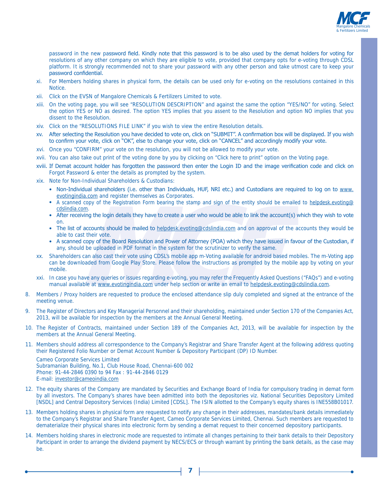

password in the new password field. Kindly note that this password is to be also used by the demat holders for voting for resolutions of any other company on which they are eligible to vote, provided that company opts for e-voting through CDSL platform. It is strongly recommended not to share your password with any other person and take utmost care to keep your password confidential.

- xi. For Members holding shares in physical form, the details can be used only for e-voting on the resolutions contained in this Notice.
- xii. Click on the EVSN of Mangalore Chemicals & Fertilizers Limited to vote.
- xiii. On the voting page, you will see "RESOLUTION DESCRIPTION" and against the same the option "YES/NO" for voting. Select the option YES or NO as desired. The option YES implies that you assent to the Resolution and option NO implies that you dissent to the Resolution.
- xiv. Click on the "RESOLUTIONS FILE LINK" if you wish to view the entire Resolution details.
- xy. After selecting the Resolution you have decided to vote on, click on "SUBMIT". A confirmation box will be displayed. If you wish to confirm your vote, click on "OK", else to change your vote, click on "CANCEL" and accordingly modify your vote.
- xvi. Once you "CONFIRM" your vote on the resolution, you will not be allowed to modify your vote.
- xvii. You can also take out print of the voting done by you by clicking on "Click here to print" option on the Voting page.
- xviii. If Demat account holder has forgotten the password then enter the Login ID and the image verification code and click on Forgot Password & enter the details as prompted by the system.
- xix. Note for Non-Individual Shareholders & Custodians:
	- Non-Individual shareholders (i.e. other than Individuals, HUF, NRI etc.) and Custodians are required to log on to www. evotingindia.com and register themselves as Corporates.
	- A scanned copy of the Registration Form bearing the stamp and sign of the entity should be emailed to helpdesk.evoting@ cdslindia.com.
	- . After receiving the login details they have to create a user who would be able to link the account(s) which they wish to vote on.
	- The list of accounts should be mailed to helpdesk.evoting@cdslindia.com and on approval of the accounts they would be able to cast their vote.
	- . A scanned copy of the Board Resolution and Power of Attorney (POA) which they have issued in favour of the Custodian, if any, should be uploaded in PDF format in the system for the scrutinizer to verify the same.
- xx. Shareholders can also cast their vote using CDSL's mobile app m-Voting available for android based mobiles. The m-Voting app can be downloaded from Google Play Store. Please follow the instructions as prompted by the mobile app by voting on your mobile.
- xxi. In case you have any queries or issues regarding e-voting, you may refer the Frequently Asked Questions ("FAQs") and e-voting manual available at www.evotingindia.com under help section or write an email to helpdesk.evoting@cdslindia.com.
- 8. Members / Proxy holders are requested to produce the enclosed attendance slip duly completed and signed at the entrance of the meeting venue.
- 9. The Register of Directors and Key Managerial Personnel and their shareholding, maintained under Section 170 of the Companies Act, 2013, will be available for inspection by the members at the Annual General Meeting.
- 10. The Register of Contracts, maintained under Section 189 of the Companies Act, 2013, will be available for inspection by the members at the Annual General Meeting.
- 11. Members should address all correspondence to the Company's Registrar and Share Transfer Agent at the following address quoting their Registered Folio Number or Demat Account Number & Depository Participant (DP) ID Number.

 Cameo Corporate Services Limited Subramanian Building, No.1, Club House Road, Chennai-600 002 Phone: 91-44-2846 0390 to 94 Fax : 91-44-2846 0129 E-mail: investor@cameoindia.com

- 12. The equity shares of the Company are mandated by Securities and Exchange Board of India for compulsory trading in demat form by all investors. The Company's shares have been admitted into both the depositories viz. National Securities Depository Limited [NSDL] and Central Depository Services (India) Limited [CDSL]. The ISIN allotted to the Company's equity shares is INE558B01017.
- 13. Members holding shares in physical form are requested to notify any change in their addresses, mandates/bank details immediately to the Company's Registrar and Share Transfer Agent, Cameo Corporate Services Limited, Chennai. Such members are requested to dematerialize their physical shares into electronic form by sending a demat request to their concerned depository participants.
- 14. Members holding shares in electronic mode are requested to intimate all changes pertaining to their bank details to their Depository Participant in order to arrange the dividend payment by NECS/ECS or through warrant by printing the bank details, as the case may be.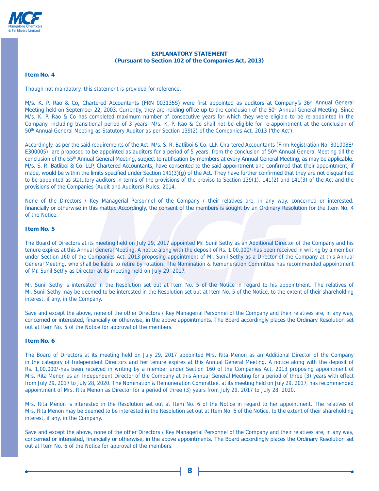

#### **EXPLANATORY STATEMENT (Pursuant to Section 102 of the Companies Act, 2013)**

#### **Item No. 4**

Though not mandatory, this statement is provided for reference.

M/s. K. P. Rao & Co, Chartered Accountants (FRN 003135S) were first appointed as auditors at Company's 36<sup>th</sup> Annual General Meeting held on September 22, 2003. Currently, they are holding office up to the conclusion of the 50<sup>th</sup> Annual General Meeting. Since M/s. K. P. Rao & Co has completed maximum number of consecutive years for which they were eligible to be re-appointed in the Company, including transitional period of 3 years, M/s. K. P. Rao & Co shall not be eligible for re-appointment at the conclusion of 50th Annual General Meeting as Statutory Auditor as per Section 139(2) of the Companies Act, 2013 ('the Act').

Accordingly, as per the said requirements of the Act, M/s. S. R. Batliboi & Co. LLP, Chartered Accountants (Firm Registration No. 301003E/ E300005), are proposed to be appointed as auditors for a period of 5 years, from the conclusion of  $50<sup>th</sup>$  Annual General Meeting till the conclusion of the 55<sup>th</sup> Annual General Meeting, subject to ratification by members at every Annual General Meeting, as may be applicable. M/s. S. R. Batliboi & Co. LLP, Chartered Accountants, have consented to the said appointment and confirmed that their appointment, if made, would be within the limits specified under Section 141(3)(g) of the Act. They have further confirmed that they are not disqualified to be appointed as statutory auditors in terms of the provisions of the proviso to Section 139(1), 141(2) and 141(3) of the Act and the provisions of the Companies (Audit and Auditors) Rules, 2014.

None of the Directors / Key Managerial Personnel of the Company / their relatives are, in any way, concerned or interested, financially or otherwise in this matter. Accordingly, the consent of the members is sought by an Ordinary Resolution for the Item No. 4 of the Notice.

#### **Item No. 5**

The Board of Directors at its meeting held on July 29, 2017 appointed Mr. Sunil Sethy as an Additional Director of the Company and his tenure expires at this Annual General Meeting. A notice along with the deposit of Rs. 1,00,000/-has been received in writing by a member under Section 160 of the Companies Act, 2013 proposing appointment of Mr. Sunil Sethy as a Director of the Company at this Annual General Meeting, who shall be liable to retire by rotation. The Nomination & Remuneration Committee has recommended appointment of Mr. Sunil Sethy as Director at its meeting held on July 29, 2017.

Mr. Sunil Sethy is interested in the Resolution set out at Item No. 5 of the Notice in regard to his appointment. The relatives of Mr. Sunil Sethy may be deemed to be interested in the Resolution set out at Item No. 5 of the Notice, to the extent of their shareholding interest, if any, in the Company.

Save and except the above, none of the other Directors / Key Managerial Personnel of the Company and their relatives are, in any way, concerned or interested, financially or otherwise, in the above appointments. The Board accordingly places the Ordinary Resolution set out at Item No. 5 of the Notice for approval of the members.

#### **Item No. 6**

The Board of Directors at its meeting held on July 29, 2017 appointed Mrs. Rita Menon as an Additional Director of the Company in the category of Independent Directors and her tenure expires at this Annual General Meeting. A notice along with the deposit of Rs. 1,00,000/-has been received in writing by a member under Section 160 of the Companies Act, 2013 proposing appointment of Mrs. Rita Menon as an Independent Director of the Company at this Annual General Meeting for a period of three (3) years with effect from July 29, 2017 to July 28, 2020. The Nomination & Remuneration Committee, at its meeting held on July 29, 2017, has recommended appointment of Mrs. Rita Menon as Director for a period of three (3) years from July 29, 2017 to July 28, 2020.

Mrs. Rita Menon is interested in the Resolution set out at Item No. 6 of the Notice in regard to her appointment. The relatives of Mrs. Rita Menon may be deemed to be interested in the Resolution set out at Item No. 6 of the Notice, to the extent of their shareholding interest, if any, in the Company.

Save and except the above, none of the other Directors / Key Managerial Personnel of the Company and their relatives are, in any way, concerned or interested, financially or otherwise, in the above appointments. The Board accordingly places the Ordinary Resolution set out at Item No. 6 of the Notice for approval of the members.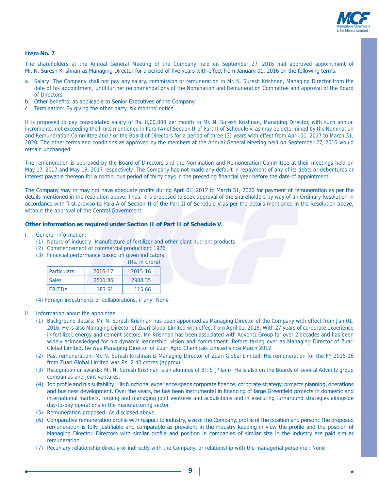

#### **Item No. 7**

The shareholders at the Annual General Meeting of the Company held on September 27, 2016 had approved appointment of Mr. N. Suresh Krishnan as Managing Director for a period of five years with effect from January 01, 2016 on the following terms.

- a. Salary: The Company shall not pay any salary, commission or remuneration to Mr. N. Suresh Krishnan, Managing Director from the date of his appointment, until further recommendations of the Nomination and Remuneration Committee and approval of the Board of Directors.
- b. Other benefits: as applicable to Senior Executives of the Company.
- c. Termination: By giving the other party, six months' notice

It is proposed to pay consolidated salary of Rs. 8,00,000 per month to Mr. N. Suresh Krishnan, Managing Director, with such annual increments, not exceeding the limits mentioned in Para (A) of Section II of Part II of Schedule V, as may be determined by the Nomination and Remuneration Committee and / or the Board of Directors for a period of three (3) years with effect from April 01, 2017 to March 31, 2020. The other terms and conditions as approved by the members at the Annual General Meeting held on September 27, 2016 would remain unchanged.

The remuneration is approved by the Board of Directors and the Nomination and Remuneration Committee at their meetings held on May 17, 2017 and May 18, 2017 respectively. The Company has not made any default in repayment of any of its debts or debentures or interest payable thereon for a continuous period of thirty days in the preceding financial year before the date of appointment.

The Company may or may not have adequate profits during April 01, 2017 to March 31, 2020 for payment of remuneration as per the details mentioned in the resolution above. Thus, it is proposed to seek approval of the shareholders by way of an Ordinary Resolution in accordance with first proviso to Para A of Section II of the Part II of Schedule V as per the details mentioned in the Resolution above, without the approval of the Central Government.

#### **Other information as required under Section II of Part II of Schedule V.**

- I. General Information:
	- (1) Nature of industry: Manufacture of fertilizer and other plant nutrient products
	- (2) Commencement of commercial production: 1976
	- (3) Financial performance based on given indicators:

|                    |         | (Rs. in Crore) |
|--------------------|---------|----------------|
| <b>Particulars</b> | 2016-17 | 2015-16        |
| <b>Sales</b>       | 2511.86 | 2988.35        |
| <b>FRITDA</b>      | 183.61  | 115.66         |

- (4) Foreign investments or collaborations, if any: None
- II. Information about the appointee:
	- (1) Background details: Mr. N. Suresh Krishnan has been appointed as Managing Director of the Company with effect from Jan 01, 2016. He is also Managing Director of Zuari Global Limited with effect from April 01, 2015. With 27 years of corporate experience in fertilizer, energy and cement sectors, Mr. Krishnan has been associated with Adventz Group for over 2 decades and has been widely acknowledged for his dynamic leadership, vision and commitment. Before taking over as Managing Director of Zuari Global Limited, he was Managing Director of Zuari Agro Chemicals Limited since March 2012.
	- (2) Past remuneration: Mr. N. Suresh Krishnan is Managing Director of Zuari Global Limited. His remuneration for the FY 2015-16 from Zuari Global Limited was Rs. 2.40 crores (approx).
	- (3) Recognition or awards: Mr. N. Suresh Krishnan is an alumnus of BITS (Pilani). He is also on the Boards of several Adventz group companies and joint ventures.
	- (4) Job profile and his suitability: His functional experience spans corporate finance, corporate strategy, projects planning, operations and business development. Over the years, he has been instrumental in financing of large Greenfield projects in domestic and international markets, forging and managing joint ventures and acquisitions and in executing turnaround strategies alongside day-to-day operations in the manufacturing sector.
	- (5) Remuneration proposed: As disclosed above.
	- (6) Comparative remuneration profile with respect to industry, size of the Company, profile of the position and person: The proposed remuneration is fully justifiable and comparable as prevalent in the industry keeping in view the profile and the position of Managing Director. Directors with similar profile and position in companies of similar size in the industry are paid similar remuneration.
	- (7) Pecuniary relationship directly or indirectly with the Company, or relationship with the managerial personnel: None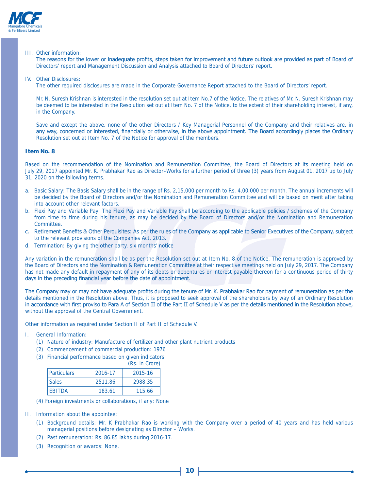

#### III. Other information:

The reasons for the lower or inadeguate profits, steps taken for improvement and future outlook are provided as part of Board of Directors' report and Management Discussion and Analysis attached to Board of Directors' report.

#### IV. Other Disclosures:

The other required disclosures are made in the Corporate Governance Report attached to the Board of Directors' report.

 Mr. N. Suresh Krishnan is interested in the resolution set out at Item No.7 of the Notice. The relatives of Mr. N. Suresh Krishnan may be deemed to be interested in the Resolution set out at Item No. 7 of the Notice, to the extent of their shareholding interest, if any, in the Company.

 Save and except the above, none of the other Directors / Key Managerial Personnel of the Company and their relatives are, in any way, concerned or interested, financially or otherwise, in the above appointment. The Board accordingly places the Ordinary Resolution set out at Item No. 7 of the Notice for approval of the members.

#### **Item No. 8**

Based on the recommendation of the Nomination and Remuneration Committee, the Board of Directors at its meeting held on July 29, 2017 appointed Mr. K. Prabhakar Rao as Director–Works for a further period of three (3) years from August 01, 2017 up to July 31, 2020 on the following terms.

- a. Basic Salary: The Basis Salary shall be in the range of Rs. 2,15,000 per month to Rs. 4,00,000 per month. The annual increments will be decided by the Board of Directors and/or the Nomination and Remuneration Committee and will be based on merit after taking into account other relevant factors.
- b. Flexi Pay and Variable Pay: The Flexi Pay and Variable Pay shall be according to the applicable policies / schemes of the Company from time to time during his tenure, as may be decided by the Board of Directors and/or the Nomination and Remuneration Committee.
- c. Retirement Benefits & Other Perquisites: As per the rules of the Company as applicable to Senior Executives of the Company, subject to the relevant provisions of the Companies Act, 2013.
- d. Termination: By giving the other party, six months' notice

Any variation in the remuneration shall be as per the Resolution set out at Item No. 8 of the Notice. The remuneration is approved by the Board of Directors and the Nomination & Remuneration Committee at their respective meetings held on July 29, 2017. The Company has not made any default in repayment of any of its debts or debentures or interest payable thereon for a continuous period of thirty days in the preceding financial year before the date of appointment.

The Company may or may not have adequate profits during the tenure of Mr. K. Prabhakar Rao for payment of remuneration as per the details mentioned in the Resolution above. Thus, it is proposed to seek approval of the shareholders by way of an Ordinary Resolution in accordance with first proviso to Para A of Section II of the Part II of Schedule V as per the details mentioned in the Resolution above, without the approval of the Central Government.

Other information as required under Section II of Part II of Schedule V.

- I. General Information:
	- (1) Nature of industry: Manufacture of fertilizer and other plant nutrient products
	- (2) Commencement of commercial production: 1976
	- (3) Financial performance based on given indicators: (Rs. in Crore)

|                                  |         | $(1)$ , $11 \cup 100$ |
|----------------------------------|---------|-----------------------|
| <i><u><b>Particulars</b></u></i> | 2016-17 | 2015-16               |
| <b>Sales</b>                     | 2511.86 | 2988.35               |
| <b>FRITDA</b>                    | 183.61  | 115.66                |

- (4) Foreign investments or collaborations, if any: None
- II. Information about the appointee:
	- (1) Background details: Mr. K Prabhakar Rao is working with the Company over a period of 40 years and has held various managerial positions before designating as Director – Works.
	- (2) Past remuneration: Rs. 86.85 lakhs during 2016-17.
	- (3) Recognition or awards: None.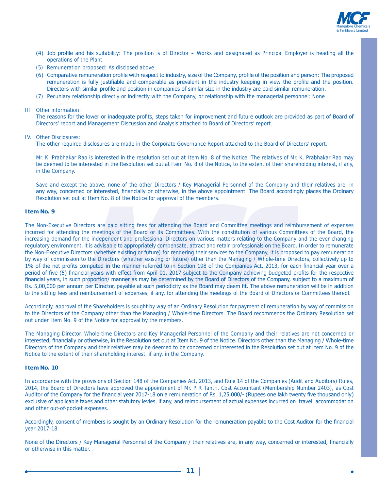

- (4) Job profile and his suitability: The position is of Director Works and designated as Principal Employer is heading all the operations of the Plant.
- (5) Remuneration proposed: As disclosed above.
- (6) Comparative remuneration profile with respect to industry, size of the Company, profile of the position and person: The proposed remuneration is fully justifiable and comparable as prevalent in the industry keeping in view the profile and the position. Directors with similar profile and position in companies of similar size in the industry are paid similar remuneration.
- (7) Pecuniary relationship directly or indirectly with the Company, or relationship with the managerial personnel: None

#### III. Other information:

The reasons for the lower or inadequate profits, steps taken for improvement and future outlook are provided as part of Board of Directors' report and Management Discussion and Analysis attached to Board of Directors' report.

#### IV. Other Disclosures:

The other required disclosures are made in the Corporate Governance Report attached to the Board of Directors' report.

 Mr. K. Prabhakar Rao is interested in the resolution set out at Item No. 8 of the Notice. The relatives of Mr. K. Prabhakar Rao may be deemed to be interested in the Resolution set out at Item No. 8 of the Notice, to the extent of their shareholding interest, if any, in the Company.

 Save and except the above, none of the other Directors / Key Managerial Personnel of the Company and their relatives are, in any way, concerned or interested, financially or otherwise, in the above appointment. The Board accordingly places the Ordinary Resolution set out at Item No. 8 of the Notice for approval of the members.

#### **Item No. 9**

The Non-Executive Directors are paid sitting fees for attending the Board and Committee meetings and reimbursement of expenses incurred for attending the meetings of the Board or its Committees. With the constitution of various Committees of the Board, the increasing demand for the independent and professional Directors on various matters relating to the Company and the ever changing regulatory environment, it is advisable to appropriately compensate, attract and retain professionals on the Board. In order to remunerate the Non-Executive Directors (whether existing or future) for rendering their services to the Company, it is proposed to pay remuneration by way of commission to the Directors (whether existing or future) other than the Managing / Whole-time Directors, collectively up to 1% of the net profits computed in the manner referred to in Section 198 of the Companies Act, 2013, for each financial year over a period of five (5) financial years with effect from April 01, 2017 subject to the Company achieving budgeted profits for the respective financial years, in such proportion/ manner as may be determined by the Board of Directors of the Company, subject to a maximum of Rs. 5,00,000 per annum per Director, payable at such periodicity as the Board may deem fit. The above remuneration will be in addition to the sitting fees and reimbursement of expenses, if any, for attending the meetings of the Board of Directors or Committees thereof.

Accordingly, approval of the Shareholders is sought by way of an Ordinary Resolution for payment of remuneration by way of commission to the Directors of the Company other than the Managing / Whole-time Directors. The Board recommends the Ordinary Resolution set out under Item No. 9 of the Notice for approval by the members.

The Managing Director, Whole-time Directors and Key Managerial Personnel of the Company and their relatives are not concerned or interested, financially or otherwise, in the Resolution set out at Item No. 9 of the Notice. Directors other than the Managing / Whole-time Directors of the Company and their relatives may be deemed to be concerned or interested in the Resolution set out at Item No. 9 of the Notice to the extent of their shareholding interest, if any, in the Company.

#### **Item No. 10**

In accordance with the provisions of Section 148 of the Companies Act, 2013, and Rule 14 of the Companies (Audit and Auditors) Rules, 2014, the Board of Directors have approved the appointment of Mr. P R Tantri, Cost Accountant (Membership Number 2403), as Cost Auditor of the Company for the financial year 2017-18 on a remuneration of Rs. 1,25,000/- (Rupees one lakh twenty five thousand only) exclusive of applicable taxes and other statutory levies, if any, and reimbursement of actual expenses incurred on travel, accommodation and other out-of-pocket expenses.

Accordingly, consent of members is sought by an Ordinary Resolution for the remuneration payable to the Cost Auditor for the financial year 2017-18.

None of the Directors / Key Managerial Personnel of the Company / their relatives are, in any way, concerned or interested, financially or otherwise in this matter.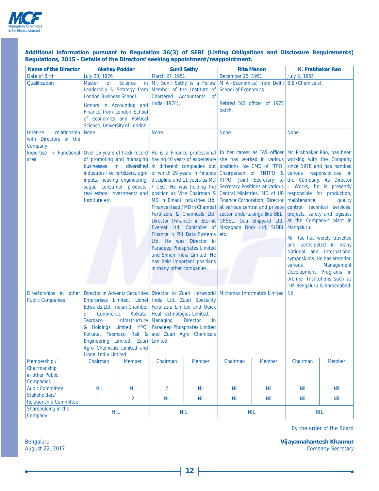

#### Additional information pursuant to Regulation 36(3) of SEBI (Listing Obligations and Disclosure Requirements) Regulations, 2015 - Details of the Directors' seeking appointment/reappointment.

| <b>Name of the Director</b>                                   |                                                                                              | <b>Akshay Poddar</b>                                                                                                                                                                  | <b>Sunil Sethy</b>                                                                                                                                                                                                                                                                                                                               |                                                                                                                                                                                                                                                                                                                                                                                                                    |                                                                                               | <b>Rita Menon</b>                                                                                                                                                                                                             | <b>K. Prabhakar Rao</b>                                                                     |                                                                                                                                                                                                                                                                                                                                                                                                                                                                                            |  |  |
|---------------------------------------------------------------|----------------------------------------------------------------------------------------------|---------------------------------------------------------------------------------------------------------------------------------------------------------------------------------------|--------------------------------------------------------------------------------------------------------------------------------------------------------------------------------------------------------------------------------------------------------------------------------------------------------------------------------------------------|--------------------------------------------------------------------------------------------------------------------------------------------------------------------------------------------------------------------------------------------------------------------------------------------------------------------------------------------------------------------------------------------------------------------|-----------------------------------------------------------------------------------------------|-------------------------------------------------------------------------------------------------------------------------------------------------------------------------------------------------------------------------------|---------------------------------------------------------------------------------------------|--------------------------------------------------------------------------------------------------------------------------------------------------------------------------------------------------------------------------------------------------------------------------------------------------------------------------------------------------------------------------------------------------------------------------------------------------------------------------------------------|--|--|
| Date of Birth                                                 | July 20, 1976                                                                                |                                                                                                                                                                                       | March 27, 1951                                                                                                                                                                                                                                                                                                                                   |                                                                                                                                                                                                                                                                                                                                                                                                                    | December 25, 1951                                                                             |                                                                                                                                                                                                                               | July 2, 1955                                                                                |                                                                                                                                                                                                                                                                                                                                                                                                                                                                                            |  |  |
| Qualification                                                 | <b>Master</b><br>οf<br>London Business School.                                               | <b>Science</b><br>Leadership & Strategy from<br>Honors in Accounting and<br>Finance from London School<br>of Economics and Political<br>Science, University of London.                | in   Mr. Sunil Sethy is a Fellow   M A (Economics) from Delhi   B.E (Chemicals).<br>India (1974).                                                                                                                                                                                                                                                | Member of the Institute of<br>Chartered Accountants of                                                                                                                                                                                                                                                                                                                                                             | School of Economics.<br>batch.                                                                | Retired IAS officer of 1975                                                                                                                                                                                                   |                                                                                             |                                                                                                                                                                                                                                                                                                                                                                                                                                                                                            |  |  |
| relationship<br>Inter-se<br>with Directors of the<br>Company  | <b>None</b>                                                                                  |                                                                                                                                                                                       | <b>None</b>                                                                                                                                                                                                                                                                                                                                      |                                                                                                                                                                                                                                                                                                                                                                                                                    | <b>None</b>                                                                                   |                                                                                                                                                                                                                               | <b>None</b>                                                                                 |                                                                                                                                                                                                                                                                                                                                                                                                                                                                                            |  |  |
| Expertise in Functional Over 16 years of track record<br>area | businesses in<br>inputs, heaving engineering,<br>sugar, consumer products,<br>furniture etc. | of promoting and managing<br>diversified<br>industries like fertilizers, agri-<br>real estate, investments and                                                                        | He is a Finance professional In her career as IAS officer Mr. Prabhakar Rao, has been<br>position as Vice Chairman &<br>MD in Binani Industries Ltd,<br>Everest Ltd, Controller of<br>in many other companies.                                                                                                                                   | having 40 years of experience<br>in different companies out<br>of which 29 years in Finance<br>discipline and 11 years as MD<br>/ CEO. He was holding the<br>Finance Head / MD in Chambal<br>Fertilizers & Chemicals Ltd,<br>Director (Finance) in Eternit<br>Finance in PSI Data Systems<br>Ltd. He was Director in<br>Paradeep Phosphates Limited<br>and Simon India Limited. He<br>has held important positions | sector undertakings like BEL,<br>GRSEL, Goa Shipyard Ltd,<br>Mazagaon Dock Ltd, SIDBI<br>etc. | positions like CMD of ITPO,<br>Chairperson of TNTPO &<br>KTPO, Joint Secretary to<br>Secretary Positions at various<br>Central Ministries, MD of UP<br><b>Finance Corporation, Director</b><br>at various central and private | she has worked in various working with the Company<br>maintenance,<br>Mangaluru.<br>various | since 1978 and has handled<br>various responsibilities in<br>the Company. As Director<br>- Works, he is presently<br>responsible for production,<br>quality<br>control, technical services,<br>projects, safety and logistics<br>at the Company's plant in<br>Mr. Rao has widely travelled<br>and participated in many<br>National and International<br>symposiums. He has attended<br>Management<br>Development Programs in<br>premier Institutions such as<br>IIM Bengaluru & Ahmedabad. |  |  |
| <b>Public Companies</b>                                       | Commerce,<br>οf<br><b>Texmaco</b><br>Lionel India Limited.                                   | Edwards Ltd, Indian Chamber<br>Kolkata,<br>Infrastructure<br>& Holdings Limited, YPO,<br>Kolkata, Texmaco Rail &<br>Engineering Limited, Zuari Limited.<br>Agro Chemicals Limited and | Directorships in other Director in Adventz Securities   Director in Zuari Infraworld   Micromax Informatics Limited  <br>Enterprises Limited, Lionel India Ltd, Zuari Speciality<br>Fertilizers Limited and Quick<br>Heal Technologies Limited.<br>Managing<br><b>Director</b><br>in.<br>Paradeep Phosphates Limited<br>and Zuari Agro Chemicals |                                                                                                                                                                                                                                                                                                                                                                                                                    |                                                                                               |                                                                                                                                                                                                                               | <b>Nil</b>                                                                                  |                                                                                                                                                                                                                                                                                                                                                                                                                                                                                            |  |  |
| Membership /<br>Chairmanship<br>in other Public<br>Companies  | Chairman                                                                                     | <b>Member</b>                                                                                                                                                                         | Chairman                                                                                                                                                                                                                                                                                                                                         | <b>Member</b>                                                                                                                                                                                                                                                                                                                                                                                                      | Chairman                                                                                      | <b>Member</b>                                                                                                                                                                                                                 | Chairman                                                                                    | <b>Member</b>                                                                                                                                                                                                                                                                                                                                                                                                                                                                              |  |  |
| <b>Audit Committee</b>                                        | <b>Nil</b>                                                                                   | <b>Nil</b>                                                                                                                                                                            | $\overline{2}$                                                                                                                                                                                                                                                                                                                                   | <b>Nil</b>                                                                                                                                                                                                                                                                                                                                                                                                         | <b>Nil</b>                                                                                    | <b>Nil</b>                                                                                                                                                                                                                    | <b>Nil</b>                                                                                  | <b>Nil</b>                                                                                                                                                                                                                                                                                                                                                                                                                                                                                 |  |  |
| Stakeholders'                                                 | $\mathbf{1}$                                                                                 | 2                                                                                                                                                                                     | Nil                                                                                                                                                                                                                                                                                                                                              | <b>Nil</b>                                                                                                                                                                                                                                                                                                                                                                                                         | <b>Nil</b>                                                                                    | <b>Nil</b>                                                                                                                                                                                                                    | <b>Nil</b>                                                                                  | <b>Nil</b>                                                                                                                                                                                                                                                                                                                                                                                                                                                                                 |  |  |
| <b>Relationship Committee</b>                                 |                                                                                              |                                                                                                                                                                                       |                                                                                                                                                                                                                                                                                                                                                  |                                                                                                                                                                                                                                                                                                                                                                                                                    |                                                                                               |                                                                                                                                                                                                                               |                                                                                             |                                                                                                                                                                                                                                                                                                                                                                                                                                                                                            |  |  |
| Shareholding in the<br>Company                                |                                                                                              | <b>NIL</b>                                                                                                                                                                            | <b>NIL</b>                                                                                                                                                                                                                                                                                                                                       |                                                                                                                                                                                                                                                                                                                                                                                                                    |                                                                                               | <b>NIL</b>                                                                                                                                                                                                                    |                                                                                             | <b>NIL</b>                                                                                                                                                                                                                                                                                                                                                                                                                                                                                 |  |  |

By the order of the Board

۰

Bengaluru **Vijayamahantesh Khannur Vijayamahantesh Khannur Vijayamahantesh Khannur** *Company Secretary* **Company Secretary** 

<u> 1989 - Johann Barn, mars ann an t-</u>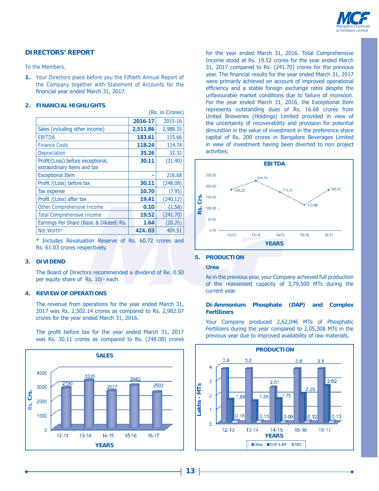

#### **DIRECTORS' REPORT**

To the Members,

**1.** Your Directors place before you the Fiftieth Annual Report of the Company together with Statement of Accounts for the financial year ended March 31, 2017.

 $\sqrt{D}a$  in Chang

#### **2. FINANCIAL HIGHLIGHTS**

| (RS. III CIUIES)                         |          |          |  |  |  |
|------------------------------------------|----------|----------|--|--|--|
|                                          | 2016-17  | 2015-16  |  |  |  |
| Sales (including other income)           | 2,511.86 | 2,988.35 |  |  |  |
| <b>EBITDA</b>                            | 183.61   | 115.66   |  |  |  |
| <b>Finance Costs</b>                     | 118.24   | 114.74   |  |  |  |
| Depreciation                             | 35.26    | 32.32    |  |  |  |
| Profit/(Loss) before exceptional,        | 30.11    | (31.40)  |  |  |  |
| extraordinary items and tax              |          |          |  |  |  |
| <b>Exceptional Item</b>                  |          | 216.68   |  |  |  |
| Profit /(Loss) before tax                | 30.11    | (248.08) |  |  |  |
| Tax expense                              | 10.70    | (7.95)   |  |  |  |
| Profit /(Loss) after tax                 | 19.41    | (240.12) |  |  |  |
| <b>Other Comprehensive Income</b>        | 0.10     | (1.58)   |  |  |  |
| <b>Total Comprehensive Income</b>        | 19.52    | (241.70) |  |  |  |
| Earnings Per Share (Basic & Diluted) Rs. | 1.64     | (20.26)  |  |  |  |
| Net Worth*                               | 424.03   | 404.51   |  |  |  |

\* Includes Revaluation Reserve of Rs, 60.72 crores and Rs. 61.03 crores respectively.

#### **3. DIVIDEND**

The Board of Directors recommended a dividend of Re. 0.50 per equity share of Rs.  $10/-$  each.

#### **4. REVIEW OF OPERATIONS**

The revenue from operations for the year ended March 31,  $2017$  was Rs. 2,502.14 crores as compared to Rs. 2,982.07 crores for the year ended March 31, 2016.

The profit before tax for the year ended March 31, 2017 was Rs. 30.11 crores as compared to Rs. (248.08) crores



for the year ended March 31, 2016. Total Comprehensive Income stood at Rs. 19.52 crores for the year ended March 31, 2017 compared to Rs. (241.70) crores for the previous year. The financial results for the year ended March 31, 2017 were primarily achieved on account of improved operational efficiency and a stable foreign exchange rates despite the unfavourable market conditions due to failure of monsoon. For the year ended March 31, 2016, the Exceptional Item represents outstanding dues of Rs. 16.68 crores from United Breweries (Holdings) Limited provided in view of the uncertainty of recoverability and provision for potential dimunition in the value of investment in the preference share capital of Rs. 200 crores in Bangalore Beverages Limited in view of investment having been diverted to non project activities.



#### **5. PRODUCTION**

#### **Urea**

As in the previous year, your Company achieved full production of the reassessed capacity of 3,79,500 MTs during the current vear.

#### **Di-Ammonium Phosphate (DAP) and Complex Fertilizers**

Your Company produced 2,62,046 MTs of Phosphatic Fertilizers during the year compared to  $2,05,308$  MTs in the previous year due to improved availability of raw materials.

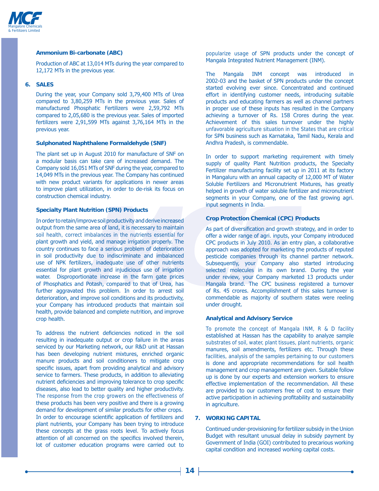

#### **Ammonium Bi-carbonate (ABC)**

Production of ABC at 13,014 MTs during the year compared to 12.172 MTs in the previous vear.

#### **6. SALES**

During the year, your Company sold 3,79,400 MTs of Urea compared to  $3,80,259$  MTs in the previous year. Sales of manufactured Phosphatic Fertilizers were 2.59.792 MTs compared to 2,05,680 is the previous year. Sales of imported fertilizers were  $2.91,599$  MTs against  $3.76,164$  MTs in the previous year.

#### **Sulphonated Naphthalene Formaldehyde (SNF)**

The plant set up in August 2010 for manufacture of SNF on a modular basis can take care of increased demand. The Company sold 16,051 MTs of SNF during the year, compared to 14,049 MTs in the previous year. The Company has continued with new product variants for applications in newer areas to improve plant utilization, in order to de-risk its focus on construction chemical industry.

#### **Specialty Plant Nutrition (SPN) Products**

In order to retain/improve soil productivity and derive increased output from the same area of land, it is necessary to maintain soil health, correct imbalances in the nutrients essential for plant growth and yield, and manage irrigation properly. The country continues to face a serious problem of deterioration in soil productivity due to indiscriminate and imbalanced use of NPK fertilizers, inadequate use of other nutrients essential for plant growth and injudicious use of irrigation water. Disproportionate increase in the farm gate prices of Phosphatics and Potash, compared to that of Urea, has further aggravated this problem. In order to arrest soil deterioration, and improve soil conditions and its productivity. your Company has introduced products that maintain soil health, provide balanced and complete nutrition, and improve crop health.

To address the nutrient deficiencies noticed in the soil resulting in inadequate output or crop failure in the areas serviced by our Marketing network, our R&D unit at Hassan has been developing nutrient mixtures, enriched organic manure products and soil conditioners to mitigate crop specific issues, apart from providing analytical and advisory service to farmers. These products, in addition to alleviating nutrient deficiencies and improving tolerance to crop specific diseases, also lead to better quality and higher productivity. The response from the crop growers on the effectiveness of these products has been very positive and there is a growing demand for development of similar products for other crops. In order to encourage scientific application of fertilizers and plant nutrients, your Company has been trying to introduce these concepts at the grass roots level. To actively focus attention of all concerned on the specifics involved therein, lot of customer education programs were carried out to

popularize usage of SPN products under the concept of Mangala Integrated Nutrient Management (INM).

The Mangala INM concept was introduced in 2002-03 and the basket of SPN products under the concept started evolving ever since. Concentrated and continued effort in identifying customer needs, introducing suitable products and educating farmers as well as channel partners in proper use of these inputs has resulted in the Company achieving a turnover of Rs. 158 Crores during the year. Achievement of this sales turnover under the highly unfavorable agriculture situation in the States that are critical for SPN business such as Karnataka, Tamil Nadu, Kerala and Andhra Pradesh, is commendable.

In order to support marketing requirement with timely supply of quality Plant Nutrition products, the Specialty Fertilizer manufacturing facility set up in 2011 at its factory in Mangaluru with an annual capacity of 12,000 MT of Water Soluble Fertilizers and Micronutrient Mixtures, has greatly helped in growth of water soluble fertilizer and micronutrient segments in your Company, one of the fast growing agri. input segments in India.

#### **Crop Protection Chemical (CPC) Products**

As part of diversification and growth strategy, and in order to offer a wider range of agri. inputs, your Company introduced CPC products in July 2010. As an entry plan, a collaborative approach was adopted for marketing the products of reputed pesticide companies through its channel partner network. Subsequently, your Company also started introducing selected molecules in its own brand. During the year under review, your Company marketed 13 products under Mangala brand. The CPC business registered a turnover of Rs. 45 crores. Accomplishment of this sales turnover is commendable as majority of southern states were reeling under drought.

#### **Analytical and Advisory Service**

 To promote the concept of Mangala INM, R & D facility established at Hassan has the capability to analyze sample substrates of soil, water, plant tissues, plant nutrients, organic manures, soil amendments, fertilizers etc. Through these facilities, analysis of the samples pertaining to our customers is done and appropriate recommendations for soil health management and crop management are given. Suitable follow up is done by our experts and extension workers to ensure effective implementation of the recommendation. All these are provided to our customers free of cost to ensure their active participation in achieving profitability and sustainability in agriculture.

#### **7. WORKING CAPITAL**

Continued under-provisioning for fertilizer subsidy in the Union Budget with resultant unusual delay in subsidy payment by Government of India (GOI) contributed to precarious working capital condition and increased working capital costs.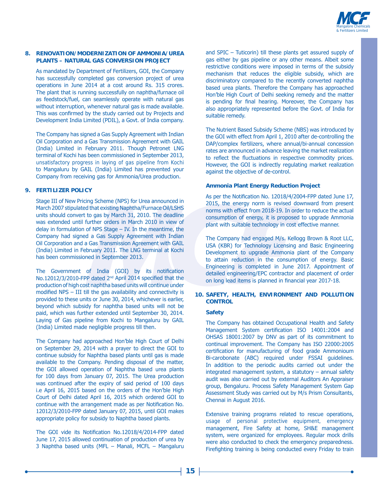

#### 8. RENOVATION/MODERNIZATION OF AMMONIA/UREA **PLANTS - NATURAL GAS CONVERSION PROJECT**

As mandated by Department of Fertilizers, GOI, the Company has successfully completed gas conversion project of urea operations in June 2014 at a cost around Rs. 315 crores. The plant that is running successfully on naphtha/furnace oil as feedstock/fuel, can seamlessly operate with natural gas without interruption, whenever natural gas is made available. This was confirmed by the study carried out by Projects and Development India Limited (PDIL), a Govt. of India company.

The Company has signed a Gas Supply Agreement with Indian Oil Corporation and a Gas Transmission Agreement with GAIL (India) Limited in February 2011. Though Petronet LNG terminal of Kochi has been commissioned in September 2013, unsatisfactory progress in laying of gas pipeline from Kochi to Mangaluru by GAIL (India) Limited has prevented your Company from receiving gas for Ammonia/Urea production.

#### 9. FERTILIZER POLICY

Stage III of New Pricing Scheme (NPS) for Urea announced in March 2007 stipulated that existing Naphtha/Furnace Oil/LSHS units should convert to gas by March 31, 2010. The deadline was extended until further orders in March 2010 in view of delay in formulation of NPS Stage  $-$  IV. In the meantime, the Company had signed a Gas Supply Agreement with Indian Oil Corporation and a Gas Transmission Agreement with GAIL (India) Limited in February 2011. The LNG terminal at Kochi has been commissioned in September 2013.

The Government of India (GOI) by its notification No.12012/3/2010-FPP dated 2<sup>nd</sup> April 2014 specified that the production of high cost naphtha based units will continue under modified NPS - III till the gas availability and connectivity is provided to these units or June 30, 2014, whichever is earlier, beyond which subsidy for naphtha based units will not be paid, which was further extended until September 30, 2014. Laying of Gas pipeline from Kochi to Mangaluru by GAIL (India) Limited made negligible progress till then.

The Company had approached Hon'ble High Court of Delhi on September 29, 2014 with a prayer to direct the GOI to continue subsidy for Naphtha based plants until gas is made available to the Company. Pending disposal of the matter, the GOI allowed operation of Naphtha based urea plants for 100 days from January 07, 2015. The Urea production was continued after the expiry of said period of 100 days i.e April 16, 2015 based on the orders of the Hon'ble High Court of Delhi dated April 16, 2015 which ordered GOI to continue with the arrangement made as per Notification No. 12012/3/2010-FPP dated January 07, 2015, until GOI makes appropriate policy for subsidy to Naphtha based plants.

The GOI vide its Notification No.12018/4/2014-FPP dated June 17, 2015 allowed continuation of production of urea by 3 Naphtha based units (MFL - Manali, MCFL - Mangaluru and SPIC - Tuticorin) till these plants get assured supply of gas either by gas pipeline or any other means. Albeit some restrictive conditions were imposed in terms of the subsidy mechanism that reduces the eligible subsidy, which are discriminatory compared to the recently converted naphtha based urea plants. Therefore the Company has approached Hon'ble High Court of Delhi seeking remedy and the matter is pending for final hearing. Moreover, the Company has also appropriately represented before the Govt. of India for suitable remedy.

The Nutrient Based Subsidy Scheme (NBS) was introduced by the GOI with effect from April 1, 2010 after de-controlling the DAP/complex fertilizers, where annual/bi-annual concession rates are announced in advance leaving the market realization to reflect the fluctuations in respective commodity prices. However, the GOI is indirectly regulating market realization against the objective of de-control.

#### **Ammonia Plant Energy Reduction Project**

As per the Notification No. 12018/4/2004-FPP dated June 17, 2015, the energy norm is revised downward from present norms with effect from 2018-19. In order to reduce the actual consumption of energy, it is proposed to upgrade Ammonia plant with suitable technology in cost effective manner.

The Company had engaged M/s. Kellogg Brown & Root LLC, USA (KBR) for Technology Licensing and Basic Engineering Development to upgrade Ammonia plant of the Company to attain reduction in the consumption of energy. Basic Engineering is completed in June 2017. Appointment of detailed engineering/EPC contractor and placement of order on long lead items is planned in financial year 2017-18.

#### 10. SAFETY, HEALTH, ENVIRONMENT AND POLLUTION **CONTROL**

#### **Safety**

The Company has obtained Occupational Health and Safety Management System certification ISO 14001:2004 and OHSAS 18001:2007 by DNV as part of its commitment to continual improvement. The Company has ISO 22000:2005 certification for manufacturing of food grade Ammonioum Bi-carobonate (ABC) required under FSSAI guidelines. In addition to the periodic audits carried out under the integrated management system, a statutory - annual safety audit was also carried out by external Auditors An Appraiser group, Bengaluru. Process Safety Management System Gap Assessment Study was carried out by M/s Prism Consultants, Chennai in August 2016.

Extensive training programs related to rescue operations, usage of personal protective equipment, emergency management, Fire Safety at home, SH&E management system, were organized for employees. Regular mock drills were also conducted to check the emergency preparedness. Firefighting training is being conducted every Friday to train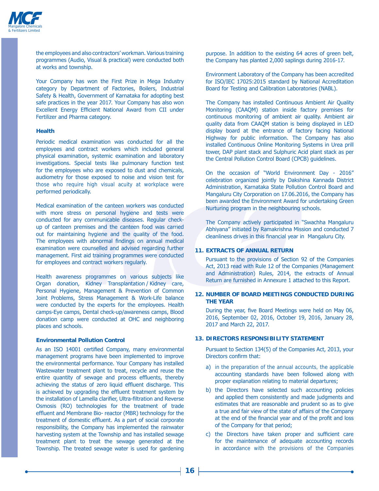

the employees and also contractors' workman. Various training programmes (Audio, Visual & practical) were conducted both at works and township.

Your Company has won the First Prize in Mega Industry category by Department of Factories, Boilers, Industrial Safety & Health, Government of Karnataka for adopting best safe practices in the year 2017. Your Company has also won Excellent Energy Efficient National Award from CII under Fertilizer and Pharma category.

#### **Health**

Periodic medical examination was conducted for all the employees and contract workers which included general physical examination, systemic examination and laboratory investigations. Special tests like pulmonary function test for the employees who are exposed to dust and chemicals, audiometry for those exposed to noise and vision test for those who require high visual acuity at workplace were performed periodically.

Medical examination of the canteen workers was conducted with more stress on personal hygiene and tests were conducted for any communicable diseases. Reqular checkup of canteen premises and the canteen food was carried out for maintaining hygiene and the quality of the food. The employees with abnormal findings on annual medical examination were counselled and advised regarding further management. First aid training programmes were conducted for employees and contract workers regularly.

Health awareness programmes on various subjects like Organ donation, Kidney Transplantation / Kidney care, Personal Hygiene, Management & Prevention of Common Joint Problems, Stress Management & Work-Life balance were conducted by the experts for the employees. Health camps-Eye camps, Dental check-up/awareness camps, Blood donation camp were conducted at OHC and neighboring places and schools.

#### **Environmental Pollution Control**

As an ISO 14001 certified Company, many environmental management programs have been implemented to improve the environmental performance. Your Company has installed Wastewater treatment plant to treat, recycle and reuse the entire quantity of sewage and process effluents, thereby achieving the status of zero liquid effluent discharge. This is achieved by upgrading the effluent treatment system by the installation of Lamella clarifier, Ultra-filtration and Reverse Osmosis (RO) technologies for the treatment of trade effluent and Membrane Bio-reactor (MBR) technology for the treatment of domestic effluent. As a part of social corporate responsibility, the Company has implemented the rainwater harvesting system at the Township and has installed sewage treatment plant to treat the sewage generated at the Township. The treated sewage water is used for gardening

purpose. In addition to the existing 64 acres of green belt, the Company has planted 2,000 saplings during 2016-17.

Environment Laboratory of the Company has been accredited for ISO/IEC 17025:2015 standard by National Accreditation Board for Testing and Calibration Laboratories (NABL).

The Company has installed Continuous Ambient Air Quality Monitoring (CAAOM) station inside factory premises for continuous monitoring of ambient air quality. Ambient air quality data from CAAQM station is being displayed in LED display board at the entrance of factory facing National Highway for public information. The Company has also installed Continuous Online Monitoring Systems in Urea prill tower, DAP plant stack and Sulphuric Acid plant stack as per the Central Pollution Control Board (CPCB) quidelines.

On the occasion of "World Environment Day - 2016" celebration organized jointly by Dakshina Kannada District Administration, Karnataka State Pollution Control Board and Mangaluru City Corporation on 17.06.2016, the Company has been awarded the Environment Award for undertaking Green Nurturing program in the neighbouring schools.

The Company actively participated in "Swachha Mangaluru Abhiyana" initiated by Ramakrishna Mission and conducted 7 cleanliness drives in this financial year in Mangaluru City.

#### **11. EXTRACTS OF ANNUAL RETURN**

Pursuant to the provisions of Section 92 of the Companies Act, 2013 read with Rule 12 of the Companies (Management and Administration) Rules, 2014, the extracts of Annual Return are furnished in Annexure 1 attached to this Report.

#### **12. NUMBER OF BOARD MEETINGS CONDUCTED DURING THE YEAR**

During the year, five Board Meetings were held on May 06, 2016, September 02, 2016, October 19, 2016, January 28, 2017 and March 22, 2017.

#### **13. DIRECTORS RESPONSIBILITY STATEMENT**

Pursuant to Section 134(5) of the Companies Act, 2013, your Directors confirm that:

- a) in the preparation of the annual accounts, the applicable accounting standards have been followed along with proper explanation relating to material departures;
- b) the Directors have selected such accounting policies and applied them consistently and made judgments and estimates that are reasonable and prudent so as to give a true and fair view of the state of affairs of the Company at the end of the financial year and of the profit and loss of the Company for that period;
- c) the Directors have taken proper and sufficient care for the maintenance of adequate accounting records in accordance with the provisions of the Companies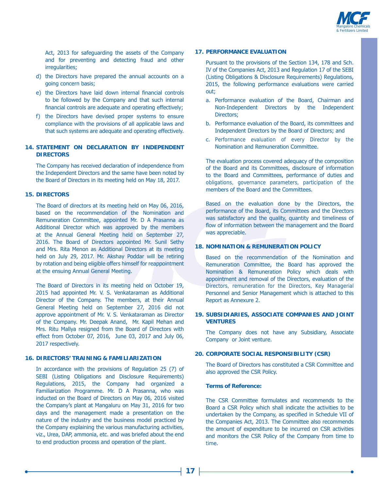

Act, 2013 for safeguarding the assets of the Company and for preventing and detecting fraud and other irregularities;

- d) the Directors have prepared the annual accounts on a going concern basis:
- e) the Directors have laid down internal financial controls to be followed by the Company and that such internal financial controls are adequate and operating effectively;
- f) the Directors have devised proper systems to ensure compliance with the provisions of all applicable laws and that such systems are adequate and operating effectively.

#### **14. STATEMENT ON DECLARATION BY INDEPENDENT DIRECTORS**

The Company has received declaration of independence from the Independent Directors and the same have been noted by the Board of Directors in its meeting held on May 18, 2017.

#### **15. DIRECTORS**

The Board of directors at its meeting held on May 06, 2016, based on the recommendation of the Nomination and Remuneration Committee, appointed Mr. D A Prasanna as Additional Director which was approved by the members at the Annual General Meeting held on September 27, 2016. The Board of Directors appointed Mr. Sunil Sethy and Mrs. Rita Menon as Additional Directors at its meeting held on July 29, 2017. Mr. Akshay Poddar will be retiring by rotation and being eligible offers himself for reappointment at the ensuing Annual General Meeting.

The Board of Directors in its meeting held on October 19, 2015 had appointed Mr. V. S. Venkataraman as Additional Director of the Company. The members, at their Annual General Meeting held on September 27, 2016 did not approve appointment of Mr. V. S. Venkataraman as Director of the Company. Mr. Deepak Anand, Mr. Kapil Mehan and Mrs. Ritu Mallya resigned from the Board of Directors with effect from October 07, 2016, June 03, 2017 and July 06, 2017 respectively.

#### **16. DIRECTORS' TRAINING & FAMILIARIZATION**

In accordance with the provisions of Regulation 25  $(7)$  of SEBI (Listing Obligations and Disclosure Requirements) Regulations, 2015, the Company had organized a Familiarization Programme. Mr. D A Prasanna, who was inducted on the Board of Directors on May 06, 2016 visited the Company's plant at Mangaluru on May 31, 2016 for two days and the management made a presentation on the nature of the industry and the business model practiced by the Company explaining the various manufacturing activities, viz., Urea, DAP, ammonia, etc. and was briefed about the end to end production process and operation of the plant.

#### **17. PERFORMANCE EVALUATION**

Pursuant to the provisions of the Section 134, 178 and Sch. IV of the Companies Act, 2013 and Regulation 17 of the SEBI (Listing Obligations & Disclosure Requirements) Regulations, 2015, the following performance evaluations were carried out:

- a. Performance evaluation of the Board, Chairman and Non-Independent Directors by the Independent Directors;
- b. Performance evaluation of the Board, its committees and Independent Directors by the Board of Directors; and
- c. Performance evaluation of every Director by the Nomination and Remuneration Committee.

The evaluation process covered adequacy of the composition of the Board and its Committees, disclosure of information to the Board and Committees, performance of duties and obligations, governance parameters, participation of the members of the Board and the Committees.

Based on the evaluation done by the Directors, the performance of the Board, its Committees and the Directors was satisfactory and the quality, quantity and timeliness of flow of information between the management and the Board was appreciable.

#### **18. NOMINATION & REMUNERATION POLICY**

Based on the recommendation of the Nomination and Remuneration Committee, the Board has approved the Nomination & Remuneration Policy which deals with appointment and removal of the Directors, evaluation of the Directors, remuneration for the Directors, Key Managerial Personnel and Senior Management which is attached to this Report as Annexure 2.

#### **19. SUBSIDIARIES, ASSOCIATE COMPANIES AND JOINT VENTURES**

The Company does not have any Subsidiary, Associate Company or Joint venture.

#### **20. CORPORATE SOCIAL RESPONSIBILITY (CSR)**

The Board of Directors has constituted a CSR Committee and also approved the CSR Policy.

#### **Terms of Reference:**

The CSR Committee formulates and recommends to the Board a CSR Policy which shall indicate the activities to be undertaken by the Company, as specified in Schedule VII of the Companies Act, 2013. The Committee also recommends the amount of expenditure to be incurred on CSR activities and monitors the CSR Policy of the Company from time to time.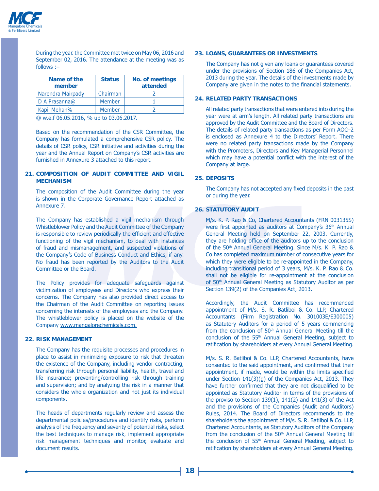

During the year, the Committee met twice on May 06, 2016 and September 02, 2016. The attendance at the meeting was as  $follows:$ 

| Name of the<br>member | <b>Status</b> | <b>No. of meetings</b><br>attended |
|-----------------------|---------------|------------------------------------|
| Narendra Mairpady     | Chairman      |                                    |
| D A Prasanna@         | <b>Member</b> |                                    |
| <b>Kapil Mehan%</b>   | <b>Member</b> |                                    |
|                       |               |                                    |

@ w.e.f 06.05.2016, % up to 03.06.2017.

Based on the recommendation of the CSR Committee, the Company has formulated a comprehensive CSR policy. The details of CSR policy, CSR initiative and activities during the year and the Annual Report on Company's CSR activities are furnished in Annexure 3 attached to this report.

#### **21. COMPOSITION OF AUDIT COMMITTEE AND VIGIL MECHANISM**

The composition of the Audit Committee during the year is shown in the Corporate Governance Report attached as Annexure 7.

The Company has established a vigil mechanism through Whistleblower Policy and the Audit Committee of the Company is responsible to review periodically the efficient and effective functioning of the vigil mechanism, to deal with instances of fraud and mismanagement, and suspected violations of the Company's Code of Business Conduct and Ethics, if any. No fraud has been reported by the Auditors to the Audit Committee or the Board.

The Policy provides for adequate safeguards against victimization of employees and Directors who express their concerns. The Company has also provided direct access to the Chairman of the Audit Committee on reporting issues concerning the interests of the employees and the Company. The whistleblower policy is placed on the website of the Company www.mangalorechemicals.com.

#### **22. RISK MANAGEMENT**

The Company has the requisite processes and procedures in place to assist in minimizing exposure to risk that threaten the existence of the Company, including vendor contracting, transferring risk through personal liability, health, travel and life insurance; preventing/controlling risk through training and supervision; and by analyzing the risk in a manner that considers the whole organization and not just its individual components.

The heads of departments regularly review and assess the departmental policies/procedures and identify risks, perform analysis of the frequency and severity of potential risks, select the best techniques to manage risk, implement appropriate risk management techniques and monitor, evaluate and document results.

#### **23. LOANS, GUARANTEES OR INVESTMENTS**

The Company has not given any loans or quarantees covered under the provisions of Section 186 of the Companies Act, 2013 during the year. The details of the investments made by Company are given in the notes to the financial statements.

#### **24. RELATED PARTY TRANSACTIONS**

All related party transactions that were entered into during the year were at arm's length. All related party transactions are approved by the Audit Committee and the Board of Directors. The details of related party transactions as per Form AOC-2 is enclosed as Annexure 4 to the Directors' Report. There were no related party transactions made by the Company with the Promoters, Directors and Key Managerial Personnel which may have a potential conflict with the interest of the Company at large.

#### **25. DEPOSITS**

The Company has not accepted any fixed deposits in the past or during the year.

#### **26. STATUTORY AUDIT**

M/s. K. P. Rao & Co, Chartered Accountants (FRN 003135S) were first appointed as auditors at Company's 36<sup>th</sup> Annual General Meeting held on September 22, 2003. Currently, they are holding office of the auditors up to the conclusion of the 50<sup>th</sup> Annual General Meeting. Since M/s. K. P. Rao & Co has completed maximum number of consecutive years for which they were eligible to be re-appointed in the Company, including transitional period of 3 years,  $M/s$ . K. P. Rao & Co. shall not be eligible for re-appointment at the conclusion of 50<sup>th</sup> Annual General Meeting as Statutory Auditor as per Section 139(2) of the Companies Act, 2013.

Accordingly, the Audit Committee has recommended appointment of M/s. S. R. Batliboi & Co. LLP, Chartered Accountants (Firm Registration No. 301003E/E300005) as Statutory Auditors for a period of 5 years commencing from the conclusion of  $50<sup>th</sup>$  Annual General Meeting till the conclusion of the 55<sup>th</sup> Annual General Meeting, subject to ratification by shareholders at every Annual General Meeting.

M/s. S. R. Batliboi & Co. LLP, Chartered Accountants, have consented to the said appointment, and confirmed that their appointment, if made, would be within the limits specified under Section  $141(3)(g)$  of the Companies Act, 2013. They have further confirmed that they are not disqualified to be appointed as Statutory Auditor in terms of the provisions of the proviso to Section  $139(1)$ ,  $141(2)$  and  $141(3)$  of the Act and the provisions of the Companies (Audit and Auditors) Rules, 2014. The Board of Directors recommends to the shareholders the appointment of M/s. S. R. Batliboi & Co. LLP, Chartered Accountants, as Statutory Auditors of the Company from the conclusion of the 50<sup>th</sup> Annual General Meeting till the conclusion of 55<sup>th</sup> Annual General Meeting, subject to ratification by shareholders at every Annual General Meeting.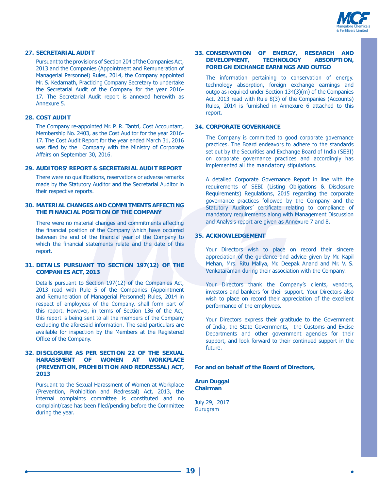

#### **27. SECRETARIAL AUDIT**

Pursuant to the provisions of Section 204 of the Companies Act, 2013 and the Companies (Appointment and Remuneration of Managerial Personnel) Rules, 2014, the Company appointed Mr. S. Kedarnath, Practicing Company Secretary to undertake the Secretarial Audit of the Company for the year 2016-17. The Secretarial Audit report is annexed herewith as Annexure 5.

#### **28. COST AUDIT**

The Company re-appointed Mr. P. R. Tantri, Cost Accountant, Membership No. 2403, as the Cost Auditor for the year 2016-17. The Cost Audit Report for the year ended March 31, 2016 was filed by the Company with the Ministry of Corporate Affairs on September 30, 2016.

#### **29. AUDITORS' REPORT & SECRETARIAL AUDIT REPORT**

There were no qualifications, reservations or adverse remarks made by the Statutory Auditor and the Secretarial Auditor in their respective reports.

#### **30. MATERIAL CHANGES AND COMMITMENTS AFFECTING THE FINANCIAL POSITION OF THE COMPANY**

There were no material changes and commitments affecting the financial position of the Company which have occurred between the end of the financial year of the Company to which the financial statements relate and the date of this report.

#### **31. DETAILS PURSUANT TO SECTION 197(12) OF THE COMPANIES ACT, 2013**

Details pursuant to Section 197(12) of the Companies Act, 2013 read with Rule 5 of the Companies (Appointment and Remuneration of Managerial Personnel) Rules, 2014 in respect of employees of the Company, shall form part of this report. However, in terms of Section 136 of the Act, this report is being sent to all the members of the Company excluding the aforesaid information. The said particulars are available for inspection by the Members at the Registered Office of the Company.

#### **32. DISCLOSURE AS PER SECTION 22 OF THE SEXUAL HARASSMENT OF WOMEN AT WORKPLACE (PREVENTION, PROHIBITION AND REDRESSAL) ACT, 2013**

Pursuant to the Sexual Harassment of Women at Workplace (Prevention, Prohibition and Redressal) Act, 2013, the internal complaints committee is constituted and no complaint/case has been filed/pending before the Committee during the year.

#### **33. CONSERVATION OF ENERGY, RESEARCH AND DEVELOPMENT, TECHNOLOGY ABSORPTION, FOREIGN EXCHANGE EARNINGS AND OUTGO**

 The information pertaining to conservation of energy, technology absorption, foreign exchange earnings and outgo as required under Section  $134(3)(m)$  of the Companies Act, 2013 read with Rule 8(3) of the Companies (Accounts) Rules, 2014 is furnished in Annexure 6 attached to this report.

#### **34. CORPORATE GOVERNANCE**

The Company is committed to good corporate governance practices. The Board endeavors to adhere to the standards set out by the Securities and Exchange Board of India (SEBI) on corporate governance practices and accordingly has implemented all the mandatory stipulations.

A detailed Corporate Governance Report in line with the requirements of SEBI (Listing Obligations & Disclosure Requirements) Regulations, 2015 regarding the corporate governance practices followed by the Company and the Statutory Auditors' certificate relating to compliance of mandatory requirements along with Management Discussion and Analysis report are given as Annexure 7 and 8.

#### **35. ACKNOWLEDGEMENT**

Your Directors wish to place on record their sincere appreciation of the quidance and advice given by Mr. Kapil Mehan, Mrs. Ritu Mallya, Mr. Deepak Anand and Mr. V. S. Venkataraman during their association with the Company.

Your Directors thank the Company's clients, vendors, investors and bankers for their support. Your Directors also wish to place on record their appreciation of the excellent performance of the employees.

Your Directors express their gratitude to the Government of India, the State Governments, the Customs and Excise Departments and other government agencies for their support, and look forward to their continued support in the future.

#### **For and on behalf of the Board of Directors,**

**Arun Duggal Chairman**

July 29, 2017 Gurugram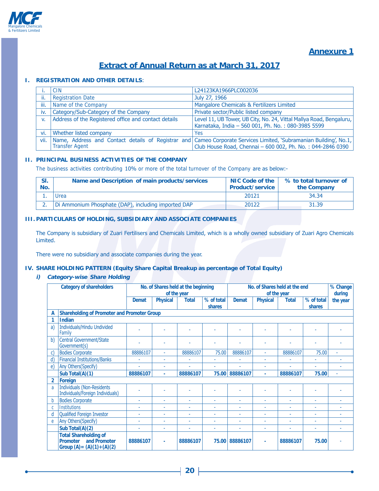

# **Annexure 1**

# **Extract of Annual Return as at March 31, 2017**

#### **I. REGISTRATION AND OTHER DETAILS**

|      | <b>CIN</b>                                           | L24123KA1966PLC002036                                                                                                                                                           |  |  |  |  |
|------|------------------------------------------------------|---------------------------------------------------------------------------------------------------------------------------------------------------------------------------------|--|--|--|--|
| ii.  | <b>Registration Date</b>                             | July 27, 1966                                                                                                                                                                   |  |  |  |  |
| iii. | Name of the Company                                  | Mangalore Chemicals & Fertilizers Limited                                                                                                                                       |  |  |  |  |
| iv.  | Category/Sub-Category of the Company                 | Private sector/Public listed company                                                                                                                                            |  |  |  |  |
| V.   | Address of the Registered office and contact details | Level 11, UB Tower, UB City, No. 24, Vittal Mallya Road, Bengaluru,<br>Karnataka, India - 560 001, Ph. No.: 080-3985 5599                                                       |  |  |  |  |
| vi.  | <b>Whether listed company</b>                        | Yes                                                                                                                                                                             |  |  |  |  |
| vii. | <b>Transfer Agent</b>                                | Name, Address and Contact details of Registrar and Cameo Corporate Services Limited, Subramanian Building', No.1,<br>Club House Road, Chennai - 600 002, Ph. No.: 044-2846 0390 |  |  |  |  |

#### **II. PRINCIPAL BUSINESS ACTIVITIES OF THE COMPANY**

The business activities contributing 10% or more of the total turnover of the Company are as below:-

| No. | Name and Description of main products/services      | <b>NIC Code of the</b><br><b>Product/service</b> | % to total turnover of<br>the Company |
|-----|-----------------------------------------------------|--------------------------------------------------|---------------------------------------|
|     | Jrea                                                | 20121                                            | 34.34                                 |
|     | Di Ammonium Phosphate (DAP), including imported DAP | 20122                                            | 31.39                                 |

### **III. PARTICULARS OF HOLDING, SUBSIDIARY AND ASSOCIATE COMPANIES**

The Company is subsidiary of Zuari Fertilisers and Chemicals Limited, which is a wholly owned subsidiary of Zuari Agro Chemicals Limited.

There were no subsidiary and associate companies during the year.

#### **IV. SHARE HOLDING PATTERN (Equity Share Capital Breakup as percentage of Total Equity)**

#### **i) Category-wise Share Holding**

| <b>Category of shareholders</b> |                                                                                                  | No. of Shares held at the beginning<br>of the year |                 |              |            | No. of Shares held at the end<br>of the year |                 |              | % Change<br>during |          |
|---------------------------------|--------------------------------------------------------------------------------------------------|----------------------------------------------------|-----------------|--------------|------------|----------------------------------------------|-----------------|--------------|--------------------|----------|
|                                 |                                                                                                  | <b>Demat</b>                                       | <b>Physical</b> | <b>Total</b> | % of total | <b>Demat</b>                                 | <b>Physical</b> | <b>Total</b> | % of total         | the year |
|                                 |                                                                                                  |                                                    |                 |              | shares     |                                              |                 |              | shares             |          |
| А                               | <b>Shareholding of Promoter and Promoter Group</b>                                               |                                                    |                 |              |            |                                              |                 |              |                    |          |
|                                 | <b>Indian</b>                                                                                    |                                                    |                 |              |            |                                              |                 |              |                    |          |
| a)                              | Individuals/Hindu Undivided<br>Family                                                            | L.                                                 |                 |              |            |                                              |                 |              |                    |          |
| b)                              | <b>Central Government/State</b><br>Government(s)                                                 | ٠                                                  |                 |              |            |                                              |                 |              | ٠                  |          |
| $\mathsf{C}$                    | <b>Bodies Corporate</b>                                                                          | 88886107                                           | ٠               | 88886107     | 75.00      | 88886107                                     | ÷               | 88886107     | 75,00              | ä,       |
| $\mathsf{d}$                    | <b>Financial Institutions/Banks</b>                                                              | ÷                                                  | ٠               | ٠            | ä,         | ٠                                            | ä,              |              | ä,                 |          |
| e)                              | Any Others(Specify)                                                                              | ä,                                                 | ٠               | ä,           |            | ä,                                           | ä,              |              | ä,                 |          |
|                                 | Sub Total(A)(1)                                                                                  | 88886107                                           | $\blacksquare$  | 88886107     | 75.00      | 88886107                                     |                 | 88886107     | 75.00              | ٠        |
| $\overline{2}$                  | Foreign                                                                                          |                                                    |                 |              |            |                                              |                 |              |                    |          |
| a                               | <b>Individuals (Non-Residents</b><br>Individuals/Foreign Individuals)                            | ٠                                                  | ٠               | ٠            |            |                                              |                 |              | ÷,                 |          |
| b                               | <b>Bodies Corporate</b>                                                                          | ٠                                                  | ٠               | ٠            | ٠          | ٠                                            | ä,              | ÷,           | ä,                 |          |
| C                               | <b>Institutions</b>                                                                              | ä,                                                 | $\sim$          | ٠            | ٠          | ٠                                            | ÷,              | ٠            | ä,                 |          |
| d                               | Qualified Foreign Investor                                                                       | ٠                                                  |                 | ٠            |            | ٠                                            | ÷,              |              |                    |          |
| e                               | Any Others(Specify)                                                                              | ÷                                                  | ٠               | ÷            | ٠          | ٠                                            | ٠               | ٠            | ÷,                 |          |
|                                 | Sub Total(A)(2)                                                                                  | ÷                                                  | ٠               | ٠            | ٠          | ٠                                            | ÷               | ٠            | ÷                  |          |
|                                 | <b>Total Shareholding of</b><br>and Promoter<br><b>Promoter</b><br>Group $(A) = (A)(1) + (A)(2)$ | 88886107                                           | $\blacksquare$  | 88886107     | 75.00      | 88886107                                     |                 | 88886107     | 75.00              |          |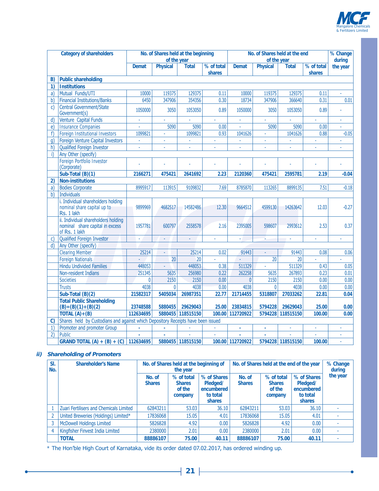

۰

|               | <b>Category of shareholders</b>                                                         | No. of Shares held at the beginning |                 |                   |            | No. of Shares held at the end |                 |                   |                          | % Change |
|---------------|-----------------------------------------------------------------------------------------|-------------------------------------|-----------------|-------------------|------------|-------------------------------|-----------------|-------------------|--------------------------|----------|
|               |                                                                                         |                                     | of the year     |                   |            | of the year                   |                 |                   |                          | during   |
|               |                                                                                         | <b>Demat</b>                        | Physical        | <b>Total</b>      | % of total | <b>Demat</b>                  | Physical        | <b>Total</b>      | % of total               | the year |
|               |                                                                                         |                                     |                 |                   | shares     |                               |                 |                   | shares                   |          |
| B)            | <b>Public shareholding</b>                                                              |                                     |                 |                   |            |                               |                 |                   |                          |          |
| 1)            | <b>Institutions</b>                                                                     |                                     |                 |                   |            |                               |                 |                   |                          |          |
| a)            | Mutual Funds/UTI                                                                        | 10000                               | 119375          | 129375            | 0.11       | 10000                         | 119375          | 129375            | 0.11                     | ä,       |
| b)            | <b>Financial Institutions/Banks</b>                                                     | 6450                                | 347906          | 354356            | 0.30       | 18734                         | 347906          | 366640            | 0.31                     | 0.01     |
| C)            | <b>Central Government/State</b><br>Government(s)                                        | 1050000                             | 3050            | 1053050           | 0.89       | 1050000                       | 3050            | 1053050           | 0.89                     |          |
| d             | Venture Capital Funds                                                                   |                                     |                 |                   |            |                               |                 |                   |                          |          |
| $\epsilon$    | <b>Insurance Companies</b>                                                              | ä,                                  | 5090            | 5090              | 0.00       | ä,                            | 5090            | 5090              | 0.00                     | L.       |
| f             | <b>Foreign Institutional Investors</b>                                                  | 1099821                             | ä,              | 1099821           | 0.93       | 1041626                       |                 | 1041626           | 0.88                     | $-0.05$  |
| q)            | Foreign Venture Capital Investors                                                       | à.                                  | ÷.              | ÷                 | ä,         | ÷.                            | ä,              | ä,                | ä,                       | ä,       |
| h)            | <b>Qualified Foreign Investor</b>                                                       |                                     |                 |                   |            |                               |                 |                   |                          |          |
| i)            | Any Other (specify)                                                                     |                                     |                 |                   |            |                               |                 |                   |                          |          |
|               | Foreign Portfolio Investor<br>(Corporate)                                               |                                     |                 |                   |            |                               |                 |                   |                          |          |
|               | Sub-Total (B)(1)                                                                        | 2166271                             | 475421          | 2641692           | 2.23       | 2120360                       | 475421          | 2595781           | 2.19                     | $-0.04$  |
| 2)            | <b>Non-institutions</b>                                                                 |                                     |                 |                   |            |                               |                 |                   |                          |          |
| a)            | <b>Bodies Corporate</b>                                                                 | 8995917                             | 113915          | 9109832           | 7.69       | 8785870                       | 113265          | 8899135           | 7.51                     | $-0.18$  |
| b)            | Individuals                                                                             |                                     |                 |                   |            |                               |                 |                   |                          |          |
|               | i. Individual shareholders holding<br>nominal share capital up to<br>Rs. 1 lakh         | 9899969                             | 4682517         | 14582486          | 12,30      | 9664512                       | 4599130         | 14263642          | 12.03                    | $-0.27$  |
|               | ii. Individual shareholders holding<br>nominal share capital in excess<br>of Rs. 1 lakh | 1957781                             | 600797          | 2558578           | 2.16       | 2395005                       | 598607          | 2993612           | 2.53                     | 0.37     |
| C)            | <b>Qualified Foreign Investor</b>                                                       |                                     |                 |                   |            |                               |                 |                   |                          |          |
| d)            | Any Other (specify)                                                                     |                                     |                 |                   |            |                               |                 |                   |                          |          |
|               | <b>Clearing Member</b>                                                                  | 25214                               | ä,              | 25214             | 0.02       | 91443                         | L               | 91443             | 0.08                     | 0.06     |
|               | <b>Foreign Nationals</b>                                                                | L.                                  | $\overline{20}$ | 20                | ä,         | ä,                            | $\overline{20}$ | 20                | ä,                       |          |
|               | <b>Hindu Undivided Families</b>                                                         | 448053                              |                 | 448053            | 0.38       | 511329                        |                 | 511329            | 0.43                     | 0.05     |
|               | Non-resident Indians                                                                    | 251345                              | 5635            | 256980            | 0.22       | 262258                        | 5635            | 267893            | 0.23                     | 0.01     |
|               | <b>Societies</b>                                                                        | $\mathbf{0}$                        | 2150            | 2150              | 0.00       | 0                             | 2150            | 2150              | 0.00                     | 0.00     |
|               | <b>Trusts</b>                                                                           | 4038                                | $\mathbf{0}$    | 4038              | 0.00       | 4038                          | $\mathbf{0}$    | 4038              | 0.00                     | 0.00     |
|               | Sub-Total (B)(2)                                                                        | 21582317                            | 5405034         | 26987351          | 22.77      | 21714455                      | 5318807         | 27033262          | 22.81                    | 0.04     |
|               | <b>Total Public Shareholding</b><br>$(B) = (B)(1) + (B)(2)$                             | 23748588                            | 5880455         | 29629043          | 25.00      | 23834815                      | 5794228         | 29629043          | 25.00                    | 0.00     |
|               | TOTAL $(A)+(B)$                                                                         | 112634695                           |                 | 5880455 118515150 |            | 100.00 112720922              |                 | 5794228 118515150 | 100.00                   | 0.00     |
| $\mathcal{C}$ | Shares held by Custodians and against which Depository Receipts have been issued        |                                     |                 |                   |            |                               |                 |                   |                          |          |
| 1)            | Promoter and promoter Group                                                             |                                     |                 |                   |            | ×,                            | à,              | ÷.                | $\overline{\phantom{a}}$ |          |
| $\mathbf{2}$  | Public                                                                                  |                                     |                 |                   | ä,         |                               | ä,              | ÷.                | ÷.                       | ä,       |
|               | GRAND TOTAL (A) + (B) + (C) 112634695                                                   |                                     |                 | 5880455 118515150 |            | 100.00 112720922              |                 | 5794228 118515150 | 100.00                   |          |

#### **ii) Shareholding of Promoters**

<u> 1989 - Johann Barn, fransk politik (</u>

| SI.<br>No. | <b>Shareholder's Name</b>               | No. of Shares held at the beginning of<br>the year |                                                  |                                                             | No. of Shares held at the end of the year | % Change<br>during                               |                                                                    |          |
|------------|-----------------------------------------|----------------------------------------------------|--------------------------------------------------|-------------------------------------------------------------|-------------------------------------------|--------------------------------------------------|--------------------------------------------------------------------|----------|
|            |                                         | No. of<br><b>Shares</b>                            | % of total<br><b>Shares</b><br>of the<br>company | % of Shares<br>Pledged/<br>encumbered<br>to total<br>shares | No. of<br><b>Shares</b>                   | % of total<br><b>Shares</b><br>of the<br>company | % of Shares<br>Pledged/<br>encumbered<br>to total<br><b>shares</b> | the year |
|            | Zuari Fertilisers and Chemicals Limited | 62843211                                           | 53.03                                            | 36.10                                                       | 62843211                                  | 53.03                                            | 36.10                                                              |          |
|            | United Breweries (Holdings) Limited*    | 17836068                                           | 15.05                                            | 4.01                                                        | 17836068                                  | 15.05                                            | 4.01                                                               |          |
|            | <b>McDowell Holdings Limited</b>        | 5826828                                            | 4.92                                             | 0.00                                                        | 5826828                                   | 4.92                                             | 0.00                                                               |          |
|            | Kingfisher Finvest India Limited        | 2380000                                            | 2.01                                             | 0.00                                                        | 2380000                                   | 2.01                                             | 0.00                                                               |          |
|            | <b>TOTAL</b>                            | 88886107                                           | 75.00                                            | 40.11                                                       | 88886107                                  | 75.00                                            | 40.11                                                              |          |

\* The Hon'ble High Court of Karnataka, vide its order dated 07.02.2017, has ordered winding up.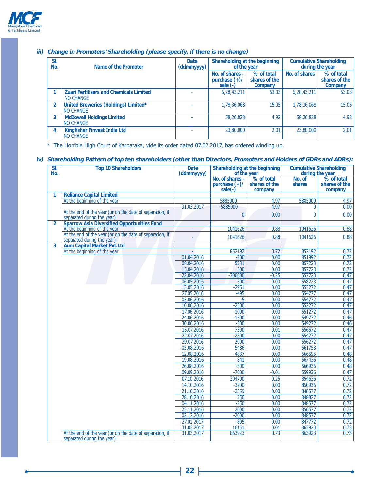

| SI.<br>No.     | Name of the Promoter                                        | <b>Date</b><br>(ddmmyyyy) | Shareholding at the beginning<br>of the year     |                                        | <b>Cumulative Shareholding</b><br>during the year |                                        |  |
|----------------|-------------------------------------------------------------|---------------------------|--------------------------------------------------|----------------------------------------|---------------------------------------------------|----------------------------------------|--|
|                |                                                             |                           | No. of shares -<br>purchase $(+)/$<br>sale $(-)$ | % of total<br>shares of the<br>Company | No. of shares                                     | % of total<br>shares of the<br>Company |  |
|                | <b>Zuari Fertilisers and Chemicals Limited</b><br>NO CHANGE |                           | 6,28,43,211                                      | 53.03                                  | 6,28,43,211                                       | 53.03                                  |  |
| $\overline{2}$ | United Breweries (Holdings) Limited*<br>NO CHANGE           |                           | 1,78,36,068                                      | 15.05                                  | 1,78,36,068                                       | 15.05                                  |  |
| 3              | <b>McDowell Holdings Limited</b><br>NO CHANGE               |                           | 58,26,828                                        | 4.92                                   | 58,26,828                                         | 4.92                                   |  |
| 4              | <b>Kingfisher Finvest India Ltd</b><br>NO CHANGE            |                           | 23,80,000                                        | 2.01                                   | 23,80,000                                         | 2.01                                   |  |

#### **iii) Change in Promoters' Shareholding (please specify, if there is no change)**

\* The Hon'ble High Court of Karnataka, vide its order dated 07.02.2017, has ordered winding up.

#### **iv) Shareholding Pattern of top ten shareholders (other than Directors, Promoters and Holders of GDRs and ADRs):**

| $\overline{\text{SI}}$ .<br>No. | <b>Top 10 Shareholders</b>                                                             | <b>Date</b><br>(ddmmyyyy) | Shareholding at the beginning                   | of the year                            | <b>Cumulative Shareholding</b><br>during the year |                                        |
|---------------------------------|----------------------------------------------------------------------------------------|---------------------------|-------------------------------------------------|----------------------------------------|---------------------------------------------------|----------------------------------------|
|                                 |                                                                                        |                           | No. of shares -<br>purchase $(+)/$<br>$sale(-)$ | % of total<br>shares of the<br>company | No. of<br>shares                                  | % of total<br>shares of the<br>company |
| 1.                              | <b>Reliance Capital Limited</b>                                                        |                           |                                                 |                                        |                                                   |                                        |
|                                 | At the beginning of the year                                                           |                           | 5885000                                         | 4.97                                   | 5885000                                           | 4.97                                   |
|                                 |                                                                                        | 31.03.2017                | -5885000                                        | 4.97                                   | $\mathbf{0}$                                      | 0.00                                   |
|                                 | At the end of the year (or on the date of separation, if<br>separated during the year) |                           | $\theta$                                        | 0.00                                   | $\mathbf{0}$                                      | 0.00                                   |
| $\overline{2}$                  | <b>Sparrow Asia Diversified Opportunities Fund</b>                                     |                           |                                                 |                                        |                                                   |                                        |
|                                 | At the beginning of the year                                                           | $\omega$                  | 1041626                                         | 0.88                                   | 1041626                                           | 0.88                                   |
|                                 | At the end of the year (or on the date of separation, if<br>separated during the year) |                           | 1041626                                         | 0.88                                   | 1041626                                           | 0.88                                   |
| 3                               | <b>Aum Capital Market Pvt.Ltd</b>                                                      |                           |                                                 |                                        |                                                   |                                        |
|                                 | At the beginning of the year                                                           |                           | 852192                                          | 0.72                                   | 852192                                            | 0.72                                   |
|                                 |                                                                                        | 01.04.2016                | $-200$                                          | 0.00                                   | 851992                                            | 0.72                                   |
|                                 |                                                                                        | 08.04.2016                | 5231                                            | 0.00                                   | 857223                                            | 0.72                                   |
|                                 |                                                                                        | 15.04.2016                | 500                                             | 0.00                                   | 857723                                            | 0.72                                   |
|                                 |                                                                                        | 22.04.2016                | $-300000$                                       | $-0.25$                                | 557723                                            | 0.47                                   |
|                                 |                                                                                        | 06.05.2016                | 500                                             | 0.00                                   | 558223                                            | 0.47                                   |
|                                 |                                                                                        | 13.05.2016                | $-2951$                                         | 0.00                                   | 555272                                            | 0.47                                   |
|                                 |                                                                                        | 27.05.2016                | $-495$                                          | 0.00                                   | 554777                                            | 0.47                                   |
|                                 |                                                                                        | 03.06.2016                | $-5$                                            | 0.00                                   | 554772                                            | 0.47                                   |
|                                 |                                                                                        | 10.06.2016                | $-2500$                                         | 0.00                                   | 552272                                            | 0.47                                   |
|                                 |                                                                                        | 17.06.2016                | $-1000$                                         | 0.00                                   | 551272                                            | 0.47                                   |
|                                 |                                                                                        | 24.06.2016                | $-1500$                                         | 0.00                                   | 549772                                            | 0.46                                   |
|                                 |                                                                                        | 30.06.2016                | $-500$                                          | 0.00                                   | 549272                                            | 0.46                                   |
|                                 |                                                                                        | 15.07.2016                | 7300                                            | 0.01                                   | 556572                                            | 0.47                                   |
|                                 |                                                                                        | 22.07.2016                | $-2300$                                         | 0.00                                   | 554272                                            | 0.47                                   |
|                                 |                                                                                        | 29.07.2016                | 2000                                            | 0.00                                   | 556272                                            | 0.47                                   |
|                                 |                                                                                        | 05.08.2016                | 5486                                            | 0.00                                   | 561758                                            | 0.47                                   |
|                                 |                                                                                        | 12.08.2016                | 4837                                            | 0.00                                   | 566595                                            | 0.48                                   |
|                                 |                                                                                        | 19.08.2016                | 841                                             | 0.00                                   | 567436                                            | 0.48                                   |
|                                 |                                                                                        | 26.08.2016                | $-500$                                          | 0.00                                   | 566936                                            | 0.48                                   |
|                                 |                                                                                        | 09.09.2016                | $-7000$                                         | $-0.01$                                | 559936                                            | 0.47                                   |
|                                 |                                                                                        | 07.10.2016                | 294700                                          | 0.25                                   | 854636                                            | 0.72                                   |
|                                 |                                                                                        | 14.10.2016                | $-3700$                                         | 0.00                                   | 850936                                            | 0.72                                   |
|                                 |                                                                                        | 21.10.2016                | $-2359$                                         | 0.00                                   | 848577                                            | 0.72                                   |
|                                 |                                                                                        | 28.10.2016                | 250                                             | 0.00                                   | 848827                                            | 0.72                                   |
|                                 |                                                                                        | 04.11.2016                | $-250$                                          | 0.00                                   | 848577                                            | 0.72                                   |
|                                 |                                                                                        | 25.11.2016                | 2000                                            | 0.00                                   | 850577                                            | 0.72                                   |
|                                 |                                                                                        | 02.12.2016                | $-2000$                                         | 0.00                                   | 848577                                            | 0.72                                   |
|                                 |                                                                                        | 27.01.2017                | $-805$                                          | 0.00                                   | 847772                                            | $\overline{0.72}$                      |
|                                 |                                                                                        | 31.03.2017                | 16151                                           | 0.01                                   | 863923                                            | 0.73                                   |
|                                 | At the end of the year (or on the date of separation, if<br>separated during the year) | 31.03.2017                | 863923                                          | 0.73                                   | 863923                                            | 0.73                                   |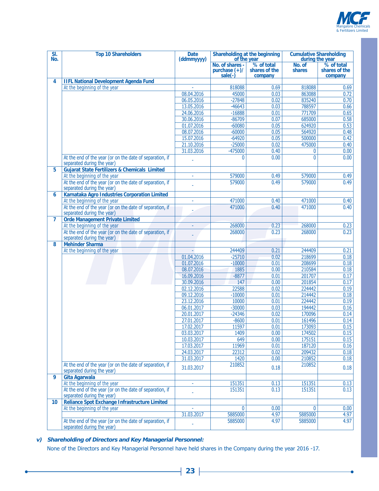

-0

| SI.<br>No.      | <b>Top 10 Shareholders</b>                                                             | <b>Date</b><br>(ddmmyyyy) | Shareholding at the beginning<br>of the year  |                                        | <b>Cumulative Shareholding</b><br>during the year |                                        |
|-----------------|----------------------------------------------------------------------------------------|---------------------------|-----------------------------------------------|----------------------------------------|---------------------------------------------------|----------------------------------------|
|                 |                                                                                        |                           | No. of shares -<br>purchase $(+)/$<br>sale(-) | % of total<br>shares of the<br>company | No. of<br>shares                                  | % of total<br>shares of the<br>company |
| 4               | <b>IIFL National Development Agenda Fund</b>                                           |                           |                                               |                                        |                                                   |                                        |
|                 | At the beginning of the year                                                           |                           | 818088                                        | 0.69                                   | 818088                                            | 0.69                                   |
|                 |                                                                                        | 08.04.2016                | 45000                                         | 0.03                                   | 863088                                            | 0.72                                   |
|                 |                                                                                        | 06.05.2016                | $-27848$                                      | 0.02                                   | 835240                                            | 0.70                                   |
|                 |                                                                                        | 13.05.2016                | $-46643$                                      | 0.03                                   | 788597                                            | 0.66                                   |
|                 |                                                                                        | 24.06.2016                | $-16888$                                      | 0.01                                   | 771709                                            | 0.65                                   |
|                 |                                                                                        | 30.06.2016                | $-86709$                                      | 0.07                                   | 685000                                            | 0.58                                   |
|                 |                                                                                        | 01.07.2016<br>08.07.2016  | $-60080$<br>$-60000$                          | 0.05<br>0.05                           | 624920<br>564920                                  | 0.53<br>0.48                           |
|                 |                                                                                        | 15.07.2016                | $-64920$                                      | 0.05                                   | 500000                                            | 0.42                                   |
|                 |                                                                                        | 21.10.2016                | $-25000$                                      | 0.02                                   | 475000                                            | 0.40                                   |
|                 |                                                                                        | 31.03.2016                | $-475000$                                     | 0.40                                   | 0                                                 | 0.00                                   |
|                 | At the end of the year (or on the date of separation, if<br>separated during the year) |                           | $\Omega$                                      | 0.00                                   | 0                                                 | 0.00                                   |
| 5               | <b>Gujarat State Fertilizers &amp; Chemicals Limited</b>                               |                           |                                               |                                        |                                                   |                                        |
|                 | At the beginning of the year                                                           | ä,                        | 579000                                        | 0.49                                   | 579000                                            | 0.49                                   |
|                 | At the end of the year (or on the date of separation, if<br>separated during the year) |                           | 579000                                        | 0.49                                   | 579000                                            | 0.49                                   |
| 6               | Karnataka Agro Industries Corporation Limited<br>At the beginning of the year          | ä,                        | 471000                                        | 0.40                                   | 471000                                            | 0.40                                   |
|                 | At the end of the year (or on the date of separation, if                               |                           | 471000                                        | 0.40                                   | 471000                                            | 0.40                                   |
| 7               | separated during the year)<br><b>Orde Management Private Limited</b>                   |                           |                                               |                                        |                                                   |                                        |
|                 | At the beginning of the year                                                           | ÷.                        | 268000                                        | 0.23                                   | 268000                                            | 0.23                                   |
|                 | At the end of the year (or on the date of separation, if<br>separated during the year) |                           | 268000                                        | 0.23                                   | 268000                                            | 0.23                                   |
| 8               | <b>Mehinder Sharma</b>                                                                 |                           |                                               |                                        |                                                   |                                        |
|                 | At the beginning of the year                                                           |                           | 244409                                        | 0.21                                   | 244409                                            | 0.21                                   |
|                 |                                                                                        | 01.04.2016<br>01.07.2016  | $-25710$<br>$-10000$                          | 0.02<br>0.01                           | 218699<br>208699                                  | 0.18<br>0.18                           |
|                 |                                                                                        | 08.07.2016                | 1885                                          | 0.00                                   | 210584                                            | 0.18                                   |
|                 |                                                                                        | 16.09.2016                | $-8877$                                       | 0.01                                   | 201707                                            | 0.17                                   |
|                 |                                                                                        | 30.09.2016                | 147                                           | 0.00                                   | 201854                                            | 0.17                                   |
|                 |                                                                                        | 02.12.2016                | 22588                                         | 0.02                                   | 224442                                            | 0.19                                   |
|                 |                                                                                        | 09.12.2016                | $-10000$                                      | 0.01                                   | 214442                                            | 0.18                                   |
|                 |                                                                                        | 23.12.2016                | 10000                                         | 0.01                                   | 224442                                            | 0.19                                   |
|                 |                                                                                        | 06.01.2017                | $-30000$                                      | 0.03                                   | 194442                                            | 0.16                                   |
|                 |                                                                                        | 20.01.2017                | $-24346$                                      | 0.02                                   | 170096                                            | 0.14                                   |
|                 |                                                                                        | 27.01.2017                | $-8600$                                       | 0.01                                   | 161496                                            | 0.14                                   |
|                 |                                                                                        | 17.02.2017<br>03.03.2017  | 11597                                         | 0.01<br>0.00                           | 173093<br>174502                                  | $\overline{0.15}$<br>0.15              |
|                 |                                                                                        | 10.03.2017                | 1409<br>649                                   | 0.00                                   | 175151                                            | 0.15                                   |
|                 |                                                                                        | 17.03.2017                | 11969                                         | 0.01                                   | 187120                                            | 0.16                                   |
|                 |                                                                                        | 24.03.2017                | 22312                                         | 0.02                                   | 209432                                            | 0.18                                   |
|                 |                                                                                        | 31.03.2017                | 1420                                          | 0.00                                   | 210852                                            | 0.18                                   |
|                 | At the end of the year (or on the date of separation, if<br>separated during the year) | 31.03.2017                | 210852                                        | 0.18                                   | 210852                                            | 0.18                                   |
| 9               | Gita Agarwala                                                                          |                           |                                               |                                        |                                                   |                                        |
|                 | At the beginning of the year                                                           |                           | 151351                                        | 0.13                                   | 151351                                            | 0.13                                   |
|                 | At the end of the year (or on the date of separation, if<br>separated during the year) |                           | 151351                                        | 0.13                                   | 151351                                            | 0.13                                   |
| 10 <sup>°</sup> | <b>Reliance Spot Exchange Infrastructure Limited</b>                                   |                           |                                               |                                        | 0                                                 |                                        |
|                 | At the beginning of the year                                                           | 31.03.2017                | $\theta$<br>5885000                           | 0.00<br>4.97                           | 5885000                                           | 0.00<br>4.97                           |
|                 | At the end of the year (or on the date of separation, if                               |                           | 5885000                                       | 4.97                                   | 5885000                                           | 4.97                                   |
|                 | separated during the year)                                                             |                           |                                               |                                        |                                                   |                                        |

**v) Shareholding of Directors and Key Managerial Personnel:**

None of the Directors and Key Managerial Personnel have held shares in the Company during the year 2016 -17.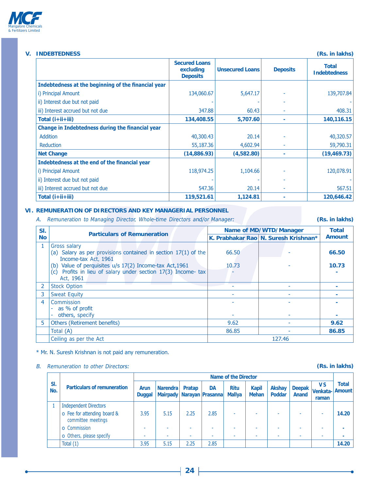

### **V. INDEBTEDNESS (Rs. in lakhs)**

|                                                     | <b>Secured Loans</b><br>excluding<br><b>Deposits</b> | <b>Unsecured Loans</b> | <b>Deposits</b> | <b>Total</b><br><b>Indebtedness</b> |
|-----------------------------------------------------|------------------------------------------------------|------------------------|-----------------|-------------------------------------|
| Indebtedness at the beginning of the financial year |                                                      |                        |                 |                                     |
| i) Principal Amount                                 | 134,060.67                                           | 5,647.17               |                 | 139,707.84                          |
| ii) Interest due but not paid                       |                                                      |                        |                 |                                     |
| iii) Interest accrued but not due                   | 347.88                                               | 60.43                  |                 | 408.31                              |
| Total $(i+ii+iii)$                                  | 134,408.55                                           | 5,707.60               | ٠               | 140,116.15                          |
| Change in Indebtedness during the financial year    |                                                      |                        |                 |                                     |
| Addition                                            | 40,300.43                                            | 20.14                  |                 | 40,320.57                           |
| Reduction                                           | 55,187.36                                            | 4,602.94               |                 | 59,790.31                           |
| <b>Net Change</b>                                   | (14,886.93)                                          | (4,582.80)             |                 | (19, 469.73)                        |
| Indebtedness at the end of the financial year       |                                                      |                        |                 |                                     |
| <i>i</i> ) Principal Amount                         | 118,974.25                                           | 1,104.66               |                 | 120,078.91                          |
| ii) Interest due but not paid                       |                                                      |                        |                 |                                     |
| iii) Interest accrued but not due                   | 547.36                                               | 20.14                  |                 | 567.51                              |
| Total $(i+ii+iii)$                                  | 119,521.61                                           | 1,124.81               |                 | 120,646.42                          |

#### **VI. REMUNERATION OF DIRECTORS AND KEY MANAGERIAL PERSONNEL**

A. Remuneration to Managing Director, Whole-time Directors and/or Manager: **Communist CRS. in lakhs)** 

| SI.       | <b>Particulars of Remuneration</b>                                                                                                       |       | Name of MD/WTD/Manager               | Total         |
|-----------|------------------------------------------------------------------------------------------------------------------------------------------|-------|--------------------------------------|---------------|
| <b>No</b> |                                                                                                                                          |       | K. Prabhakar Rao N. Suresh Krishnan* | <b>Amount</b> |
|           | Gross salary<br>(a) Salary as per provisions contained in section $17(1)$ of the<br>Income-tax Act, 1961                                 | 66.50 |                                      | 66.50         |
|           | (b) Value of perquisites u/s 17(2) Income-tax Act, 1961<br>Profits in lieu of salary under section 17(3) Income- tax<br>(c)<br>Act, 1961 | 10.73 |                                      | 10.73         |
|           | <b>Stock Option</b>                                                                                                                      |       |                                      |               |
| 3         | <b>Sweat Equity</b>                                                                                                                      |       |                                      |               |
| 4         | Commission<br>- as % of profit<br>others, specify                                                                                        |       |                                      |               |
| 5         | <b>Others (Retirement benefits)</b>                                                                                                      | 9.62  |                                      | 9.62          |
|           | Total (A)                                                                                                                                | 86.85 |                                      | 86.85         |
|           | Ceiling as per the Act                                                                                                                   |       | 127.46                               |               |

\* Mr. N. Suresh Krishnan is not paid any remuneration.

## **B.** Remuneration to other Directors: **COVIDENTS** (Rs. in lakhs)

|            |                                                   | Name of the Director         |                                                  |        |           |                              |                              |                         |                        |                                |                               |
|------------|---------------------------------------------------|------------------------------|--------------------------------------------------|--------|-----------|------------------------------|------------------------------|-------------------------|------------------------|--------------------------------|-------------------------------|
| SI.<br>No. | <b>Particulars of remuneration</b>                | <b>Arun</b><br><b>Duggal</b> | <b>Narendra</b><br>Mairpady   Narayan   Prasanna | Pratap | <b>DA</b> | <b>Ritu</b><br><b>Mallya</b> | <b>Kapil</b><br><b>Mehan</b> | Akshay<br><b>Poddar</b> | <b>Deepak</b><br>Anand | <b>VS</b><br>Venkata-<br>raman | <b>Total</b><br><b>Amount</b> |
|            | <b>Independent Directors</b>                      |                              |                                                  |        |           |                              |                              |                         |                        |                                |                               |
|            | o Fee for attending board &<br>committee meetings | 3.95                         | 5.15                                             | 2.25   | 2.85      |                              |                              | -                       |                        |                                | 14.20                         |
|            | o Commission                                      |                              | -                                                |        | ۰         |                              |                              | -                       |                        |                                |                               |
|            | o Others, please specify                          |                              | -                                                |        | ۰         |                              |                              | ۰                       |                        |                                |                               |
|            | Total (1)                                         | 3.95                         | 5.15                                             | 2.25   | 2.85      |                              |                              |                         |                        |                                | 14.20                         |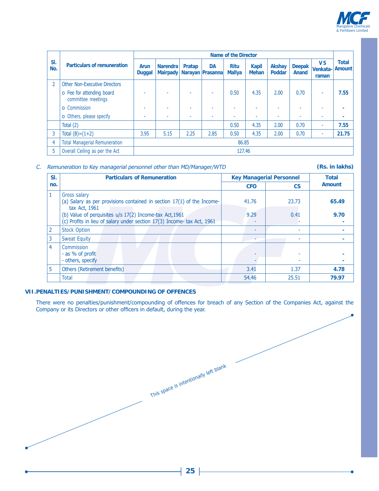

|            |                                                 | Name of the Director         |                                    |        |                               |                              |                              |                         |                        |                                |                               |
|------------|-------------------------------------------------|------------------------------|------------------------------------|--------|-------------------------------|------------------------------|------------------------------|-------------------------|------------------------|--------------------------------|-------------------------------|
| SI.<br>No. | <b>Particulars of remuneration</b>              | <b>Arun</b><br><b>Duggal</b> | <b>Narendra</b><br><b>Mairpady</b> | Pratap | <b>DA</b><br>Narayan Prasanna | <b>Ritu</b><br><b>Mallya</b> | <b>Kapil</b><br><b>Mehan</b> | Akshay<br><b>Poddar</b> | <b>Deepak</b><br>Anand | <b>VS</b><br>Venkata-<br>raman | <b>Total</b><br><b>Amount</b> |
|            | <b>Other Non-Executive Directors</b>            |                              |                                    |        |                               |                              |                              |                         |                        |                                |                               |
|            | o Fee for attending board<br>committee meetings |                              |                                    |        | ۰                             | 0.50                         | 4.35                         | 2.00                    | 0.70                   | ٠                              | 7.55                          |
|            | <b>o</b> Commission                             |                              | ٠                                  |        | ٠                             |                              |                              | ٠                       |                        | ۰                              |                               |
|            | o Others, please specify                        |                              | $\sim$                             | ۰      | $\sim$                        |                              | ٠                            | ٠                       |                        | ٠                              |                               |
|            | Total $(2)$                                     |                              |                                    |        |                               | 0.50                         | 4.35                         | 2.00                    | 0.70                   | ٠                              | 7.55                          |
| 3          | Total $(B)=(1+2)$                               | 3.95                         | 5.15                               | 2.25   | 2.85                          | 0.50                         | 4.35                         | 2.00                    | 0.70                   | ۰                              | 21.75                         |
| 4          | <b>Total Managerial Remuneration</b>            | 86.85                        |                                    |        |                               |                              |                              |                         |                        |                                |                               |
|            | Overall Ceiling as per the Act                  |                              |                                    |        |                               | 127.46                       |                              |                         |                        |                                |                               |

#### C. Remuneration to Key managerial personnel other than MD/Manager/WTD **Canadian Condomnation** (Rs. in lakhs)

| SI.            | <b>Particulars of Remuneration</b>                                                                                                 |            | <b>Key Managerial Personnel</b> | <b>Total</b>  |
|----------------|------------------------------------------------------------------------------------------------------------------------------------|------------|---------------------------------|---------------|
| no.            |                                                                                                                                    | <b>CFO</b> | <b>CS</b>                       | <b>Amount</b> |
| $\mathbf{1}$   | <b>Gross salary</b><br>(a) Salary as per provisions contained in section 17(1) of the Income-<br>tax Act, 1961                     | 41.76      | 23.73                           | 65.49         |
|                | (b) Value of perquisites u/s 17(2) Income-tax Act, 1961<br>(c) Profits in lieu of salary under section 17(3) Income- tax Act, 1961 | 9.29       | 0.41                            | 9.70          |
| $\overline{2}$ | <b>Stock Option</b>                                                                                                                |            |                                 |               |
| 3              | <b>Sweat Equity</b>                                                                                                                |            |                                 |               |
| $\overline{4}$ | Commission<br>- as % of profit<br>- others, specify                                                                                |            |                                 |               |
| 5              | <b>Others (Retirement benefits)</b>                                                                                                | 3.41       | 1.37                            | 4.78          |
|                | <b>Total</b>                                                                                                                       | 54.46      | 25.51                           | 79.97         |

#### **VII. PENALTIES/PUNISHMENT/COMPOUNDING OF OFFENCES**

There were no penalties/punishment/compounding of offences for breach of any Section of the Companies Act, against the Company or its Directors or other officers in default, during the year.

This space is intentionally left blank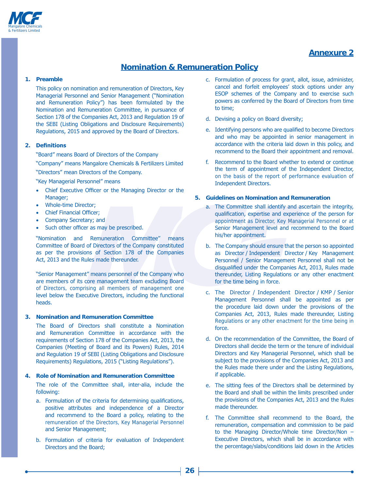

# **Annexure 2**

# **Nomination & Remuneration Policy**

#### **1. Preamble**

This policy on nomination and remuneration of Directors, Key Managerial Personnel and Senior Management ("Nomination and Remuneration Policy") has been formulated by the Nomination and Remuneration Committee, in pursuance of Section 178 of the Companies Act, 2013 and Regulation 19 of the SEBI (Listing Obligations and Disclosure Requirements) Regulations, 2015 and approved by the Board of Directors.

#### **2. Definitions**

"Board" means Board of Directors of the Company

"Company" means Mangalore Chemicals & Fertilizers Limited

"Directors" mean Directors of the Company.

"Key Managerial Personnel" means

- Chief Executive Officer or the Managing Director or the Manager;
- Whole-time Director:
- Chief Financial Officer;
- Company Secretary; and
- Such other officer as may be prescribed.

"Nomination and Remuneration Committee" means Committee of Board of Directors of the Company constituted as per the provisions of Section 178 of the Companies Act, 2013 and the Rules made thereunder.

"Senior Management" means personnel of the Company who are members of its core management team excluding Board of Directors, comprising all members of management one level below the Executive Directors, including the functional heads.

#### **3. Nomination and Remuneration Committee**

The Board of Directors shall constitute a Nomination and Remuneration Committee in accordance with the requirements of Section 178 of the Companies Act, 2013, the Companies (Meeting of Board and its Powers) Rules, 2014 and Regulation 19 of SEBI (Listing Obligations and Disclosure Requirements) Requlations, 2015 ("Listing Requlations").

#### **4. Role of Nomination and Remuneration Committee**

The role of the Committee shall, inter-alia, include the following:

- a. Formulation of the criteria for determining qualifications, positive attributes and independence of a Director and recommend to the Board a policy, relating to the remuneration of the Directors, Key Managerial Personnel and Senior Management;
- b. Formulation of criteria for evaluation of Independent Directors and the Board:
- c. Formulation of process for grant, allot, issue, administer, cancel and forfeit employees' stock options under any ESOP schemes of the Company and to exercise such powers as conferred by the Board of Directors from time to time:
- d. Devising a policy on Board diversity;
- e. Identifying persons who are qualified to become Directors and who may be appointed in senior management in accordance with the criteria laid down in this policy, and recommend to the Board their appointment and removal.
- f. Recommend to the Board whether to extend or continue the term of appointment of the Independent Director, on the basis of the report of performance evaluation of Independent Directors.

#### **5. Guidelines on Nomination and Remuneration**

- a. The Committee shall identify and ascertain the integrity, qualification, expertise and experience of the person for appointment as Director, Key Managerial Personnel or at Senior Management level and recommend to the Board his/her appointment.
- b. The Company should ensure that the person so appointed as Director / Independent Director / Key Management Personnel / Senior Management Personnel shall not be disqualified under the Companies Act, 2013, Rules made thereunder, Listing Regulations or any other enactment for the time being in force.
- c. The Director / Independent Director / KMP / Senior Management Personnel shall be appointed as per the procedure laid down under the provisions of the Companies Act, 2013, Rules made thereunder, Listing Regulations or any other enactment for the time being in force.
- d. On the recommendation of the Committee, the Board of Directors shall decide the term or the tenure of individual Directors and Key Managerial Personnel, which shall be subject to the provisions of the Companies Act, 2013 and the Rules made there under and the Listing Regulations, if applicable.
- e. The sitting fees of the Directors shall be determined by the Board and shall be within the limits prescribed under the provisions of the Companies Act, 2013 and the Rules made thereunder.
- f. The Committee shall recommend to the Board, the remuneration, compensation and commission to be paid to the Managing Director/Whole time Director/Non  $-$ Executive Directors, which shall be in accordance with the percentage/slabs/conditions laid down in the Articles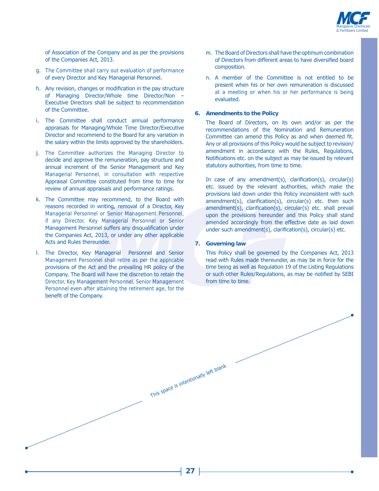

of Association of the Company and as per the provisions of the Companies Act, 2013.

- g. The Committee shall carry out evaluation of performance of every Director and Key Managerial Personnel.
- h. Any revision, changes or modification in the pay structure of Managing Director/Whole time Director/Non -Executive Directors shall be subject to recommendation of the Committee.
- i. The Committee shall conduct annual performance appraisals for Managing/Whole Time Director/Executive Director and recommend to the Board for any variation in the salary within the limits approved by the shareholders.
- j. The Committee authorizes the Managing Director to decide and approve the remuneration, pay structure and annual increment of the Senior Management and Key Managerial Personnel, in consultation with respective Appraisal Committee constituted from time to time for review of annual appraisals and performance ratings.
- k. The Committee may recommend, to the Board with reasons recorded in writing, removal of a Director, Key Managerial Personnel or Senior Management Personnel, if any Director, Key Managerial Personnel or Senior Management Personnel suffers any disqualification under the Companies Act, 2013, or under any other applicable Acts and Rules thereunder.
- I. The Director, Key Managerial Personnel and Senior Management Personnel shall retire as per the applicable provisions of the Act and the prevailing HR policy of the Company. The Board will have the discretion to retain the Director, Key Management Personnel, Senior Management Personnel even after attaining the retirement age, for the benefit of the Company.
- m. The Board of Directors shall have the optimum combination of Directors from different areas to have diversified board composition.
- n. A member of the Committee is not entitled to be present when his or her own remuneration is discussed at a meeting or when his or her performance is being evaluated.

#### **6. Amendments to the Policy**

The Board of Directors, on its own and/or as per the recommendations of the Nomination and Remuneration Committee can amend this Policy as and when deemed fit. Any or all provisions of this Policy would be subject to revision/ amendment in accordance with the Rules, Regulations, Notifications etc. on the subject as may be issued by relevant statutory authorities, from time to time.

In case of any amendment(s), clarification(s), circular(s) etc. issued by the relevant authorities, which make the provisions laid down under this Policy inconsistent with such  $amendment(s)$ , clarification(s), circular(s) etc. then such  $a$ mendment(s), clarification(s), circular(s) etc. shall prevail upon the provisions hereunder and this Policy shall stand amended accordingly from the effective date as laid down under such amendment(s), clarification(s), circular(s) etc.

#### **7. Governing law**

This Policy shall be governed by the Companies Act, 2013 read with Rules made thereunder, as may be in force for the time being as well as Regulation 19 of the Listing Regulations or such other Rules/Regulations, as may be notified by SEBI from time to time.

This space is intentionally left blank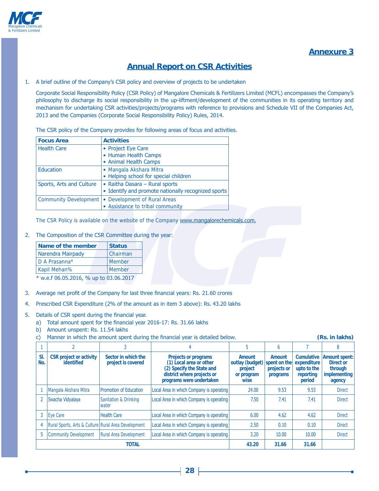

# **Annexure 3**

# **Annual Report on CSR Activities**

1. A brief outline of the Company's CSR policy and overview of projects to be undertaken

Corporate Social Responsibility Policy (CSR Policy) of Mangalore Chemicals & Fertilizers Limited (MCFL) encompasses the Company's philosophy to discharge its social responsibility in the up-liftment/development of the communities in its operating territory and mechanism for undertaking CSR activities/projects/programs with reference to provisions and Schedule VII of the Companies Act, 2013 and the Companies (Corporate Social Responsibility Policy) Rules, 2014.

The CSR policy of the Company provides for following areas of focus and activities.

| <b>Focus Area</b>            | <b>Activities</b>                                   |
|------------------------------|-----------------------------------------------------|
| <b>Health Care</b>           | • Project Eye Care                                  |
|                              | • Human Health Camps                                |
|                              | • Animal Health Camps                               |
| <b>Education</b>             | • Mangala Akshara Mitra                             |
|                              | • Helping school for special children               |
| Sports, Arts and Culture     | • Raitha Dasara – Rural sports                      |
|                              | • Identify and promote nationally recognized sports |
| <b>Community Development</b> | • Development of Rural Areas                        |
|                              | • Assistance to tribal community                    |

The CSR Policy is available on the website of the Company www.mangalorechemicals.com.

2. The Composition of the CSR Committee during the year:

| <b>Name of the member</b> | <b>Status</b> |
|---------------------------|---------------|
| Narendra Mairpady         | l Chairman    |
| D A Prasanna*             | <b>Member</b> |
| <b>Kapil Mehan%</b>       | <b>Member</b> |
| $\Delta$                  |               |

 $*$  w.e.f 06.05.2016, % up to 03.06.2017

- 3. Average net profit of the Company for last three financial years: Rs. 21.60 crores
- 4. Prescribed CSR Expenditure (2% of the amount as in item 3 above): Rs. 43.20 lakhs
- 5. Details of CSR spent during the financial year.
	- a) Total amount spent for the financial year 2016-17: Rs. 31.66 lakhs
	- b) Amount unspent: Rs. 11.54 lakhs
	- c) Manner in which the amount spent during the financial year is detailed below. (Rs. in lakhs)

|            |                                                     |                                           | 4                                                                                                                                             |                                                                         | h                                 |                                                                        |                                                                                      |
|------------|-----------------------------------------------------|-------------------------------------------|-----------------------------------------------------------------------------------------------------------------------------------------------|-------------------------------------------------------------------------|-----------------------------------|------------------------------------------------------------------------|--------------------------------------------------------------------------------------|
| SI.<br>No. | <b>CSR</b> project or activity<br><b>identified</b> | Sector in which the<br>project is covered | <b>Projects or programs</b><br>(1) Local area or other<br>(2) Specify the State and<br>district where projects or<br>programs were undertaken | Amount<br>outlay (budget) spent on the<br>project<br>or program<br>wise | Amount<br>projects or<br>programs | <b>Cumulative</b><br>expenditure<br>upto to the<br>reporting<br>period | <b>Amount spent:</b><br><b>Direct or</b><br>through<br><i>implementing</i><br>agency |
|            | Mangala Akshara Mitra                               | Promotion of Education                    | Local Area in which Company is operating                                                                                                      | 24.00                                                                   | 9.53                              | 9.53                                                                   | <b>Direct</b>                                                                        |
|            | Swacha Vidyalaya                                    | Sanitation & Drinking<br>Iwater           | Local Area in which Company is operating                                                                                                      | 7.50                                                                    | 7.41                              | 7.41                                                                   | <b>Direct</b>                                                                        |
| 3          | <b>Eye Care</b>                                     | <b>Health Care</b>                        | Local Area in which Company is operating                                                                                                      | 6.00                                                                    | 4.62                              | 4.62                                                                   | <b>Direct</b>                                                                        |
| 4          | Rural Sports, Arts & Culture Rural Area Development |                                           | Local Area in which Company is operating                                                                                                      | 2.50                                                                    | 0.10                              | 0.10                                                                   | <b>Direct</b>                                                                        |
| 5          | Community Development                               | <b>Rural Area Development</b>             | Local Area in which Company is operating                                                                                                      | 3.20                                                                    | 10.00                             | 10.00                                                                  | <b>Direct</b>                                                                        |
|            |                                                     | <b>TOTAL</b>                              |                                                                                                                                               | 43.20                                                                   | 31.66                             | 31.66                                                                  |                                                                                      |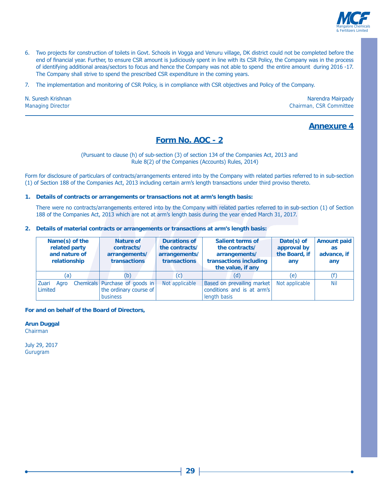

- 6. Two projects for construction of toilets in Govt. Schools in Vogga and Venuru village, DK district could not be completed before the end of financial year. Further, to ensure CSR amount is judiciously spent in line with its CSR Policy, the Company was in the process of identifying additional areas/sectors to focus and hence the Company was not able to spend the entire amount during 2016 -17. The Company shall strive to spend the prescribed CSR expenditure in the coming years.
- 7. The implementation and monitoring of CSR Policy, is in compliance with CSR objectives and Policy of the Company.

N. Suresh Krishnan **Managing Director** 

Narendra Mairpady Chairman, CSR Committee

# **Annexure 4**

# Form No. AOC - 2

#### (Pursuant to clause (h) of sub-section (3) of section 134 of the Companies Act, 2013 and Rule 8(2) of the Companies (Accounts) Rules, 2014)

Form for disclosure of particulars of contracts/arrangements entered into by the Company with related parties referred to in sub-section (1) of Section 188 of the Companies Act, 2013 including certain arm's length transactions under third proviso thereto.

#### 1. Details of contracts or arrangements or transactions not at arm's length basis:

There were no contracts/arrangements entered into by the Company with related parties referred to in sub-section (1) of Section 188 of the Companies Act, 2013 which are not at arm's length basis during the year ended March 31, 2017.

2. Details of material contracts or arrangements or transactions at arm's length basis:

| Name(s) of the<br>related party<br>and nature of<br>relationship | <b>Nature of</b><br>contracts/<br>arrangements/<br>transactions      | <b>Durations of</b><br>the contracts/<br>arrangements/<br><b>transactions</b> | <b>Salient terms of</b><br>the contracts/<br>arrangements/<br>transactions including<br>the value, if any | Date(s) of<br>approval by<br>the Board, if<br>any | <b>Amount paid</b><br><b>as</b><br>advance, if<br>any |
|------------------------------------------------------------------|----------------------------------------------------------------------|-------------------------------------------------------------------------------|-----------------------------------------------------------------------------------------------------------|---------------------------------------------------|-------------------------------------------------------|
| (a)                                                              | (b)                                                                  | (c)                                                                           | (d)                                                                                                       | (e)                                               | (f)                                                   |
| Zuari<br>Agro<br>Limited                                         | Chemicals Purchase of goods in<br>the ordinary course of<br>business | Not applicable                                                                | Based on prevailing market<br>conditions and is at arm's<br>length basis                                  | Not applicable                                    | <b>Nil</b>                                            |

#### For and on behalf of the Board of Directors,

**Arun Duggal** Chairman

July 29, 2017 Gurugram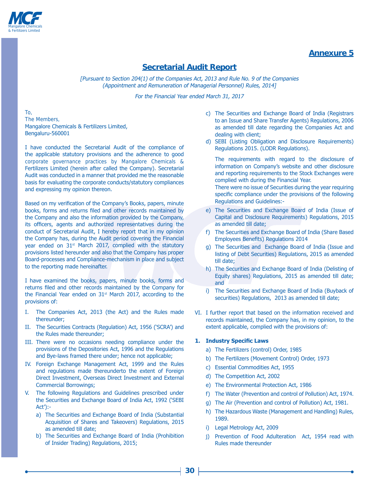

# **Annexure 5**

# **Secretarial Audit Report**

[Pursuant to Section 204(1) of the Companies Act, 2013 and Rule No. 9 of the Companies (Appointment and Remuneration of Managerial Personnel) Rules, 2014]

For the Financial Year ended March 31, 2017

To, The Members, Mangalore Chemicals & Fertilizers Limited, Bengaluru-560001

I have conducted the Secretarial Audit of the compliance of the applicable statutory provisions and the adherence to good corporate governance practices by Mangalore Chemicals & Fertilizers Limited (herein after called the Company). Secretarial Audit was conducted in a manner that provided me the reasonable basis for evaluating the corporate conducts/statutory compliances and expressing my opinion thereon.

Based on my verification of the Company's Books, papers, minute books, forms and returns filed and other records maintained by the Company and also the information provided by the Company, its officers, agents and authorized representatives during the conduct of Secretarial Audit, I hereby report that in my opinion the Company has, during the Audit period covering the Financial year ended on 31<sup>st</sup> March 2017, complied with the statutory provisions listed hereunder and also that the Company has proper Board-processes and Compliance-mechanism in place and subject to the reporting made hereinafter.

I have examined the books, papers, minute books, forms and returns filed and other records maintained by the Company for the Financial Year ended on  $31<sup>st</sup>$  March 2017, according to the provisions of:

- I. The Companies Act, 2013 (the Act) and the Rules made thereunder:
- II. The Securities Contracts (Regulation) Act, 1956 ('SCRA') and the Rules made thereunder;
- III. There were no occasions needing compliance under the provisions of the Depositories Act, 1996 and the Regulations and Bye-laws framed there under; hence not applicable;
- IV. Foreign Exchange Management Act, 1999 and the Rules and regulations made thereunderto the extent of Foreign Direct Investment, Overseas Direct Investment and External Commercial Borrowings;
- V. The following Regulations and Guidelines prescribed under the Securities and Exchange Board of India Act, 1992 ('SEBI  $Act$ :
	- a) The Securities and Exchange Board of India (Substantial Acquisition of Shares and Takeovers) Regulations, 2015 as amended till date:
	- b) The Securities and Exchange Board of India (Prohibition of Insider Trading) Regulations, 2015;
- c) The Securities and Exchange Board of India (Registrars to an Issue and Share Transfer Agents) Regulations, 2006 as amended till date regarding the Companies Act and dealing with client;
- d) SEBI (Listing Obligation and Disclosure Requirements) Regulations 2015. (LODR Regulations).

The requirements with regard to the disclosure of information on Company's website and other disclosure and reporting requirements to the Stock Exchanges were complied with during the Financial Year. There were no issue of Securities during the year requiring

specific compliance under the provisions of the following Regulations and Guidelines:-

- e) The Securities and Exchange Board of India (Issue of Capital and Disclosure Requirements) Requlations, 2015 as amended till date:
- f) The Securities and Exchange Board of India (Share Based Employees Benefits) Regulations 2014
- q) The Securities and Exchange Board of India (Issue and listing of Debt Securities) Regulations, 2015 as amended till date;
- h) The Securities and Exchange Board of India (Delisting of Equity shares) Regulations, 2015 as amended till date; and
- i) The Securities and Exchange Board of India (Buyback of securities) Regulations, 2013 as amended till date;
- VI. I further report that based on the information received and records maintained, the Company has, in my opinion, to the extent applicable, complied with the provisions of:

#### **1. Industry Specific Laws**

- a) The Fertilizers (control) Order, 1985
- b) The Fertilizers (Movement Control) Order, 1973
- c) Essential Commodities Act, 1955
- d) The Competition Act, 2002
- e) The Environmental Protection Act, 1986
- f) The Water (Prevention and control of Pollution) Act, 1974.
- g) The Air (Prevention and control of Pollution) Act, 1981.
- h) The Hazardous Waste (Management and Handling) Rules, 1989.
- i) Legal Metrology Act, 2009
- j) Prevention of Food Adulteration Act, 1954 read with Rules made thereunder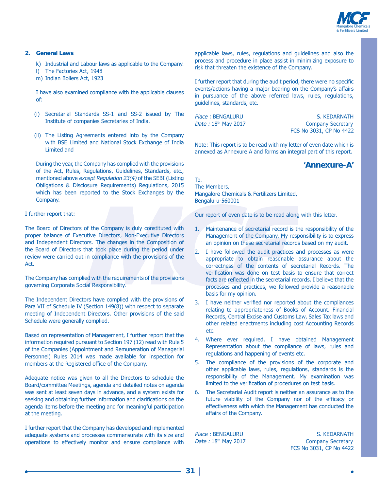

#### 2. General Laws

- k) Industrial and Labour laws as applicable to the Company.
- I) The Factories Act, 1948
- m) Indian Boilers Act, 1923

I have also examined compliance with the applicable clauses of:

- (i) Secretarial Standards SS-1 and SS-2 issued by The Institute of companies Secretaries of India.
- (ii) The Listing Agreements entered into by the Company with BSE Limited and National Stock Exchange of India Limited and

During the year, the Company has complied with the provisions of the Act, Rules, Regulations, Guidelines, Standards, etc., mentioned above except Regulation 23(4) of the SEBI (Listing Obligations & Disclosure Requirements) Regulations, 2015 which has been reported to the Stock Exchanges by the Company.

#### I further report that:

The Board of Directors of the Company is duly constituted with proper balance of Executive Directors, Non-Executive Directors and Independent Directors. The changes in the Composition of the Board of Directors that took place during the period under review were carried out in compliance with the provisions of the Act.

The Company has complied with the requirements of the provisions governing Corporate Social Responsibility.

The Independent Directors have complied with the provisions of Para VII of Schedule IV (Section 149(8)) with respect to separate meeting of Independent Directors. Other provisions of the said Schedule were generally complied.

Based on representation of Management, I further report that the information required pursuant to Section 197 (12) read with Rule 5 of the Companies (Appointment and Remuneration of Managerial Personnel) Rules 2014 was made available for inspection for members at the Registered office of the Company.

Adequate notice was given to all the Directors to schedule the Board/committee Meetings, agenda and detailed notes on agenda was sent at least seven days in advance, and a system exists for seeking and obtaining further information and clarifications on the agenda items before the meeting and for meaningful participation at the meeting.

I further report that the Company has developed and implemented adequate systems and processes commensurate with its size and operations to effectively monitor and ensure compliance with

applicable laws, rules, regulations and guidelines and also the process and procedure in place assist in minimizing exposure to risk that threaten the existence of the Company.

I further report that during the audit period, there were no specific events/actions having a major bearing on the Company's affairs in pursuance of the above referred laws, rules, regulations, quidelines, standards, etc.

Place: BENGALURU Date: 18th May 2017

S. KEDARNATH **Company Secretary** FCS No 3031, CP No 4422

Note: This report is to be read with my letter of even date which is annexed as Annexure A and forms an integral part of this report.

# 'Annexure-A'

To. The Members. Mangalore Chemicals & Fertilizers Limited, Bengaluru-560001

Our report of even date is to be read along with this letter.

- 1. Maintenance of secretarial record is the responsibility of the Management of the Company. My responsibility is to express an opinion on these secretarial records based on my audit.
- 2. I have followed the audit practices and processes as were appropriate to obtain reasonable assurance about the correctness of the contents of secretarial Records. The verification was done on test basis to ensure that correct facts are reflected in the secretarial records. I believe that the processes and practices, we followed provide a reasonable basis for my opinion.
- 3. I have neither verified nor reported about the compliances relating to appropriateness of Books of Account, Financial Records, Central Excise and Customs Law, Sales Tax laws and other related enactments including cost Accounting Records etc.
- 4. Where ever required, I have obtained Management Representation about the compliance of laws, rules and regulations and happening of events etc.
- 5. The compliance of the provisions of the corporate and other applicable laws, rules, regulations, standards is the responsibility of the Management. My examination was limited to the verification of procedures on test basis.
- 6. The Secretarial Audit report is neither an assurance as to the future viability of the Company nor of the efficacy or effectiveness with which the Management has conducted the affairs of the Company.

Place: BENGALURU Date: 18th May 2017

S. KEDARNATH **Company Secretary** FCS No 3031, CP No 4422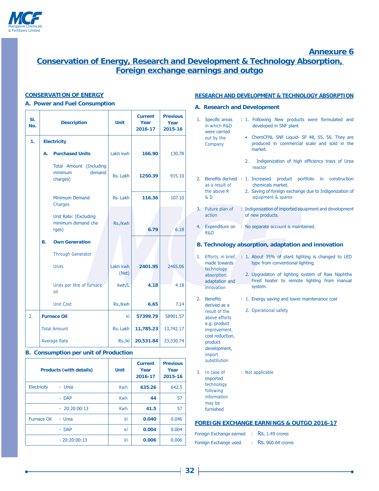

# **Annexure 6**

# **Conservation of Energy, Research and Development & Technology Absorption,** Foreign exchange earnings and outgo

#### **CONSERVATION OF ENERGY**

#### A. Power and Fuel Consumption

| SI.<br>No.          | <b>Description</b> |                                                          | <b>Unit</b>       | <b>Current</b><br>Year<br>2016-17 | <b>Previous</b><br>Year<br>2015-16 |
|---------------------|--------------------|----------------------------------------------------------|-------------------|-----------------------------------|------------------------------------|
| 1.                  |                    | <b>Electricity</b>                                       |                   |                                   |                                    |
|                     | А.                 | <b>Purchased Units</b>                                   | Lakh kwh          | 166.90                            | 130.78                             |
|                     |                    | Total Amount (Including<br>demand<br>minimum<br>charges) | Rs. Lakh          | 1250.39                           | 915.10                             |
|                     |                    | Minimum Demand<br>Charges                                | Rs. Lakh          | 116.36                            | 107.10                             |
|                     |                    | Unit Rate: (Excluding<br>minimum demand cha<br>rges)     | Rs./kwh           | 6.79                              | 6.18                               |
|                     | В.                 | <b>Own Generation</b><br><b>Through Generator</b>        |                   |                                   |                                    |
|                     |                    | <b>Units</b>                                             | Lakh kwh<br>(Net) | 2401.95                           | 2465.06                            |
|                     |                    | Units per litre of furnace<br>oil                        | kwh/L             | 4.18                              | 4.18                               |
|                     |                    | <b>Unit Cost</b>                                         | Rs./kwh           | 6.65                              | 7.14                               |
| 2.                  |                    | <b>Furnace Oil</b>                                       | kL                | 57399.79                          | 58901.57                           |
| <b>Total Amount</b> |                    | Rs. Lakh                                                 | 11,785.23         | 13,742.17                         |                                    |
|                     |                    | <b>Average Rate</b>                                      | Rs./kl            | 20,531.84                         | 23,330.74                          |

### **B. Consumption per unit of Production**

| <b>Products (with details)</b> | <b>Unit</b> | <b>Current</b><br>Year<br>2016-17 | <b>Previous</b><br>Year<br>2015-16 |
|--------------------------------|-------------|-----------------------------------|------------------------------------|
| <b>Electricity</b><br>- Urea   | <b>Kwh</b>  | 635.26                            | 642.5                              |
| - DAP                          | <b>Kwh</b>  | 44                                | 57                                 |
| $-20:20:00:13$                 | <b>Kwh</b>  | 41.5                              | 57                                 |
| <b>Furnace Oil</b><br>- Urea   | kl          | 0.040                             | 0.046                              |
| - DAP                          | kl          | 0.004                             | 0.004                              |
| $-20:20:00:13$                 | kl          | 0.006                             | 0.006                              |

#### **RESEARCH AND DEVELOPMENT & TECHNOLOGY ABSORPTION**

#### A. Research and Development

| 1.<br>Specific areas<br>in which R&D                                                                                                                                            |                                 | : 1. Following New products were formulated and<br>developed in SNF plant                                                                                                                                   |
|---------------------------------------------------------------------------------------------------------------------------------------------------------------------------------|---------------------------------|-------------------------------------------------------------------------------------------------------------------------------------------------------------------------------------------------------------|
| were carried<br>out by the<br>Company                                                                                                                                           |                                 | • ChemCFNL SNF Liquid- SF 48, 55, 56. They are<br>produced in commercial scale and sold in the<br>market.                                                                                                   |
|                                                                                                                                                                                 | 2.                              | Indigenization of high efficiency trays of Urea<br>reactor                                                                                                                                                  |
| 2.<br>as a result of<br>the above R<br>& D                                                                                                                                      | Benefits derived : 1. Increased | product<br>portfolio<br>in -<br>construction<br>chemicals market.<br>2. Saving of foreign exchange due to Indigenization of<br>equipment & spares                                                           |
| 3. Future plan of<br>action                                                                                                                                                     |                                 | : Indigenization of imported equipment and development<br>of new products.                                                                                                                                  |
| <b>Expenditure on</b><br>4.<br>R&D                                                                                                                                              |                                 | : No separate account is maintained.                                                                                                                                                                        |
|                                                                                                                                                                                 |                                 | B. Technology absorption, adaptation and innovation                                                                                                                                                         |
| 1.<br>made towards<br>technology<br>absorption,<br>adaptation and                                                                                                               |                                 | Efforts, in brief, : 1. About 35% of plant lighting is changed to LED<br>type from conventional lighting.<br>2. Upgradaton of lighting system of Raw Naphtha<br>Fired heater to remote lighting from manual |
| innovation                                                                                                                                                                      |                                 | system.                                                                                                                                                                                                     |
| 2.<br><b>Benefits</b><br>derived as a<br>result of the<br>above efforts<br>e.g. product<br>improvement,<br>cost reduction,<br>product<br>development,<br>import<br>substitution |                                 | : 1. Energy saving and lower maintenance cost<br>2. Operational safety                                                                                                                                      |
| 3.<br>In case of<br>imported<br>technology<br>following<br>information<br>may be<br>furnished                                                                                   |                                 | : Not applicable                                                                                                                                                                                            |

### **FOREIGN EXCHANGE EARNINGS & OUTGO 2016-17**

| Foreign Exchange earned | $\therefore$ Rs. 1.49 crores   |
|-------------------------|--------------------------------|
| Foreign Exchange used   | $\therefore$ Rs. 960.64 crores |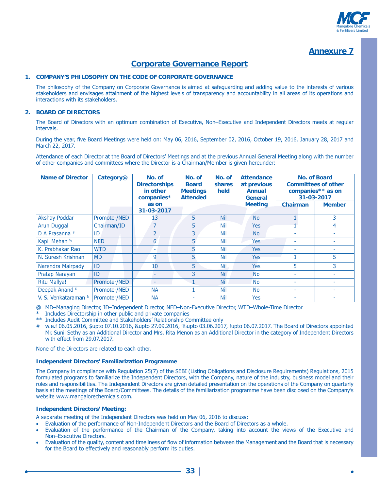

# **Annexure 7**

# **Corporate Governance Report**

#### 1. COMPANY'S PHILOSOPHY ON THE CODE OF CORPORATE GOVERNANCE

The philosophy of the Company on Corporate Governance is aimed at safeguarding and adding value to the interests of various stakeholders and envisages attainment of the highest levels of transparency and accountability in all areas of its operations and interactions with its stakeholders.

#### 2. BOARD OF DIRECTORS

The Board of Directors with an optimum combination of Executive, Non-Executive and Independent Directors meets at regular intervals.

During the year, five Board Meetings were held on: May 06, 2016, September 02, 2016, October 19, 2016, January 28, 2017 and March 22, 2017.

Attendance of each Director at the Board of Directors' Meetings and at the previous Annual General Meeting along with the number of other companies and committees where the Director is a Chairman/Member is given hereunder:

| <b>Name of Director</b>    | Category@    | No. of<br><b>Directorships</b><br>in other<br>companies* | No. of<br><b>Board</b><br><b>Meetings</b><br><b>Attended</b> | No. of<br><b>shares</b><br>held | <b>Attendance</b><br>at previous<br><b>Annual</b><br>General |          | <b>No. of Board</b><br><b>Committees of other</b><br>companies** as on<br>31-03-2017 |
|----------------------------|--------------|----------------------------------------------------------|--------------------------------------------------------------|---------------------------------|--------------------------------------------------------------|----------|--------------------------------------------------------------------------------------|
|                            |              | as on<br>31-03-2017                                      |                                                              |                                 | <b>Meeting</b>                                               | Chairman | <b>Member</b>                                                                        |
| <b>Akshay Poddar</b>       | Promoter/NED | 13                                                       | 5                                                            | <b>Nil</b>                      | <b>No</b>                                                    |          | 3                                                                                    |
| Arun Duggal                | Chairman/ID  | $\overline{7}$                                           | 5                                                            | Nil                             | <b>Yes</b>                                                   |          | 4                                                                                    |
| D A Prasanna #             | ID           | $\overline{2}$                                           | 3                                                            | <b>Nil</b>                      | <b>No</b>                                                    |          | ٠                                                                                    |
| Kapil Mehan %              | <b>NED</b>   | 6                                                        | 5                                                            | Nil                             | <b>Yes</b>                                                   | ۰        | ۰                                                                                    |
| K. Prabhakar Rao           | <b>WTD</b>   | ۰                                                        | 5                                                            | Nil                             | <b>Yes</b>                                                   | ٠        | ٠                                                                                    |
| N. Suresh Krishnan         | <b>MD</b>    | 9                                                        | 5                                                            | <b>Nil</b>                      | Yes                                                          |          | 5                                                                                    |
| Narendra Mairpady          | ID           | 10                                                       | 5                                                            | <b>Nil</b>                      | <b>Yes</b>                                                   | 5.       | 3                                                                                    |
| Pratap Narayan             | ID           |                                                          | 3                                                            | <b>Nil</b>                      | <b>No</b>                                                    | ٠        |                                                                                      |
| <b>Ritu Mallya!</b>        | Promoter/NED | ۰                                                        |                                                              | <b>Nil</b>                      | <b>No</b>                                                    |          |                                                                                      |
| Deepak Anand <sup>\$</sup> | Promoter/NED | <b>NA</b>                                                |                                                              | Nil                             | <b>No</b>                                                    | ٠        | ۰                                                                                    |
| V. S. Venkataraman &       | Promoter/NED | <b>NA</b>                                                |                                                              | <b>Nil</b>                      | <b>Yes</b>                                                   |          |                                                                                      |

@ MD-Managing Director, ID-Independent Director, NED-Non-Executive Director, WTD-Whole-Time Director

\* Includes Directorship in other public and private companies

\*\* Includes Audit Committee and Stakeholders' Relationship Committee only

# w.e.f 06.05.2016, \$upto 07.10.2016, &upto 27.09.2016, %upto 03.06.2017, !upto 06.07.2017. The Board of Directors appointed Mr. Sunil Sethy as an Additional Director and Mrs. Rita Menon as an Additional Director in the category of Independent Directors with effect from 29.07.2017.

None of the Directors are related to each other.

#### **Independent Directors' Familiarization Programme**

The Company in compliance with Regulation 25(7) of the SEBI (Listing Obligations and Disclosure Reguirements) Regulations, 2015 formulated programs to familiarize the Independent Directors, with the Company, nature of the industry, business model and their roles and responsibilities. The Independent Directors are given detailed presentation on the operations of the Company on quarterly basis at the meetings of the Board/Committees. The details of the familiarization programme have been disclosed on the Company's website www.mangalorechemicals.com.

#### **Independent Directors' Meeting:**

A separate meeting of the Independent Directors was held on May 06, 2016 to discuss:

- Evaluation of the performance of Non-Independent Directors and the Board of Directors as a whole.
- Evaluation of the performance of the Chairman of the Company, taking into account the views of the Executive and Non-Executive Directors.
- Evaluation of the quality, content and timeliness of flow of information between the Management and the Board that is necessary for the Board to effectively and reasonably perform its duties.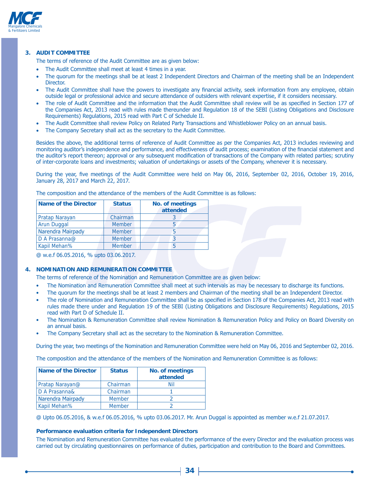

#### 3. AUDIT COMMITTEE

The terms of reference of the Audit Committee are as given below:

- The Audit Committee shall meet at least 4 times in a year.
- The quorum for the meetings shall be at least 2 Independent Directors and Chairman of the meeting shall be an Independent Director.
- The Audit Committee shall have the powers to investigate any financial activity, seek information from any employee, obtain outside legal or professional advice and secure attendance of outsiders with relevant expertise, if it considers necessary.
- The role of Audit Committee and the information that the Audit Committee shall review will be as specified in Section 177 of the Companies Act, 2013 read with rules made thereunder and Regulation 18 of the SEBI (Listing Obligations and Disclosure Requirements) Regulations, 2015 read with Part C of Schedule II.
- The Audit Committee shall review Policy on Related Party Transactions and Whistleblower Policy on an annual basis.
- The Company Secretary shall act as the secretary to the Audit Committee.

Besides the above, the additional terms of reference of Audit Committee as per the Companies Act, 2013 includes reviewing and monitoring auditor's independence and performance, and effectiveness of audit process; examination of the financial statement and the auditor's report thereon; approval or any subsequent modification of transactions of the Company with related parties; scrutiny of inter-corporate loans and investments; valuation of undertakings or assets of the Company, whenever it is necessary.

During the year, five meetings of the Audit Committee were held on May 06, 2016, September 02, 2016, October 19, 2016, January 28, 2017 and March 22, 2017.

| Name of the Director  | <b>Status</b> | No. of meetings |
|-----------------------|---------------|-----------------|
|                       |               | attended        |
| <b>Pratap Narayan</b> | Chairman      |                 |
| Arun Duggal           | <b>Member</b> |                 |
| Narendra Mairpady     | <b>Member</b> |                 |
| D A Prasanna@         | <b>Member</b> |                 |
| Kapil Mehan%          | <b>Member</b> |                 |
|                       |               |                 |

The composition and the attendance of the members of the Audit Committee is as follows:

@ w.e.f 06.05.2016, % upto 03.06.2017.

#### **NOMINATION AND REMUNERATION COMMITTEE**  $\mathbf{A}$

The terms of reference of the Nomination and Remuneration Committee are as given below:

- The Nomination and Remuneration Committee shall meet at such intervals as may be necessary to discharge its functions.  $\bullet$
- The quorum for the meetings shall be at least 2 members and Chairman of the meeting shall be an Independent Director.
- The role of Nomination and Remuneration Committee shall be as specified in Section 178 of the Companies Act, 2013 read with rules made there under and Regulation 19 of the SEBI (Listing Obligations and Disclosure Requirements) Regulations, 2015 read with Part D of Schedule II.
- The Nomination & Remuneration Committee shall review Nomination & Remuneration Policy and Policy on Board Diversity on an annual basis.
- The Company Secretary shall act as the secretary to the Nomination & Remuneration Committee.

During the year, two meetings of the Nomination and Remuneration Committee were held on May 06, 2016 and September 02, 2016.

The composition and the attendance of the members of the Nomination and Remuneration Committee is as follows:

| <b>Name of the Director</b> | <b>Status</b> | <b>No. of meetings</b><br>attended |
|-----------------------------|---------------|------------------------------------|
| Pratap Narayan@             | Chairman      | Nil                                |
| D A Prasanna&               | Chairman      |                                    |
| Narendra Mairpady           | <b>Member</b> |                                    |
| Kapil Mehan%                | <b>Member</b> |                                    |

@ Upto 06.05.2016, & w.e.f 06.05.2016, % upto 03.06.2017. Mr. Arun Duggal is appointed as member w.e.f 21.07.2017.

#### Performance evaluation criteria for Independent Directors

The Nomination and Remuneration Committee has evaluated the performance of the every Director and the evaluation process was carried out by circulating questionnaires on performance of duties, participation and contribution to the Board and Committees.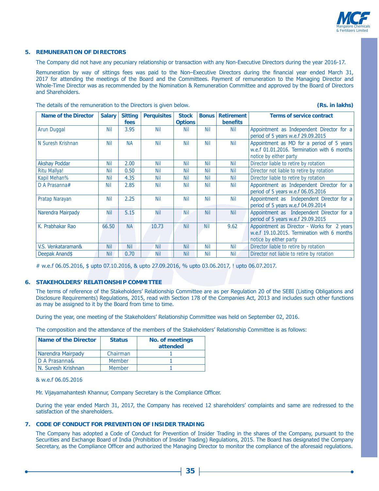

#### **5. REMUNERATION OF DIRECTORS**

The Company did not have any pecuniary relationship or transaction with any Non-Executive Directors during the year 2016-17.

Remuneration by way of sittings fees was paid to the Non-Executive Directors during the financial year ended March 31, 2017 for attending the meetings of the Board and the Committees. Payment of remuneration to the Managing Director and Whole-Time Director was as recommended by the Nomination & Remuneration Committee and approved by the Board of Directors and Shareholders.

| <b>Name of the Director</b> | <b>Salary</b> | <b>Sitting</b><br>fees | <b>Perquisites</b> | <b>Stock</b><br><b>Options</b> | <b>Bonus</b> | <b>Retirement</b><br><b>benefits</b> | <b>Terms of service contract</b>                                                                                     |
|-----------------------------|---------------|------------------------|--------------------|--------------------------------|--------------|--------------------------------------|----------------------------------------------------------------------------------------------------------------------|
| <b>Arun Duggal</b>          | Nil           | 3.95                   | <b>Nil</b>         | <b>Nil</b>                     | <b>Nil</b>   | <b>Nil</b>                           | Appointment as Independent Director for a<br>period of 5 years w.e.f 29.09.2015                                      |
| N Suresh Krishnan           | <b>Nil</b>    | <b>NA</b>              | <b>Nil</b>         | <b>Nil</b>                     | <b>Nil</b>   | <b>Nil</b>                           | Appointment as MD for a period of 5 years<br>w.e.f 01.01.2016. Termination with 6 months<br>notice by either party   |
| <b>Akshay Poddar</b>        | <b>Nil</b>    | 2.00                   | <b>Nil</b>         | <b>Nil</b>                     | Nil          | <b>Nil</b>                           | Director liable to retire by rotation                                                                                |
| <b>Ritu Mallya!</b>         | <b>Nil</b>    | 0.50                   | <b>Nil</b>         | <b>Nil</b>                     | <b>Nil</b>   | <b>Nil</b>                           | Director not liable to retire by rotation                                                                            |
| Kapil Mehan%                | <b>Nil</b>    | 4.35                   | <b>Nil</b>         | <b>Nil</b>                     | <b>Nil</b>   | <b>Nil</b>                           | Director liable to retire by rotation                                                                                |
| D A Prasanna#               | <b>Nil</b>    | 2.85                   | <b>Nil</b>         | <b>Nil</b>                     | <b>Nil</b>   | <b>Nil</b>                           | Appointment as Independent Director for a<br>period of 5 years w.e.f 06.05.2016                                      |
| Pratap Narayan              | <b>Nil</b>    | 2.25                   | <b>Nil</b>         | <b>Nil</b>                     | <b>Nil</b>   | <b>Nil</b>                           | Appointment as Independent Director for a<br>period of 5 years w.e.f 04.09.2014                                      |
| Narendra Mairpady           | <b>Nil</b>    | 5.15                   | <b>Nil</b>         | <b>Nil</b>                     | <b>Nil</b>   | <b>Nil</b>                           | Appointment as Independent Director for a<br>period of 5 years w.e.f 29.09.2015                                      |
| K. Prabhakar Rao            | 66.50         | <b>NA</b>              | 10.73              | <b>Nil</b>                     | <b>Nil</b>   | 9.62                                 | Appointment as Director - Works for 2 years<br>w.e.f 19.10.2015. Termination with 6 months<br>notice by either party |
| V.S. Venkataraman&          | <b>Nil</b>    | <b>Nil</b>             | <b>Nil</b>         | <b>Nil</b>                     | Nil          | <b>Nil</b>                           | Director liable to retire by rotation                                                                                |
| Deepak Anand\$              | <b>Nil</b>    | 0.70                   | Nil                | <b>Nil</b>                     | <b>Nil</b>   | <b>Nil</b>                           | Director not liable to retire by rotation                                                                            |

The details of the remuneration to the Directors is given below. **The struck and the Control of the Control CRS. in lakhs**)

# w.e.f 06.05.2016, \$ upto 07.10.2016, & upto 27.09.2016, % upto 03.06.2017, ! upto 06.07.2017.

#### **6. STAKEHOLDERS' RELATIONSHIP COMMITTEE**

The terms of reference of the Stakeholders' Relationship Committee are as per Regulation 20 of the SEBI (Listing Obligations and Disclosure Requirements) Requlations, 2015, read with Section 178 of the Companies Act, 2013 and includes such other functions as may be assigned to it by the Board from time to time.

During the year, one meeting of the Stakeholders' Relationship Committee was held on September 02, 2016.

The composition and the attendance of the members of the Stakeholders' Relationship Committee is as follows:

| <b>Name of the Director</b> | <b>Status</b> | <b>No. of meetings</b><br>attended |
|-----------------------------|---------------|------------------------------------|
| Narendra Mairpady           | Chairman      |                                    |
| <b>ID A Prasanna&amp;</b>   | <b>Member</b> |                                    |
| N. Suresh Krishnan          | <b>Member</b> |                                    |

#### & w.e.f 06.05.2016

Mr. Vijayamahantesh Khannur, Company Secretary is the Compliance Officer.

During the year ended March 31, 2017, the Company has received 12 shareholders' complaints and same are redressed to the satisfaction of the shareholders.

### **7. CODE OF CONDUCT FOR PREVENTION OF INSIDER TRADING**

The Company has adopted a Code of Conduct for Prevention of Insider Trading in the shares of the Company, pursuant to the Securities and Exchange Board of India (Prohibition of Insider Trading) Regulations, 2015. The Board has designated the Company Secretary, as the Compliance Officer and authorized the Managing Director to monitor the compliance of the aforesaid regulations.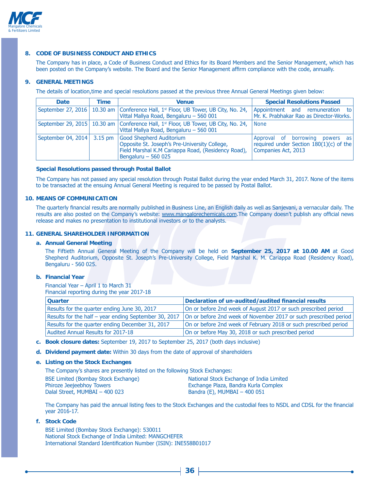

### **8. CODE OF BUSINESS CONDUCT AND ETHICS**

The Company has in place, a Code of Business Conduct and Ethics for its Board Members and the Senior Management, which has been posted on the Company's website. The Board and the Senior Management affirm compliance with the code, annually.

#### **9. GENERAL MEETINGS**

The details of location, time and special resolutions passed at the previous three Annual General Meetings given below:

| <b>Date</b>                        | Time | <b>Venue</b>                                                                                                                                           | <b>Special Resolutions Passed</b>                                                                   |
|------------------------------------|------|--------------------------------------------------------------------------------------------------------------------------------------------------------|-----------------------------------------------------------------------------------------------------|
|                                    |      | September 27, 2016   10.30 am   Conference Hall, 1 <sup>st</sup> Floor, UB Tower, UB City, No. 24,<br>Vittal Mallya Road, Bengaluru - 560 001          | Appointment and remuneration<br>to<br>Mr. K. Prabhakar Rao as Director-Works.                       |
|                                    |      | September 29, 2015   10.30 am   Conference Hall, $1st$ Floor, UB Tower, UB City, No. 24,<br>Vittal Mallya Road, Bengaluru - 560 001                    | None                                                                                                |
| September 04, 2014 $\vert$ 3.15 pm |      | Good Shepherd Auditorium<br>Opposite St. Joseph's Pre-University College,<br>Field Marshal K.M Cariappa Road, (Residency Road),<br>Bengaluru $-560025$ | Approval of borrowing powers as<br>required under Section $180(1)(c)$ of the<br>Companies Act, 2013 |

#### **Special Resolutions passed through Postal Ballot**

The Company has not passed any special resolution through Postal Ballot during the year ended March 31, 2017. None of the items to be transacted at the ensuing Annual General Meeting is required to be passed by Postal Ballot.

### **10. MEANS OF COMMUNICATION**

The quarterly financial results are normally published in Business Line, an English daily as well as Sanjevani, a vernacular daily. The results are also posted on the Company's website: www.mangalorechemicals.com.The Company doesn't publish any official news release and makes no presentation to institutional investors or to the analysts.

#### **11. GENERAL SHAREHOLDER INFORMATION**

#### **a. Annual General Meeting**

The Fiftieth Annual General Meeting of the Company will be held on September 25, 2017 at 10.00 AM at Good Shepherd Auditorium, Opposite St. Joseph's Pre-University College, Field Marshal K. M. Cariappa Road (Residency Road), Bengaluru - 560 025.

#### **b. Financial Year**

Financial Year - April 1 to March 31 Financial reporting during the year 2017-18

| <b>Quarter</b>                                        | Declaration of un-audited/audited financial results              |
|-------------------------------------------------------|------------------------------------------------------------------|
| Results for the quarter ending June 30, 2017          | On or before 2nd week of August 2017 or such prescribed period   |
| Results for the half – year ending September 30, 2017 | On or before 2nd week of November 2017 or such prescribed period |
| Results for the quarter ending December 31, 2017      | On or before 2nd week of February 2018 or such prescribed period |
| Audited Annual Results for 2017-18                    | On or before May 30, 2018 or such prescribed period              |

#### c. Book closure dates: September 19, 2017 to September 25, 2017 (both days inclusive)

**d.** Dividend payment date: Within 30 days from the date of approval of shareholders

#### **e. Listing on the Stock Exchanges**

The Company's shares are presently listed on the following Stock Exchanges:

| BSE Limited (Bombay Stock Exchange) | National Stock Exchange of India Limited |
|-------------------------------------|------------------------------------------|
| <b>Phiroze Jeejeebhoy Towers</b>    | Exchange Plaza, Bandra Kurla Complex     |
| Dalal Street, MUMBAI - 400 023      | Bandra $(E)$ , MUMBAI - 400 051          |

The Company has paid the annual listing fees to the Stock Exchanges and the custodial fees to NSDL and CDSL for the financial year 2016-17.

**f. Stock Code** 

BSE Limited (Bombay Stock Exchange): 530011 National Stock Exchange of India Limited: MANGCHEFER International Standard Identification Number (ISIN): INE558B01017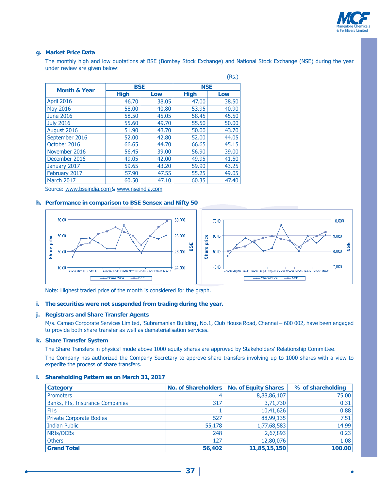

#### **g. Market Price Data**

The monthly high and low quotations at BSE (Bombay Stock Exchange) and National Stock Exchange (NSE) during the year under review are given below:

 $(Re)$ 

|                         |             |       |             | $\cdots$ |  |
|-------------------------|-------------|-------|-------------|----------|--|
| <b>Month &amp; Year</b> | <b>BSE</b>  |       | <b>NSE</b>  |          |  |
|                         | <b>High</b> | Low   | <b>High</b> | Low      |  |
| <b>April 2016</b>       | 46.70       | 38.05 | 47.00       | 38.50    |  |
| May 2016                | 58.00       | 40.80 | 53.95       | 40.90    |  |
| <b>June 2016</b>        | 58.50       | 45.05 | 58.45       | 45.50    |  |
| <b>July 2016</b>        | 55.60       | 49.70 | 55.50       | 50.00    |  |
| August 2016             | 51.90       | 43.70 | 50.00       | 43.70    |  |
| September 2016          | 52,00       | 42.80 | 52.00       | 44.05    |  |
| October 2016            | 66.65       | 44.70 | 66.65       | 45.15    |  |
| November 2016           | 56.45       | 39.00 | 56.90       | 39.00    |  |
| December 2016           | 49.05       | 42.00 | 49.95       | 41.50    |  |
| January 2017            | 59.65       | 43.20 | 59.90       | 43.25    |  |
| February 2017           | 57.90       | 47.55 | 55.25       | 49.05    |  |
| March 2017              | 60.50       | 47.10 | 60.35       | 47.40    |  |

Source: www.bseindia.com& www.nseindia.com

#### **h. Performance in comparison to BSE Sensex and Nifty 50**



Note: Highest traded price of the month is considered for the graph.

#### **i. The securities were not suspended from trading during the year.**

### **j. Registrars and Share Transfer Agents**

M/s. Cameo Corporate Services Limited, 'Subramanian Building', No.1, Club House Road, Chennai - 600 002, have been engaged to provide both share transfer as well as dematerialisation services.

#### **k. Share Transfer System**

The Share Transfers in physical mode above 1000 equity shares are approved by Stakeholders' Relationship Committee.

The Company has authorized the Company Secretary to approve share transfers involving up to 1000 shares with a view to expedite the process of share transfers.

#### **l. Shareholding Pattern as on March 31, 2017**

| <b>Category</b>                 |        | No. of Shareholders   No. of Equity Shares | % of shareholding |
|---------------------------------|--------|--------------------------------------------|-------------------|
| <b>Promoters</b>                |        | 8,88,86,107                                | 75.00             |
| Banks, FIs, Insurance Companies | 317    | 3,71,730                                   | 0.31              |
| <b>FIIs</b>                     |        | 10,41,626                                  | 0.88              |
| <b>Private Corporate Bodies</b> | 527    | 88,99,135                                  | 7.51              |
| Indian Public                   | 55,178 | 1,77,68,583                                | 14.99             |
| NRIs/OCBs                       | 248    | 2,67,893                                   | 0.23              |
| <b>Others</b>                   | 127    | 12,80,076                                  | 1.08              |
| <b>Grand Total</b>              | 56,402 | 11,85,15,150                               | 100.00            |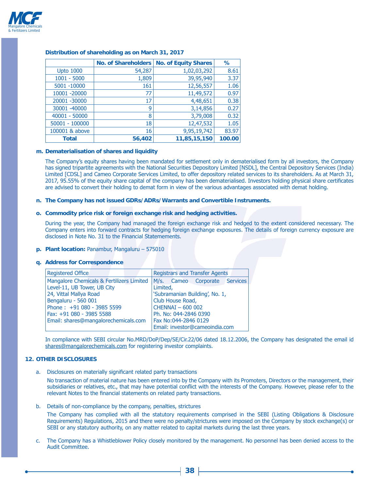

|                  | No. of Shareholders | <b>No. of Equity Shares</b> | ℅      |
|------------------|---------------------|-----------------------------|--------|
| <b>Upto 1000</b> | 54,287              | 1,02,03,292                 | 8.61   |
| $1001 - 5000$    | 1,809               | 39,95,940                   | 3.37   |
| 5001 -10000      | 161                 | 12,56,557                   | 1.06   |
| 10001 -20000     | 77                  | 11,49,572                   | 0.97   |
| 20001 -30000     | 17                  | 4,48,651                    | 0.38   |
| 30001 -40000     | 9                   | 3,14,856                    | 0.27   |
| 40001 - 50000    | 8                   | 3,79,008                    | 0.32   |
| $50001 - 100000$ | 18                  | 12,47,532                   | 1.05   |
| 100001 & above   | 16                  | 9,95,19,742                 | 83.97  |
| <b>Total</b>     | 56,402              | 11,85,15,150                | 100.00 |

#### **Distribution of shareholding as on March 31, 2017**

#### **m. Dematerialisation of shares and liquidity**

The Company's equity shares having been mandated for settlement only in dematerialised form by all investors, the Company has signed tripartite agreements with the National Securities Depository Limited [NSDL], the Central Depository Services (India) Limited [CDSL] and Cameo Corporate Services Limited, to offer depository related services to its shareholders. As at March 31, 2017, 95.55% of the equity share capital of the company has been dematerialised. Investors holding physical share certificates are advised to convert their holding to demat form in view of the various advantages associated with demat holding.

**n. The Company has not issued GDRs/ADRs/Warrants and Convertible Instruments.** 

#### **o. Commodity price risk or foreign exchange risk and hedging activities.**

During the year, the Company had managed the foreign exchange risk and hedged to the extent considered necessary. The Company enters into forward contracts for hedging foreign exchange exposures. The details of foreign currency exposure are disclosed in Note No. 31 to the Financial Statemements.

**p. Plant location: Panambur, Mangaluru - 575010** 

#### **q. Address for Correspondence**

| <b>Registered Office</b>                  | <b>Registrars and Transfer Agents</b> |  |  |  |
|-------------------------------------------|---------------------------------------|--|--|--|
| Mangalore Chemicals & Fertilizers Limited | M/s. Cameo Corporate<br>Services      |  |  |  |
| Level-11, UB Tower, UB City               | Limited,                              |  |  |  |
| 24, Vittal Mallya Road                    | 'Subramanian Building', No. 1,        |  |  |  |
| Bengaluru - 560 001                       | Club House Road,                      |  |  |  |
| Phone: +91 080 - 3985 5599                | CHENNAI - 600 002                     |  |  |  |
| Fax: +91 080 - 3985 5588                  | Ph. No: 044-2846 0390                 |  |  |  |
| Email: shares@mangalorechemicals.com      | Fax No:044-2846 0129                  |  |  |  |
|                                           | Email: investor@cameoindia.com        |  |  |  |

In compliance with SEBI circular No.MRD/DoP/Dep/SE/Cir.22/06 dated 18.12.2006, the Company has designated the email id shares@mangalorechemicals.com for registering investor complaints.

### **12. OTHER DISCLOSURES**

a. Disclosures on materially significant related party transactions

No transaction of material nature has been entered into by the Company with its Promoters, Directors or the management, their subsidiaries or relatives, etc., that may have potential conflict with the interests of the Company. However, please refer to the relevant Notes to the financial statements on related party transactions.

b. Details of non-compliance by the company, penalties, strictures

The Company has complied with all the statutory requirements comprised in the SEBI (Listing Obligations & Disclosure Requirements) Requlations, 2015 and there were no penalty/strictures were imposed on the Company by stock exchange(s) or SEBI or any statutory authority, on any matter related to capital markets during the last three years.

c. The Company has a Whistleblower Policy closely monitored by the management. No personnel has been denied access to the Audit Committee.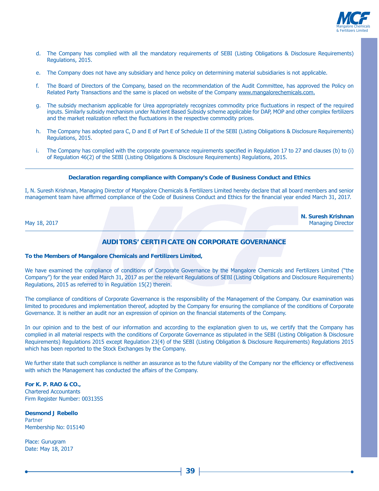

**N. Suresh Krishnan**

- d. The Company has complied with all the mandatory requirements of SEBI (Listing Obligations & Disclosure Requirements) Regulations, 2015.
- e. The Company does not have any subsidiary and hence policy on determining material subsidiaries is not applicable.
- f. The Board of Directors of the Company, based on the recommendation of the Audit Committee, has approved the Policy on Related Party Transactions and the same is placed on website of the Company www.mangalorechemicals.com.
- g. The subsidy mechanism applicable for Urea appropriately recognizes commodity price fluctuations in respect of the required inputs. Similarly subsidy mechanism under Nutrient Based Subsidy scheme applicable for DAP, MOP and other complex fertilizers and the market realization reflect the fluctuations in the respective commodity prices.
- h. The Company has adopted para C, D and E of Part E of Schedule II of the SEBI (Listing Obligations & Disclosure Requirements) Regulations, 2015.
- i. The Company has complied with the corporate governance requirements specified in Regulation 17 to 27 and clauses (b) to (i) of Regulation 46(2) of the SEBI (Listing Obligations & Disclosure Requirements) Regulations, 2015.

#### **Declaration regarding compliance with Company's Code of Business Conduct and Ethics**

I, N. Suresh Krishnan, Managing Director of Mangalore Chemicals & Fertilizers Limited hereby declare that all board members and senior management team have affirmed compliance of the Code of Business Conduct and Ethics for the financial year ended March 31, 2017.

May 18, 2017 **Managing Director** 

### **AUDITORS' CERTIFICATE ON CORPORATE GOVERNANCE**

#### **To the Members of Mangalore Chemicals and Fertilizers Limited,**

We have examined the compliance of conditions of Corporate Governance by the Mangalore Chemicals and Fertilizers Limited ("the Company") for the year ended March 31, 2017 as per the relevant Requlations of SEBI (Listing Obligations and Disclosure Requirements) Regulations, 2015 as referred to in Regulation 15(2) therein.

The compliance of conditions of Corporate Governance is the responsibility of the Management of the Company. Our examination was limited to procedures and implementation thereof, adopted by the Company for ensuring the compliance of the conditions of Corporate Governance. It is neither an audit nor an expression of opinion on the financial statements of the Company.

In our opinion and to the best of our information and according to the explanation given to us, we certify that the Company has complied in all material respects with the conditions of Corporate Governance as stipulated in the SEBI (Listing Obligation & Disclosure Requirements) Requlations 2015 except Requlation 23(4) of the SEBI (Listing Obligation & Disclosure Requirements) Requlations 2015 which has been reported to the Stock Exchanges by the Company.

We further state that such compliance is neither an assurance as to the future viability of the Company nor the efficiency or effectiveness with which the Management has conducted the affairs of the Company.

**For K. P. RAO & CO.,** Chartered Accountants Firm Register Number: 003135S

**Desmond J Rebello** Partner Membership No: 015140

Place: Gurugram Date: May 18, 2017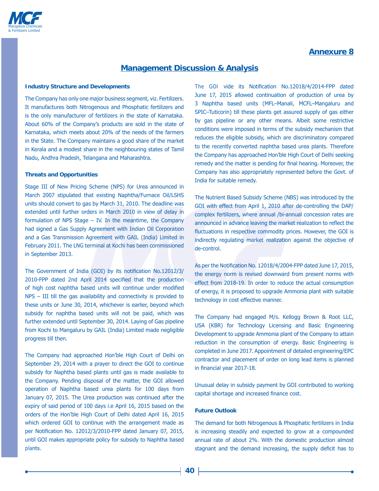## **Annexure 8**



## **Management Discussion & Analysis**

#### **Industry Structure and Developments**

The Company has only one major business segment, viz. Fertilizers. It manufactures both Nitrogenous and Phosphatic fertilizers and is the only manufacturer of fertilizers in the state of Karnataka. About 60% of the Company's products are sold in the state of Karnataka, which meets about 20% of the needs of the farmers in the State. The Company maintains a good share of the market in Kerala and a modest share in the neighbouring states of Tamil Nadu, Andhra Pradesh, Telangana and Maharashtra.

#### **Threats and Opportunities**

Stage III of New Pricing Scheme (NPS) for Urea announced in March 2007 stipulated that existing Naphtha/Furnace Oil/LSHS units should convert to gas by March 31, 2010. The deadline was extended until further orders in March 2010 in view of delay in formulation of NPS Stage  $-$  IV. In the meantime, the Company had signed a Gas Supply Agreement with Indian Oil Corporation and a Gas Transmission Agreement with GAIL (India) Limited in February 2011. The LNG terminal at Kochi has been commissioned in September 2013.

The Government of India (GOI) by its notification No.12012/3/ 2010-FPP dated 2nd April 2014 specified that the production of high cost naphtha based units will continue under modified  $NPS - III$  till the gas availability and connectivity is provided to these units or June 30, 2014, whichever is earlier, beyond which subsidy for naphtha based units will not be paid, which was further extended until September 30, 2014. Laying of Gas pipeline from Kochi to Mangaluru by GAIL (India) Limited made negligible progress till then.

The Company had approached Hon'ble High Court of Delhi on September 29, 2014 with a prayer to direct the GOI to continue subsidy for Naphtha based plants until gas is made available to the Company. Pending disposal of the matter, the GOI allowed operation of Naphtha based urea plants for 100 days from January 07, 2015. The Urea production was continued after the expiry of said period of 100 days i.e April 16, 2015 based on the orders of the Hon'ble High Court of Delhi dated April 16, 2015 which ordered GOI to continue with the arrangement made as per Notification No. 12012/3/2010-FPP dated January 07, 2015, until GOI makes appropriate policy for subsidy to Naphtha based plants.

The GOI vide its Notification No.12018/4/2014-FPP dated June 17, 2015 allowed continuation of production of urea by 3 Naphtha based units (MFL-Manali, MCFL-Mangaluru and SPIC-Tuticorin) till these plants get assured supply of gas either by gas pipeline or any other means. Albeit some restrictive conditions were imposed in terms of the subsidy mechanism that reduces the eligible subsidy, which are discriminatory compared to the recently converted naphtha based urea plants. Therefore the Company has approached Hon'ble High Court of Delhi seeking remedy and the matter is pending for final hearing. Moreover, the Company has also appropriately represented before the Govt, of India for suitable remedy.

The Nutrient Based Subsidy Scheme (NBS) was introduced by the GOI with effect from April 1, 2010 after de-controlling the DAP/ complex fertilizers, where annual /bi-annual concession rates are announced in advance leaving the market realization to reflect the fluctuations in respective commodity prices. However, the GOI is indirectly regulating market realization against the objective of de-control.

As per the Notification No. 12018/4/2004-FPP dated June 17, 2015, the energy norm is revised downward from present norms with effect from 2018-19. In order to reduce the actual consumption of energy, it is proposed to upgrade Ammonia plant with suitable technology in cost effective manner.

The Company had engaged M/s. Kellogg Brown & Root LLC, USA (KBR) for Technology Licensing and Basic Engineering Development to upgrade Ammonia plant of the Company to attain reduction in the consumption of energy. Basic Engineering is completed in June 2017. Appointment of detailed engineering/EPC contractor and placement of order on long lead items is planned in financial year 2017-18.

Unusual delay in subsidy payment by GOI contributed to working capital shortage and increased finance cost.

#### **Future Outlook**

The demand for both Nitrogenous & Phosphatic fertilizers in India is increasing steadily and expected to grow at a compounded annual rate of about 2%. With the domestic production almost stagnant and the demand increasing, the supply deficit has to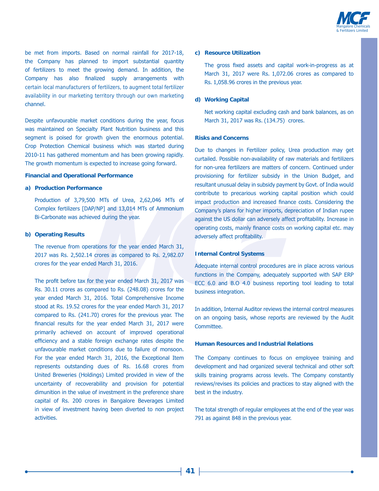

be met from imports. Based on normal rainfall for 2017-18, the Company has planned to import substantial quantity of fertilizers to meet the growing demand. In addition, the Company has also finalized supply arrangements with certain local manufacturers of fertilizers, to augment total fertilizer availability in our marketing territory through our own marketing channel.

Despite unfavourable market conditions during the year, focus was maintained on Specialty Plant Nutrition business and this segment is poised for growth given the enormous potential. Crop Protection Chemical business which was started during 2010-11 has gathered momentum and has been growing rapidly. The growth momentum is expected to increase going forward.

#### **Financial and Operational Performance**

#### **a) Production Performance**

Production of 3,79,500 MTs of Urea, 2,62,046 MTs of Complex fertilizers [DAP/NP] and 13,014 MTs of Ammonium Bi-Carbonate was achieved during the year.

#### **b) Operating Results**

The revenue from operations for the year ended March 31, 2017 was Rs. 2,502.14 crores as compared to Rs. 2,982.07 crores for the year ended March 31, 2016.

The profit before tax for the year ended March 31, 2017 was Rs. 30.11 crores as compared to Rs. (248.08) crores for the year ended March 31, 2016. Total Comprehensive Income stood at Rs. 19.52 crores for the year ended March 31, 2017 compared to Rs.  $(241.70)$  crores for the previous year. The financial results for the year ended March 31, 2017 were primarily achieved on account of improved operational efficiency and a stable foreign exchange rates despite the unfavourable market conditions due to failure of monsoon. For the year ended March 31, 2016, the Exceptional Item represents outstanding dues of Rs. 16.68 crores from United Breweries (Holdings) Limited provided in view of the uncertainty of recoverability and provision for potential dimunition in the value of investment in the preference share capital of Rs. 200 crores in Bangalore Beverages Limited in view of investment having been diverted to non project activities.

#### **c) Resource Utilization**

The gross fixed assets and capital work-in-progress as at March 31, 2017 were Rs. 1,072.06 crores as compared to Rs. 1,058.96 crores in the previous year.

#### **d) Working Capital**

Net working capital excluding cash and bank balances, as on March 31, 2017 was Rs. (134.75) crores.

#### **Risks and Concerns**

Due to changes in Fertilizer policy, Urea production may get curtailed. Possible non-availability of raw materials and fertilizers for non-urea fertilizers are matters of concern. Continued under provisioning for fertilizer subsidy in the Union Budget, and resultant unusual delay in subsidy payment by Govt. of India would contribute to precarious working capital position which could impact production and increased finance costs. Considering the Company's plans for higher imports, depreciation of Indian rupee against the US dollar can adversely affect profitability. Increase in operating costs, mainly finance costs on working capital etc. may adversely affect profitability.

#### **Internal Control Systems**

Adequate internal control procedures are in place across various functions in the Company, adequately supported with SAP ERP ECC 6.0 and B.O 4.0 business reporting tool leading to total business integration.

In addition, Internal Auditor reviews the internal control measures on an ongoing basis, whose reports are reviewed by the Audit Committee.

#### **Human Resources and Industrial Relations**

The Company continues to focus on employee training and development and had organized several technical and other soft skills training programs across levels. The Company constantly reviews/revises its policies and practices to stay aligned with the best in the industry.

The total strength of regular employees at the end of the year was  $791$  as against 848 in the previous year.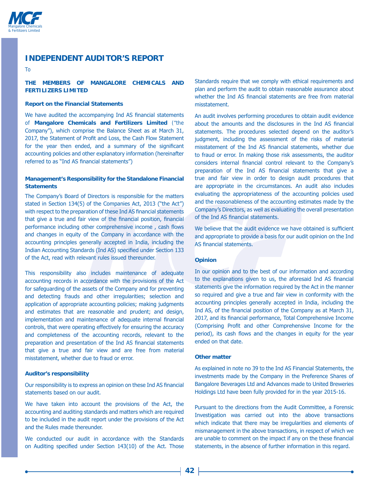

## **INDEPENDENT AUDITOR'S REPORT**

To

### **THE MEMBERS OF MANGALORE CHEMICALS AND FERTILIZERS LIMITED**

#### **Report on the Financial Statements**

We have audited the accompanying Ind AS financial statements of **Mangalore Chemicals and Fertilizers Limited** ("the Company"), which comprise the Balance Sheet as at March 31, 2017, the Statement of Profit and Loss, the Cash Flow Statement for the year then ended, and a summary of the significant accounting policies and other explanatory information (hereinafter referred to as "Ind AS financial statements")

#### **Management's Responsibility for the Standalone Financial Statements**

The Company's Board of Directors is responsible for the matters stated in Section 134(5) of the Companies Act, 2013 ("the Act") with respect to the preparation of these Ind AS financial statements that give a true and fair view of the financial position, financial performance including other comprehensive income, cash flows and changes in equity of the Company in accordance with the accounting principles generally accepted in India, including the Indian Accounting Standards (Ind AS) specified under Section 133 of the Act, read with relevant rules issued thereunder.

This responsibility also includes maintenance of adequate accounting records in accordance with the provisions of the Act for safeguarding of the assets of the Company and for preventing and detecting frauds and other irregularities; selection and application of appropriate accounting policies; making judgments and estimates that are reasonable and prudent; and design, implementation and maintenance of adequate internal financial controls, that were operating effectively for ensuring the accuracy and completeness of the accounting records, relevant to the preparation and presentation of the Ind AS financial statements that give a true and fair view and are free from material misstatement, whether due to fraud or error.

#### **Auditor's responsibility**

Our responsibility is to express an opinion on these Ind AS financial statements based on our audit.

We have taken into account the provisions of the Act, the accounting and auditing standards and matters which are required to be included in the audit report under the provisions of the Act and the Rules made thereunder.

We conducted our audit in accordance with the Standards on Auditing specified under Section 143(10) of the Act. Those Standards require that we comply with ethical requirements and plan and perform the audit to obtain reasonable assurance about whether the Ind AS financial statements are free from material misstatement.

An audit involves performing procedures to obtain audit evidence about the amounts and the disclosures in the Ind AS financial statements. The procedures selected depend on the auditor's judgment, including the assessment of the risks of material misstatement of the Ind AS financial statements, whether due to fraud or error. In making those risk assessments, the auditor considers internal financial control relevant to the Company's preparation of the Ind AS financial statements that give a true and fair view in order to design audit procedures that are appropriate in the circumstances. An audit also includes evaluating the appropriateness of the accounting policies used and the reasonableness of the accounting estimates made by the Company's Directors, as well as evaluating the overall presentation of the Ind AS financial statements.

We believe that the audit evidence we have obtained is sufficient and appropriate to provide a basis for our audit opinion on the Ind AS financial statements.

#### **Opinion**

In our opinion and to the best of our information and according to the explanations given to us, the aforesaid Ind AS financial statements give the information required by the Act in the manner so required and give a true and fair view in conformity with the accounting principles generally accepted in India, including the Ind AS, of the financial position of the Company as at March 31, 2017, and its financial performance, Total Comprehensive Income (Comprising Profit and other Comprehensive Income for the period), its cash flows and the changes in equity for the year ended on that date.

#### **Other matter**

As explained in note no 39 to the Ind AS Financial Statements, the investments made by the Company in the Preference Shares of Bangalore Beverages Ltd and Advances made to United Breweries Holdings Ltd have been fully provided for in the year 2015-16.

Pursuant to the directions from the Audit Committee, a Forensic Investigation was carried out into the above transactions which indicate that there may be irregularities and elements of mismanagement in the above transactions, in respect of which we are unable to comment on the impact if any on the these financial statements, in the absence of further information in this regard.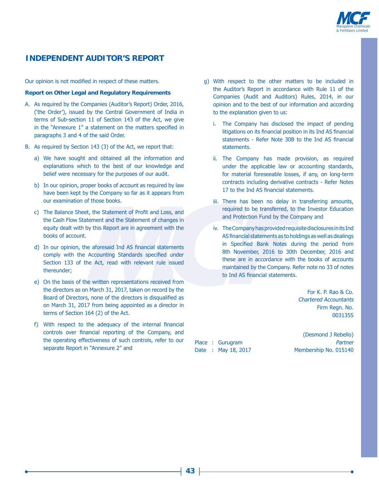

## **INDEPENDENT AUDITOR'S REPORT**

Our opinion is not modified in respect of these matters.

#### **Report on Other Legal and Regulatory Requirements**

- A. As required by the Companies (Auditor's Report) Order, 2016, ('the Order'), issued by the Central Government of India in terms of Sub-section 11 of Section 143 of the Act, we give in the "Annexure 1" a statement on the matters specified in paragraphs 3 and 4 of the said Order.
- B. As required by Section 143 (3) of the Act, we report that:
	- a) We have sought and obtained all the information and explanations which to the best of our knowledge and belief were necessary for the purposes of our audit.
	- b) In our opinion, proper books of account as required by law have been kept by the Company so far as it appears from our examination of those books.
	- c) The Balance Sheet, the Statement of Profit and Loss, and the Cash Flow Statement and the Statement of changes in equity dealt with by this Report are in agreement with the books of account.
	- d) In our opinion, the aforesaid Ind AS financial statements comply with the Accounting Standards specified under Section 133 of the Act, read with relevant rule issued thereunder:
	- e) On the basis of the written representations received from the directors as on March 31, 2017, taken on record by the Board of Directors, none of the directors is disqualified as on March 31, 2017 from being appointed as a director in terms of Section 164 (2) of the Act.
	- f) With respect to the adequacy of the internal financial controls over financial reporting of the Company, and the operating effectiveness of such controls, refer to our separate Report in "Annexure 2" and
- q) With respect to the other matters to be included in the Auditor's Report in accordance with Rule 11 of the Companies (Audit and Auditors) Rules, 2014, in our opinion and to the best of our information and according to the explanation given to us:
	- i. The Company has disclosed the impact of pending litigations on its financial position in its Ind AS financial statements - Refer Note 30B to the Ind AS financial statements.
	- ii. The Company has made provision, as required under the applicable law or accounting standards, for material foreseeable losses, if any, on long-term contracts including derivative contracts - Refer Notes 17 to the Ind AS financial statements.
	- iii. There has been no delay in transferring amounts, required to be transferred, to the Investor Education and Protection Fund by the Company and
	- iv. The Company has provided requisite disclosures in its Ind AS financial statements as to holdings as well as dealings in Specified Bank Notes during the period from 8th November, 2016 to 30th December, 2016 and these are in accordance with the books of accounts maintained by the Company. Refer note no 33 of notes to Ind AS financial statements.

For K. P. Rao & Co. Chartered Accountants Firm Regn. No. 0031355

(Desmond J Rebello) Place : Gurugram 300 and 300 and 300 and 300 and 300 and 300 and 300 and 300 and 300 and 300 and 300 and 300 and 300 and 300 and 300 and 300 and 300 and 300 and 300 and 300 and 300 and 300 and 300 and 300 and 300 and 300 a Date: May 18, 2017 Membership No. 015140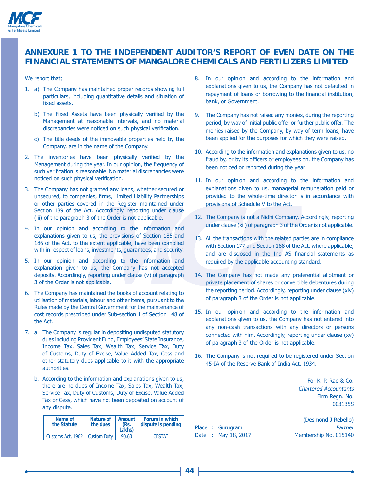

## **ANNEXURE 1 TO THE INDEPENDENT AUDITOR'S REPORT OF EVEN DATE ON THE FINANCIAL STATEMENTS OF MANGALORE CHEMICALS AND FERTILIZERS LIMITED**

#### We report that;

- 1. a) The Company has maintained proper records showing full particulars, including quantitative details and situation of fixed assets.
	- b) The Fixed Assets have been physically verified by the Management at reasonable intervals, and no material discrepancies were noticed on such physical verification.
	- c) The title deeds of the immovable properties held by the Company, are in the name of the Company.
- 2. The inventories have been physically verified by the Management during the year. In our opinion, the frequency of such verification is reasonable. No material discrepancies were noticed on such physical verification.
- 3. The Company has not granted any loans, whether secured or unsecured, to companies, firms, Limited Liability Partnerships or other parties covered in the Register maintained under Section 189 of the Act. Accordingly, reporting under clause (iii) of the paragraph 3 of the Order is not applicable.
- 4. In our opinion and according to the information and explanations given to us, the provisions of Section 185 and 186 of the Act, to the extent applicable, have been complied with in respect of loans, investments, quarantees, and security.
- 5. In our opinion and according to the information and explanation given to us, the Company has not accepted deposits. Accordingly, reporting under clause (v) of paragraph 3 of the Order is not applicable.
- 6. The Company has maintained the books of account relating to utilisation of materials, labour and other items, pursuant to the Rules made by the Central Government for the maintenance of cost records prescribed under Sub-section 1 of Section 148 of the Act.
- 7. a. The Company is regular in depositing undisputed statutory dues including Provident Fund, Employees' State Insurance, Income Tax, Sales Tax, Wealth Tax, Service Tax, Duty of Customs, Duty of Excise, Value Added Tax, Cess and other statutory dues applicable to it with the appropriate authorities.
	- b. According to the information and explanations given to us, there are no dues of Income Tax, Sales Tax, Wealth Tax, Service Tax, Duty of Customs, Duty of Excise, Value Added Tax or Cess, which have not been deposited on account of any dispute.

| Name of<br>the Statute          | Nature of<br>the dues | Amount<br>(Rs.<br>Lakhs) | Forum in which<br>dispute is pending |
|---------------------------------|-----------------------|--------------------------|--------------------------------------|
| Customs Act, 1962   Custom Duty |                       | 90.60                    | <b>CESTAT</b>                        |

- 8. In our opinion and according to the information and explanations given to us, the Company has not defaulted in repayment of loans or borrowing to the financial institution, bank, or Government.
- 9. The Company has not raised any monies, during the reporting period, by way of initial public offer or further public offer. The monies raised by the Company, by way of term loans, have been applied for the purposes for which they were raised.
- 10. According to the information and explanations given to us, no fraud by, or by its officers or employees on, the Company has been noticed or reported during the year.
- 11. In our opinion and according to the information and explanations given to us, managerial remuneration paid or provided to the whole-time director is in accordance with provisions of Schedule V to the Act.
- 12. The Company is not a Nidhi Company. Accordingly, reporting under clause (xii) of paragraph 3 of the Order is not applicable.
- 13. All the transactions with the related parties are in compliance with Section 177 and Section 188 of the Act, where applicable, and are disclosed in the Ind AS financial statements as required by the applicable accounting standard.
- 14. The Company has not made any preferential allotment or private placement of shares or convertible debentures during the reporting period. Accordingly, reporting under clause (xiv) of paragraph 3 of the Order is not applicable.
- 15. In our opinion and according to the information and explanations given to us, the Company has not entered into any non-cash transactions with any directors or persons connected with him. Accordingly, reporting under clause (xv) of paragraph 3 of the Order is not applicable.
- 16. The Company is not required to be registered under Section 45-IA of the Reserve Bank of India Act, 1934.

For K. P. Rao & Co. Chartered Accountants Firm Regn. No. 003135S

(Desmond J Rebello) Place : Gurugram 300 and 300 and 300 and 300 and 300 and 300 and 300 and 300 and 300 and 300 and 300 and 300 and 300 and 300 and 300 and 300 and 300 and 300 and 300 and 300 and 300 and 300 and 300 and 300 and 300 and 300 a Date : May 18, 2017 Membership No. 015140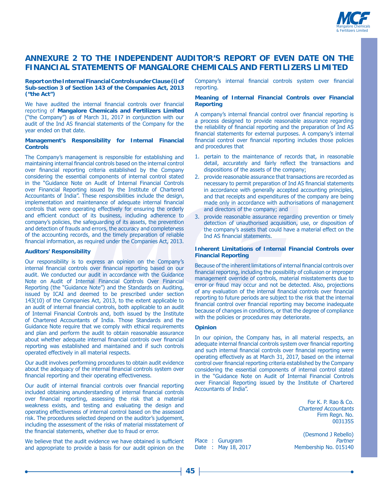

## **ANNEXURE 2 TO THE INDEPENDENT AUDITOR'S REPORT OF EVEN DATE ON THE FINANCIAL STATEMENTS OF MANGALORE CHEMICALS AND FERTILIZERS LIMITED**

#### **Report on the Internal Financial Controls under Clause (i) of Sub-section 3 of Section 143 of the Companies Act, 2013 ("the Act")**

We have audited the internal financial controls over financial reporting of **Mangalore Chemicals and Fertilizers Limited** ("the Company") as of March 31, 2017 in conjunction with our audit of the Ind AS financial statements of the Company for the year ended on that date.

#### **Management's Responsibility for Internal Financial Controls**

The Company's management is responsible for establishing and maintaining internal financial controls based on the internal control over financial reporting criteria established by the Company considering the essential components of internal control stated in the "Guidance Note on Audit of Internal Financial Controls over Financial Reporting issued by the Institute of Chartered Accountants of India". These responsibilities include the design, implementation and maintenance of adequate internal financial controls that were operating effectively for ensuring the orderly and efficient conduct of its business, including adherence to company's policies, the safeguarding of its assets, the prevention and detection of frauds and errors, the accuracy and completeness of the accounting records, and the timely preparation of reliable financial information, as required under the Companies Act, 2013.

#### **Auditors' Responsibility**

Our responsibility is to express an opinion on the Company's internal financial controls over financial reporting based on our audit. We conducted our audit in accordance with the Guidance Note on Audit of Internal Financial Controls Over Financial Reporting (the "Guidance Note") and the Standards on Auditing, issued by ICAI and deemed to be prescribed under section 143(10) of the Companies Act, 2013, to the extent applicable to an audit of internal financial controls, both applicable to an audit of Internal Financial Controls and, both issued by the Institute of Chartered Accountants of India. Those Standards and the Guidance Note require that we comply with ethical requirements and plan and perform the audit to obtain reasonable assurance about whether adequate internal financial controls over financial reporting was established and maintained and if such controls operated effectively in all material respects.

Our audit involves performing procedures to obtain audit evidence about the adequacy of the internal financial controls system over financial reporting and their operating effectiveness.

Our audit of internal financial controls over financial reporting included obtaining anunderstanding of internal financial controls over financial reporting, assessing the risk that a material weakness exists, and testing and evaluating the design and operating effectiveness of internal control based on the assessed risk. The procedures selected depend on the auditor's judgement, including the assessment of the risks of material misstatement of the financial statements, whether due to fraud or error.

We believe that the audit evidence we have obtained is sufficient and appropriate to provide a basis for our audit opinion on the

Company's internal financial controls system over financial reporting.

#### **Meaning of Internal Financial Controls over Financial Reporting**

A company's internal financial control over financial reporting is a process designed to provide reasonable assurance regarding the reliability of financial reporting and the preparation of Ind AS financial statements for external purposes. A company's internal financial control over financial reporting includes those policies and procedures that

- 1. pertain to the maintenance of records that, in reasonable detail, accurately and fairly reflect the transactions and dispositions of the assets of the company;
- 2. provide reasonable assurance that transactions are recorded as necessary to permit preparation of Ind AS financial statements in accordance with generally accepted accounting principles, and that receipts and expenditures of the company are being made only in accordance with authorisations of management and directors of the company; and
- 3. provide reasonable assurance regarding prevention or timely detection of unauthorised acquisition, use, or disposition of the company's assets that could have a material effect on the Ind AS financial statements.

#### **Inherent Limitations of Internal Financial Controls over Financial Reporting**

Because of the inherent limitations of internal financial controls over financial reporting, including the possibility of collusion or improper management override of controls, material misstatements due to error or fraud may occur and not be detected. Also, projections of any evaluation of the internal financial controls over financial reporting to future periods are subject to the risk that the internal financial control over financial reporting may become inadequate because of changes in conditions, or that the degree of compliance with the policies or procedures may deteriorate.

#### **Opinion**

In our opinion, the Company has, in all material respects, an adequate internal financial controls system over financial reporting and such internal financial controls over financial reporting were operating effectively as at March 31, 2017, based on the internal control over financial reporting criteria established by the Company considering the essential components of internal control stated in the "Guidance Note on Audit of Internal Financial Controls over Financial Reporting issued by the Institute of Chartered Accountants of India".

> For K. P. Rao & Co. Chartered Accountants Firm Regn. No. 003135S

(Desmond J Rebello) Place: Gurugram **1988**<br>Date: May 18, 2017 Membership No. 015140 Membership No. 015140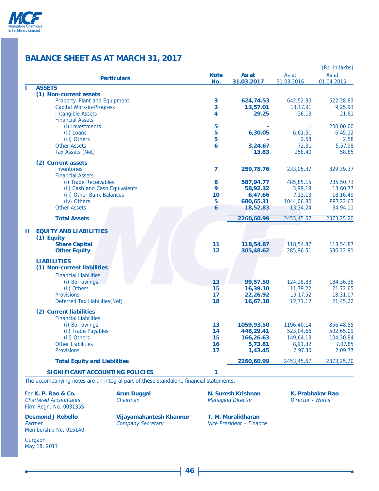

## **BALANCE SHEET AS AT MARCH 31, 2017**

|    |                                         |                |            |            | (Rs. in lakhs) |
|----|-----------------------------------------|----------------|------------|------------|----------------|
|    | <b>Particulars</b>                      | <b>Note</b>    | As at      | As at      | As at          |
|    |                                         | No.            | 31.03.2017 | 31.03.2016 | 01.04.2015     |
| п  | <b>ASSETS</b><br>(1) Non-current assets |                |            |            |                |
|    | Property, Plant and Equipment           | 3              | 624,74.53  | 642,52.90  | 622,28.83      |
|    | <b>Capital Work-in-Progress</b>         | 3              | 13,57.01   | 13,17.91   | 9,25.93        |
|    | <b>Intangible Assets</b>                | 4              | 29.25      | 36.18      | 21.81          |
|    | <b>Financial Assets</b>                 |                |            |            |                |
|    | (i) Investments                         | 5              |            |            | 200,00.00      |
|    | (ii) Loans                              | 5              | 6,30.05    | 6,61.51    | 6,45.12        |
|    | (iii) Others                            | 5              |            | 2.58       | 2.58           |
|    | <b>Other Assets</b>                     | 6              | 3,24.67    | 72.31      | 5,57.98        |
|    |                                         |                |            |            |                |
|    | Tax Assets (Net)                        |                | 13.83      | 258.40     | 58.85          |
|    | (2) Current assets                      |                |            |            |                |
|    | <b>Inventories</b>                      | $\overline{ }$ | 259,78.76  | 233,05.37  | 329,39.37      |
|    | <b>Financial Assets</b>                 |                |            |            |                |
|    | (i) Trade Receivables                   | 8              | 587,94.77  | 485,85.15  | 235,50.73      |
|    | (ii) Cash and Cash Equivalents          | 9              | 58,92.32   | 3,99.19    | 13,60.77       |
|    | (iii) Other Bank Balances               | 10             | 6,47.66    | 7,13.13    | 18,16.49       |
|    | (iv) Others                             | 5              | 680,65.31  | 1044,06.80 | 897,22.63      |
|    | <b>Other Assets</b>                     | 6              | 18,52.83   | 13,34.24   | 34,94.11       |
|    | <b>Total Assets</b>                     |                | 2260,60.99 | 2453,45.67 | 2373,25.20     |
|    |                                         |                |            |            |                |
| H. | <b>EQUITY AND LIABILITIES</b>           |                |            |            |                |
|    | (1) Equity                              |                |            |            |                |
|    | <b>Share Capital</b>                    | 11             | 118,54.87  | 118,54.87  | 118,54.87      |
|    | <b>Other Equity</b>                     | 12             | 305,48.62  | 285,96.51  | 536,22.91      |
|    | <b>LIABILITIES</b>                      |                |            |            |                |
|    |                                         |                |            |            |                |
|    | (1) Non-current liabilities             |                |            |            |                |
|    | <b>Financial Liabilities</b>            |                |            |            |                |
|    | (i) Borrowings                          | 13             | 99,57.50   | 124,28.83  | 184,36.38      |
|    | (ii) Others                             | 15             | 16,39.10   | 11,79.22   | 21,72.65       |
|    | <b>Provisions</b>                       | 17             | 22,26.92   | 19,17.52   | 18,31.07       |
|    | Deferred Tax Liabilities (Net)          | 18             | 16,67.18   | 12,71.12   | 21,45.22       |
|    | (2) Current liabilities                 |                |            |            |                |
|    | <b>Financial Liabilities</b>            |                |            |            |                |
|    | (i) Borrowings                          | 13             | 1059,93.50 | 1196,40.14 | 856,48.55      |
|    | (ii) Trade Payables                     | 14             | 448,29.41  | 523,04.66  | 502,65.09      |
|    | (iii) Others                            | 15             | 166,26.63  | 149,64.18  | 104,30.84      |
|    | <b>Other Liabilities</b>                | 16             | 5,73.81    | 8,91.32    | 7,07.85        |
|    | <b>Provisions</b>                       | 17             | 1,43.45    | 2,97.30    | 2,09.77        |
|    |                                         |                |            |            |                |
|    | <b>Total Equity and Liabilities</b>     |                | 2260,60.99 | 2453,45.67 | 2373,25.20     |
|    | <b>SIGNIFICANT ACCOUNTING POLICIES</b>  | 1              |            |            |                |

The accompanying notes are an integral part of these standalone financial statements.

For **K. P. Rao & Co. Arun Duggal N. Suresh Krishnan K. Prabhakar Rao Chartered Accountants Chairman Chairman Managing Director Norks** Chartered Accountants Firm Regn. No. 003135S

**Desmond J Rebello** Vijayamahantesh Khannur T. M. Muralidharan Partner Company Secretary Vice President – Finan Membership No. 015140

Gurgaon

May 18, 2017

Vice President – Finance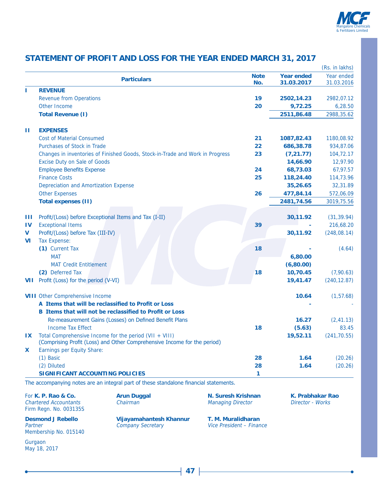

## **STATEMENT OF PROFIT AND LOSS FOR THE YEAR ENDED MARCH 31, 2017**

|               |                                              |                                                                                       |                          |                   | (Rs. in lakhs) |
|---------------|----------------------------------------------|---------------------------------------------------------------------------------------|--------------------------|-------------------|----------------|
|               |                                              | <b>Particulars</b>                                                                    | <b>Note</b>              | <b>Year ended</b> | Year ended     |
| ı             | <b>REVENUE</b>                               |                                                                                       | No.                      | 31.03.2017        | 31.03.2016     |
|               | <b>Revenue from Operations</b>               |                                                                                       | 19                       | 2502,14.23        | 2982,07.12     |
|               | Other Income                                 |                                                                                       | 20                       | 9,72.25           | 6,28.50        |
|               | <b>Total Revenue (I)</b>                     |                                                                                       |                          | 2511,86.48        | 2988,35.62     |
|               |                                              |                                                                                       |                          |                   |                |
| Ш             | <b>EXPENSES</b>                              |                                                                                       |                          |                   |                |
|               | <b>Cost of Material Consumed</b>             |                                                                                       | 21                       | 1087,82.43        | 1180,08.92     |
|               | Purchases of Stock in Trade                  |                                                                                       | 22                       | 686,38.78         | 934,87.06      |
|               |                                              | Changes in inventories of Finished Goods, Stock-in-Trade and Work in Progress         | 23                       | (7, 21.77)        | 104,72.17      |
|               | <b>Excise Duty on Sale of Goods</b>          |                                                                                       |                          | 14,66.90          | 12,97.90       |
|               | <b>Employee Benefits Expense</b>             |                                                                                       | 24                       | 68,73.03          | 67,97.57       |
|               | <b>Finance Costs</b>                         |                                                                                       | 25                       | 118,24.40         | 114,73.96      |
|               | <b>Depreciation and Amortization Expense</b> |                                                                                       |                          | 35,26.65          | 32,31.89       |
|               | <b>Other Expenses</b>                        |                                                                                       | 26                       | 477,84.14         | 572,06.09      |
|               | <b>Total expenses (II)</b>                   |                                                                                       |                          | 2481,74.56        | 3019,75.56     |
|               |                                              |                                                                                       |                          |                   |                |
| Ш             |                                              | Profit/(Loss) before Exceptional Items and Tax (I-II)                                 |                          | 30,11.92          | (31, 39.94)    |
| $\mathbf{IV}$ | <b>Exceptional Items</b>                     |                                                                                       | 39                       |                   | 216,68.20      |
| $\mathbf v$   | Profit/(Loss) before Tax (III-IV)            |                                                                                       |                          | 30,11.92          | (248,08.14)    |
| <b>VI</b>     | <b>Tax Expense:</b>                          |                                                                                       |                          |                   |                |
|               | (1) Current Tax                              |                                                                                       | 18                       |                   | (4.64)         |
|               | <b>MAT</b>                                   |                                                                                       |                          | 6,80.00           |                |
|               | <b>MAT Credit Entitlement</b>                |                                                                                       |                          | (6,80.00)         |                |
|               | (2) Deferred Tax                             |                                                                                       | <b>18</b>                | 10,70.45          | (7,90.63)      |
| <b>VII</b>    | Profit (Loss) for the period (V-VI)          |                                                                                       |                          | 19,41.47          | (240, 12.87)   |
|               |                                              |                                                                                       |                          |                   |                |
|               | <b>VIII Other Comprehensive Income</b>       |                                                                                       |                          | 10.64             | (1, 57.68)     |
|               |                                              | A Items that will be reclassified to Profit or Loss                                   |                          |                   |                |
|               |                                              | <b>B</b> Items that will not be reclassified to Profit or Loss                        |                          |                   |                |
|               |                                              | Re-measurement Gains (Losses) on Defined Benefit Plans                                |                          | 16.27             | (2, 41.13)     |
|               | <b>Income Tax Effect</b>                     |                                                                                       | 18                       | (5.63)            | 83.45          |
| IX            |                                              | Total Comprehensive Income for the period (VII + VIII)                                |                          | 19,52.11          | (241, 70.55)   |
|               |                                              | (Comprising Profit (Loss) and Other Comprehensive Income for the period)              |                          |                   |                |
| X.            | <b>Earnings per Equity Share:</b>            |                                                                                       |                          |                   |                |
|               | $(1)$ Basic                                  |                                                                                       | 28                       | 1.64              | (20.26)        |
|               | (2) Diluted                                  |                                                                                       | 28                       | 1.64              | (20.26)        |
|               | <b>SIGNIFICANT ACCOUNTING POLICIES</b>       |                                                                                       | 1                        |                   |                |
|               |                                              | The accompanying notes are an integral part of these standalone financial statements. |                          |                   |                |
|               | For K. P. Rao & Co.                          | <b>Arun Duggal</b>                                                                    | N. Suresh Krishnan       | K. Prabhakar Rao  |                |
|               | <b>Chartered Accountants</b>                 | Chairman                                                                              | <b>Managing Director</b> | Director - Works  |                |
|               | Firm Regn. No. 003135S                       |                                                                                       |                          |                   |                |
|               | <b>Desmond J Rebello</b>                     | Vijayamahantesh Khannur                                                               | T. M. Muralidharan       |                   |                |
| Partner       |                                              | <b>Company Secretary</b>                                                              | Vice President - Finance |                   |                |

Membership No. 015140

Gurgaon May 18, 2017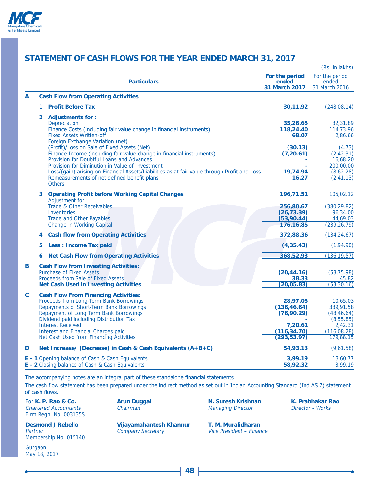

## **STATEMENT OF CASH FLOWS FOR THE YEAR ENDED MARCH 31, 2017**

|   |                |                                                                                                                                                                                                                                                                                                                                                          |                                                                                    | (Rs. in lakhs)                                                                             |
|---|----------------|----------------------------------------------------------------------------------------------------------------------------------------------------------------------------------------------------------------------------------------------------------------------------------------------------------------------------------------------------------|------------------------------------------------------------------------------------|--------------------------------------------------------------------------------------------|
|   |                | <b>Particulars</b>                                                                                                                                                                                                                                                                                                                                       | For the period<br>ended<br>31 March 2017                                           | For the period<br>ended<br>31 March 2016                                                   |
| A |                | <b>Cash Flow from Operating Activities</b>                                                                                                                                                                                                                                                                                                               |                                                                                    |                                                                                            |
|   | 1.             | <b>Profit Before Tax</b>                                                                                                                                                                                                                                                                                                                                 | 30,11.92                                                                           | (248,08.14)                                                                                |
|   | $\overline{2}$ | <b>Adjustments for:</b><br>Depreciation<br>Finance Costs (including fair value change in financial instruments)<br><b>Fixed Assets Written-off</b>                                                                                                                                                                                                       | 35,26.65<br>118,24.40<br>68.07                                                     | 32,31.89<br>114,73.96<br>2,86.66                                                           |
|   |                | Foreign Exchange Variation (net)<br>(Profit)/Loss on Sale of Fixed Assets (Net)<br>Finance Income (including fair value change in financial instruments)<br>Provision for Doubtful Loans and Advances<br>Provision for Diminution in Value of Investment<br>Loss/(gain) arising on Financial Assets/Liabilities as at fair value through Profit and Loss | (30.13)<br>(7, 20.61)<br>19,74.94                                                  | (4.73)<br>(2, 42.31)<br>16,68.20<br>200,00.00<br>(8,62.28)                                 |
|   |                | Remeasurements of net defined benefit plans<br><b>Others</b>                                                                                                                                                                                                                                                                                             | 16.27                                                                              | (2, 41.13)                                                                                 |
|   | 3              | <b>Operating Profit before Working Capital Changes</b><br>Adjustment for:                                                                                                                                                                                                                                                                                | 196,71.51                                                                          | 105,02.12                                                                                  |
|   |                | <b>Trade &amp; Other Receivables</b><br><b>Inventories</b>                                                                                                                                                                                                                                                                                               | 256,80.67<br>(26, 73.39)                                                           | (380, 29.82)<br>96,34.00                                                                   |
|   |                | <b>Trade and Other Payables</b><br><b>Change in Working Capital</b>                                                                                                                                                                                                                                                                                      | (53,90.44)<br>176,16.85                                                            | 44,69.03<br>(239, 26.79)                                                                   |
|   | 4              | <b>Cash flow from Operating Activities</b>                                                                                                                                                                                                                                                                                                               | 372,88.36                                                                          | (134, 24.67)                                                                               |
|   | 5              | <b>Less: Income Tax paid</b>                                                                                                                                                                                                                                                                                                                             | (4, 35.43)                                                                         | (1,94.90)                                                                                  |
|   | 6              | <b>Net Cash Flow from Operating Activities</b>                                                                                                                                                                                                                                                                                                           | 368,52.93                                                                          | (136, 19.57)                                                                               |
| B |                | <b>Cash Flow from Investing Activities:</b><br><b>Purchase of Fixed Assets</b><br>Proceeds from Sale of Fixed Assets<br><b>Net Cash Used in Investing Activities</b>                                                                                                                                                                                     | (20, 44.16)<br>38.33<br>(20,05.83)                                                 | (53, 75.98)<br>45.82<br>(53, 30.16)                                                        |
| C |                | <b>Cash Flow From Financing Activities:</b><br>Proceeds from Long-Term Bank Borrowings<br>Repayments of Short-Term Bank Borrowings<br>Repayment of Long Term Bank Borrowings<br>Dividend paid including Distribution Tax<br><b>Interest Received</b><br><b>Interest and Financial Charges paid</b><br>Net Cash Used from Financing Activities            | 28,97.05<br>(136, 46.64)<br>(76, 90.29)<br>7,20.61<br>(116, 34.70)<br>(293, 53.97) | 10,65.03<br>339,91.58<br>(48, 46.64)<br>(8, 55.85)<br>2,42.31<br>(116, 08.28)<br>179,88.15 |
| D |                | Net Increase/ (Decrease) in Cash & Cash Equivalents (A+B+C)                                                                                                                                                                                                                                                                                              | 54,93.13                                                                           | (9,61.58)                                                                                  |
|   |                | <b>E</b> - 1 Opening balance of Cash & Cash Equivalents<br>E - 2 Closing balance of Cash & Cash Equivalents                                                                                                                                                                                                                                              | 3,99.19<br>58,92.32                                                                | 13,60.77<br>3,99.19                                                                        |

The accompanying notes are an integral part of these standalone financial statements The cash flow statement has been prepared under the indirect method as set out in Indian Accounting Standard (Ind AS 7) statement of cash flows.

Chartered Accountants Chairman Managing Director Director - Works Firm Regn. No. 003135S

Partner **Company Secretary** Membership No. 015140

Gurgaon May 18, 2017

**Desmond J Rebello Vijayamahantesh Khannur T. M. Muralidharan**<br>Partner Company Secretary *Vice President – Finance* 

For K. P. Rao & Co. **Arun Duggal M. Suresh Krishnan K. Prabhakar Rao** 

**48**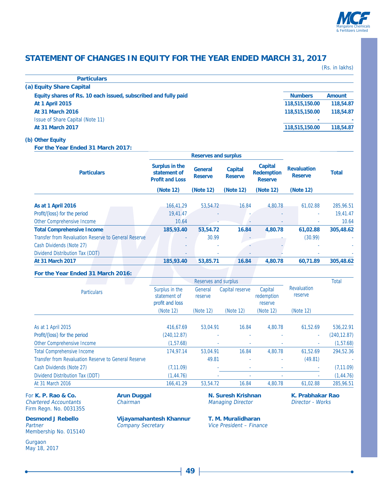

## **STATEMENT OF CHANGES IN EQUITY FOR THE YEAR ENDED MARCH 31, 2017**

(Rs. in lakhs)

| <b>Numbers</b> | Amount    |
|----------------|-----------|
| 118,515,150.00 | 118,54.87 |
| 118,515,150.00 | 118,54.87 |
| ۰              |           |
| 118,515,150.00 | 118,54.87 |
|                |           |

### **(b) Other Equity**

**For the Year Ended 31 March 2017:**

|                                                      |                                                          | <b>Reserves and surplus</b>      |                                  |                                                       |                                      |              |
|------------------------------------------------------|----------------------------------------------------------|----------------------------------|----------------------------------|-------------------------------------------------------|--------------------------------------|--------------|
| <b>Particulars</b>                                   | Surplus in the<br>statement of<br><b>Profit and Loss</b> | <b>General</b><br><b>Reserve</b> | <b>Capital</b><br><b>Reserve</b> | <b>Capital</b><br><b>Redemption</b><br><b>Reserve</b> | <b>Revaluation</b><br><b>Reserve</b> | <b>Total</b> |
|                                                      | (Note 12)                                                | (Note 12)                        | (Note 12)                        | (Note 12)                                             | (Note 12)                            |              |
| As at 1 April 2016                                   | 166.41.29                                                | 53,54.72                         | 16.84                            | 4.80.78                                               | 61.02.88                             | 285,96.51    |
| Profit/(loss) for the period                         | 19,41.47                                                 |                                  |                                  |                                                       | ÷                                    | 19,41.47     |
| Other Comprehensive Income                           | 10.64                                                    | ٠                                |                                  |                                                       | ۰                                    | 10.64        |
| <b>Total Comprehensive Income</b>                    | 185,93.40                                                | 53,54.72                         | 16.84                            | 4,80.78                                               | 61,02.88                             | 305,48.62    |
| Transfer from Revaluation Reserve to General Reserve |                                                          | 30.99                            |                                  |                                                       | (30.99)                              |              |
| Cash Dividends (Note 27)                             |                                                          |                                  |                                  |                                                       |                                      |              |
| Dividend Distribution Tax (DDT)                      |                                                          |                                  | ۰                                |                                                       |                                      |              |
| <b>At 31 March 2017</b>                              | 185,93.40                                                | 53,85.71                         | 16.84                            | 4,80.78                                               | 60,71.89                             | 305,48.62    |

### **For the Year Ended 31 March 2016:**

|                                                      |                                                   | Reserves and surplus |                 |                                  |                               | <b>Total</b> |
|------------------------------------------------------|---------------------------------------------------|----------------------|-----------------|----------------------------------|-------------------------------|--------------|
| <b>Particulars</b>                                   | Surplus in the<br>statement of<br>profit and loss | General<br>reserve   | Capital reserve | Capital<br>redemption<br>reserve | <b>Revaluation</b><br>reserve |              |
|                                                      | (Note 12)                                         | (Note 12)            | (Note 12)       | (Note 12)                        | (Note 12)                     |              |
| As at 1 April 2015                                   | 416,67.69                                         | 53.04.91             | 16.84           | 4.80.78                          | 61.52.69                      | 536,22.91    |
| Profit/(loss) for the period                         | (240, 12.87)                                      | ٠                    | ٠               |                                  | $\sim$                        | (240, 12.87) |
| Other Comprehensive Income                           | (1, 57.68)                                        | ٠                    |                 |                                  | ٠                             | (1, 57.68)   |
| <b>Total Comprehensive Income</b>                    | 174,97.14                                         | 53,04.91             | 16.84           | 4.80.78                          | 61,52.69                      | 294,52.36    |
| Transfer from Revaluation Reserve to General Reserve |                                                   | 49.81                | ٠               |                                  | (49.81)                       |              |
| Cash Dividends (Note 27)                             | (7, 11.09)                                        |                      |                 |                                  |                               | (7, 11.09)   |
| Dividend Distribution Tax (DDT)                      | (1, 44.76)                                        |                      |                 |                                  | ٠                             | (1, 44.76)   |
| At 31 March 2016                                     | 166,41.29                                         | 53,54.72             | 16.84           | 4,80.78                          | 61,02.88                      | 285,96.51    |

For **K. P. Rao & Co. Arun Duggal N. Suresh Krishnan K. Prabhakar Rao Chartered Accountants Chairman Chairman Managing Director Morks** Chartered Accountants Firm Regn. No. 003135S

**Desmond J Rebello Vijayamahantesh Khannur T. M. Muralidharan**<br>Partner Company Secretary *Vice President – Finan* Partner Company Secretary Vice President – Finance

Membership No. 015140

Gurgaon May 18, 2017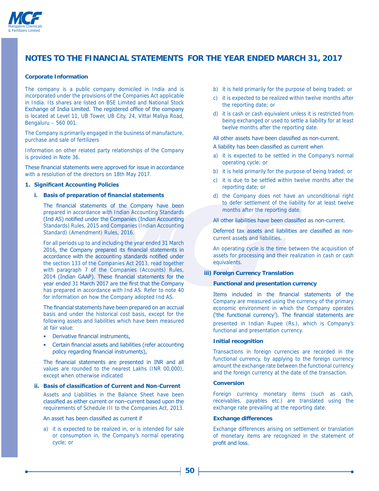

#### **Corporate Information**

The company is a public company domiciled in India and is incorporated under the provisions of the Companies Act applicable in India. Its shares are listed on BSE Limited and National Stock Exchange of India Limited. The registered office of the company is located at Level 11, UB Tower, UB City, 24, Vittal Mallya Road, Bengaluru – 560 001.

The Company is primarily engaged in the business of manufacture, purchase and sale of fertilizers

Information on other related party relationships of the Company is provided in Note 36.

These financial statements were approved for issue in accordance with a resolution of the directors on 18th May 2017.

#### **1. Significant Accounting Policies**

### **i.** Basis of preparation of financial statements

The financial statements of the Company have been prepared in accordance with Indian Accounting Standards (Ind AS) notified under the Companies (Indian Accounting Standards) Rules, 2015 and Companies (Indian Accounting Standard) (Amendment) Rules, 2016.

 For all periods up to and including the year ended 31 March 2016, the Company prepared its financial statements in accordance with the accounting standards notified under the section 133 of the Companies Act 2013, read together with paragraph 7 of the Companies (Accounts) Rules, 2014 (Indian GAAP). These financial statements for the year ended 31 March 2017 are the first that the Company has prepared in accordance with Ind AS. Refer to note 40 for information on how the Company adopted Ind AS.

The financial statements have been prepared on an accrual basis and under the historical cost basis, except for the following assets and liabilities which have been measured at fair value:

- Derivative financial instruments.
- Certain financial assets and liabilities (refer accounting policy regarding financial instruments),

The financial statements are presented in INR and all values are rounded to the nearest Lakhs (INR 00,000), except when otherwise indicated

#### **ii. Basis of classification of Current and Non-Current**

 Assets and Liabilities in the Balance Sheet have been classified as either current or non-current based upon the requirements of Schedule III to the Companies Act, 2013.

#### An asset has been classified as current if

a) it is expected to be realized in, or is intended for sale or consumption in, the Company's normal operating cycle; or

- b) it is held primarily for the purpose of being traded; or
- c) it is expected to be realized within twelve months after the reporting date; or
- d) it is cash or cash equivalent unless it is restricted from being exchanged or used to settle a liability for at least twelve months after the reporting date.

#### All other assets have been classified as non-current.

#### A liability has been classified as current when

- a) it is expected to be settled in the Company's normal operating cycle; or
- b) it is held primarily for the purpose of being traded; or
- c) it is due to be settled within twelve months after the reporting date; or
- d) the Company does not have an unconditional right to defer settlement of the liability for at least twelve months after the reporting date.

All other liabilities have been classified as non-current.

Deferred tax assets and liabilities are classified as noncurrent assets and liabilities.

 An operating cycle is the time between the acquisition of assets for processing and their realization in cash or cash equivalents.

#### **iii) Foreign Currency Translation**

#### **Functional and presentation currency**

Items included in the financial statements of the Company are measured using the currency of the primary economic environment in which the Company operates ('the functional currency'). The financial statements are presented in Indian Rupee (Rs.), which is Company's functional and presentation currency.

#### **Initial recognition**

 Transactions in foreign currencies are recorded in the functional currency, by applying to the foreign currency amount the exchange rate between the functional currency and the foreign currency at the date of the transaction.

#### **Conversion**

 Foreign currency monetary items (such as cash, receivables, payables etc.) are translated using the exchange rate prevailing at the reporting date.

#### **Exchange differences**

 Exchange differences arising on settlement or translation of monetary items are recognized in the statement of profit and loss.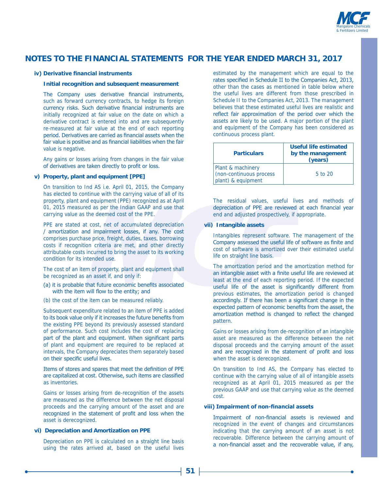

#### iv) Derivative financial instruments

#### **Initial recognition and subsequent measurement**

The Company uses derivative financial instruments, such as forward currency contracts, to hedge its foreign currency risks. Such derivative financial instruments are initially recognized at fair value on the date on which a derivative contract is entered into and are subsequently re-measured at fair value at the end of each reporting period. Derivatives are carried as financial assets when the fair value is positive and as financial liabilities when the fair value is negative.

 Any gains or losses arising from changes in the fair value of derivatives are taken directly to profit or loss.

#### **v) Property, plant and equipment [PPE]**

 On transition to Ind AS i.e. April 01, 2015, the Company has elected to continue with the carrying value of all of its property, plant and equipment (PPE) recognized as at April 01, 2015 measured as per the Indian GAAP and use that carrying value as the deemed cost of the PPE.

 PPE are stated at cost, net of accumulated depreciation / amortization and impairment losses, if any. The cost comprises purchase price, freight, duties, taxes, borrowing costs if recognition criteria are met, and other directly attributable costs incurred to bring the asset to its working condition for its intended use.

 The cost of an item of property, plant and equipment shall be recognized as an asset if, and only if:

- (a) it is probable that future economic benefits associated with the item will flow to the entity: and
- (b) the cost of the item can be measured reliably.

 Subsequent expenditure related to an item of PPE is added to its book value only if it increases the future benefits from the existing PPE beyond its previously assessed standard of performance. Such cost includes the cost of replacing part of the plant and equipment. When significant parts of plant and equipment are required to be replaced at intervals, the Company depreciates them separately based on their specific useful lives.

Items of stores and spares that meet the definition of PPE are capitalized at cost. Otherwise, such items are classified as inventories.

 Gains or losses arising from de-recognition of the assets are measured as the difference between the net disposal proceeds and the carrying amount of the asset and are recognized in the statement of profit and loss when the asset is derecognized.

#### **vi) Depreciation and Amortization on PPE**

 Depreciation on PPE is calculated on a straight line basis using the rates arrived at, based on the useful lives

estimated by the management which are equal to the rates specified in Schedule II to the Companies Act, 2013, other than the cases as mentioned in table below where the useful lives are different from those prescribed in Schedule II to the Companies Act, 2013. The management believes that these estimated useful lives are realistic and reflect fair approximation of the period over which the assets are likely to be used. A major portion of the plant and equipment of the Company has been considered as continuous process plant.

| <b>Particulars</b>                                                 | <b>Useful life estimated</b><br>by the management<br>(years) |
|--------------------------------------------------------------------|--------------------------------------------------------------|
| Plant & machinery<br>(non-continuous process<br>plant) & equipment | $5$ to $20$                                                  |

 The residual values, useful lives and methods of depreciation of PPE are reviewed at each financial year end and adjusted prospectively, if appropriate.

### **vii) Intangible assets**

 Intangibles represent software. The management of the Company assessed the useful life of software as finite and cost of software is amortized over their estimated useful life on straight line basis.

 The amortization period and the amortization method for an intangible asset with a finite useful life are reviewed at least at the end of each reporting period. If the expected useful life of the asset is significantly different from previous estimates, the amortization period is changed accordingly. If there has been a significant change in the expected pattern of economic benefits from the asset, the amortization method is changed to reflect the changed pattern.

 Gains or losses arising from de-recognition of an intangible asset are measured as the difference between the net disposal proceeds and the carrying amount of the asset and are recognized in the statement of profit and loss when the asset is derecognized.

 On transition to Ind AS, the Company has elected to continue with the carrying value of all of intangible assets recognized as at April 01, 2015 measured as per the previous GAAP and use that carrying value as the deemed cost.

#### viii) Impairment of non-financial assets

Impairment of non-financial assets is reviewed and recognized in the event of changes and circumstances indicating that the carrying amount of an asset is not recoverable. Difference between the carrying amount of a non-financial asset and the recoverable value, if any,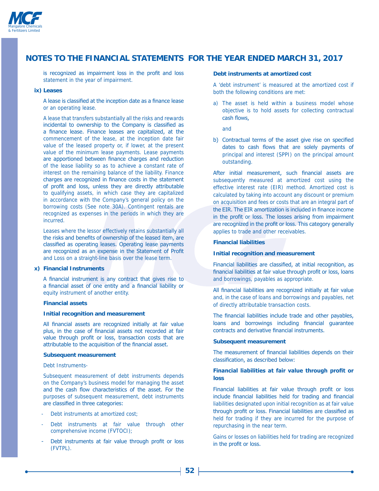

is recognized as impairment loss in the profit and loss statement in the year of impairment.

#### **ix) Leases**

A lease is classified at the inception date as a finance lease or an operating lease.

 A lease that transfers substantially all the risks and rewards incidental to ownership to the Company is classified as a finance lease. Finance leases are capitalized, at the commencement of the lease, at the inception date fair value of the leased property or, if lower, at the present value of the minimum lease payments. Lease payments are apportioned between finance charges and reduction of the lease liability so as to achieve a constant rate of interest on the remaining balance of the liability. Finance charges are recognized in finance costs in the statement of profit and loss, unless they are directly attributable to qualifying assets, in which case they are capitalized in accordance with the Company's general policy on the borrowing costs (See note 30A). Contingent rentals are recognized as expenses in the periods in which they are incurred.

 Leases where the lessor effectively retains substantially all the risks and benefits of ownership of the leased item, are classified as operating leases. Operating lease payments are recognized as an expense in the Statement of Profit and Loss on a straight-line basis over the lease term.

#### **x) Financial Instruments**

A financial instrument is any contract that gives rise to a financial asset of one entity and a financial liability or equity instrument of another entity.

#### **Financial assets**

#### **Initial recognition and measurement**

All financial assets are recognized initially at fair value plus, in the case of financial assets not recorded at fair value through profit or loss, transaction costs that are attributable to the acquisition of the financial asset.

#### **Subsequent measurement**

#### Debt Instruments-

 Subsequent measurement of debt instruments depends on the Company's business model for managing the asset and the cash flow characteristics of the asset. For the purposes of subsequent measurement, debt instruments are classified in three categories:

- Debt instruments at amortized cost;
- Debt instruments at fair value through other comprehensive income (FVTOCI);
- Debt instruments at fair value through profit or loss (FVTPL).

#### **Debt instruments at amortized cost**

 A 'debt instrument' is measured at the amortized cost if both the following conditions are met:

a) The asset is held within a business model whose objective is to hold assets for collecting contractual cash flows,

and

b) Contractual terms of the asset give rise on specified dates to cash flows that are solely payments of principal and interest (SPPI) on the principal amount outstanding.

After initial measurement, such financial assets are subsequently measured at amortized cost using the effective interest rate (EIR) method. Amortized cost is calculated by taking into account any discount or premium on acquisition and fees or costs that are an integral part of the EIR, The EIR amortization is included in finance income in the profit or loss. The losses arising from impairment are recognized in the profit or loss. This category generally applies to trade and other receivables.

#### **Financial liabilities**

#### **Initial recognition and measurement**

Financial liabilities are classified, at initial recognition, as financial liabilities at fair value through profit or loss, loans and borrowings, payables as appropriate.

All financial liabilities are recognized initially at fair value and, in the case of loans and borrowings and payables, net of directly attributable transaction costs.

The financial liabilities include trade and other payables, loans and borrowings including financial quarantee contracts and derivative financial instruments.

#### **Subsequent measurement**

The measurement of financial liabilities depends on their classification, as described below:

#### Financial liabilities at fair value through profit or **loss**

Financial liabilities at fair value through profit or loss include financial liabilities held for trading and financial liabilities designated upon initial recognition as at fair value through profit or loss. Financial liabilities are classified as held for trading if they are incurred for the purpose of repurchasing in the near term.

 Gains or losses on liabilities held for trading are recognized in the profit or loss.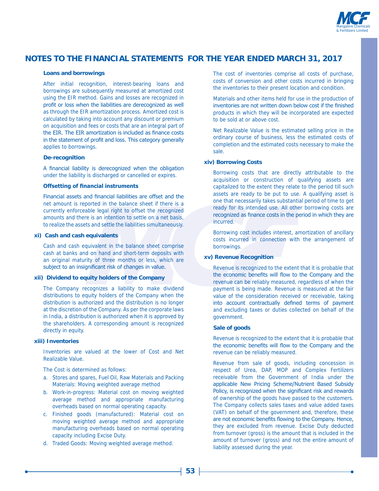

#### **Loans and borrowings**

 After initial recognition, interest-bearing loans and borrowings are subsequently measured at amortized cost using the EIR method. Gains and losses are recognized in profit or loss when the liabilities are derecognized as well as through the EIR amortization process. Amortized cost is calculated by taking into account any discount or premium on acquisition and fees or costs that are an integral part of the EIR. The EIR amortization is included as finance costs in the statement of profit and loss. This category generally applies to borrowings.

#### **De-recognition**

A financial liability is derecognized when the obligation under the liability is discharged or cancelled or expires.

#### **Offsetting of financial instruments**

Financial assets and financial liabilities are offset and the net amount is reported in the balance sheet if there is a currently enforceable legal right to offset the recognized amounts and there is an intention to settle on a net basis, to realize the assets and settle the liabilities simultaneously.

#### **xi) Cash and cash equivalents**

 Cash and cash equivalent in the balance sheet comprise cash at banks and on hand and short-term deposits with an original maturity of three months or less, which are subject to an insignificant risk of changes in value.

#### **xii) Dividend to equity holders of the Company**

 The Company recognizes a liability to make dividend distributions to equity holders of the Company when the distribution is authorized and the distribution is no longer at the discretion of the Company. As per the corporate laws in India, a distribution is authorized when it is approved by the shareholders. A corresponding amount is recognized directly in equity.

#### **xiii) Inventories**

 Inventories are valued at the lower of Cost and Net Realizable Value.

The Cost is determined as follows:

- a. Stores and spares, Fuel Oil, Raw Materials and Packing Materials: Moving weighted average method
- b. Work-in-progress: Material cost on moving weighted average method and appropriate manufacturing overheads based on normal operating capacity.
- c. Finished goods (manufactured): Material cost on moving weighted average method and appropriate manufacturing overheads based on normal operating capacity including Excise Duty.
- d. Traded Goods: Moving weighted average method.

 The cost of inventories comprise all costs of purchase, costs of conversion and other costs incurred in bringing the inventories to their present location and condition.

 Materials and other items held for use in the production of inventories are not written down below cost if the finished products in which they will be incorporated are expected to be sold at or above cost.

 Net Realizable Value is the estimated selling price in the ordinary course of business, less the estimated costs of completion and the estimated costs necessary to make the sale.

#### **xiv) Borrowing Costs**

 Borrowing costs that are directly attributable to the acquisition or construction of qualifying assets are capitalized to the extent they relate to the period till such assets are ready to be put to use. A qualifying asset is one that necessarily takes substantial period of time to get ready for its intended use. All other borrowing costs are recognized as finance costs in the period in which they are incurred.

 Borrowing cost includes interest, amortization of ancillary costs incurred in connection with the arrangement of borrowings.

#### **xv) Revenue Recognition**

 Revenue is recognized to the extent that it is probable that the economic benefits will flow to the Company and the revenue can be reliably measured, regardless of when the payment is being made. Revenue is measured at the fair value of the consideration received or receivable, taking into account contractually defined terms of payment and excluding taxes or duties collected on behalf of the government.

#### **Sale of goods**

 Revenue is recognized to the extent that it is probable that the economic benefits will flow to the Company and the revenue can be reliably measured.

 Revenue from sale of goods, including concession in respect of Urea, DAP, MOP and Complex Fertilizers receivable from the Government of India under the applicable New Pricing Scheme/Nutrient Based Subsidy Policy, is recognized when the significant risk and rewards of ownership of the goods have passed to the customers. The Company collects sales taxes and value added taxes (VAT) on behalf of the government and, therefore, these are not economic benefits flowing to the Company. Hence, they are excluded from revenue. Excise Duty deducted from turnover (gross) is the amount that is included in the amount of turnover (gross) and not the entire amount of liability assessed during the year.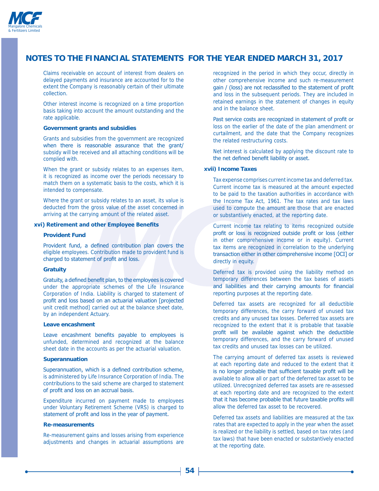

 Claims receivable on account of interest from dealers on delayed payments and insurance are accounted for to the extent the Company is reasonably certain of their ultimate collection.

 Other interest income is recognized on a time proportion basis taking into account the amount outstanding and the rate applicable.

#### **Government grants and subsidies**

 Grants and subsidies from the government are recognized when there is reasonable assurance that the grant/ subsidy will be received and all attaching conditions will be complied with.

 When the grant or subsidy relates to an expenses item, it is recognized as income over the periods necessary to match them on a systematic basis to the costs, which it is intended to compensate.

 Where the grant or subsidy relates to an asset, its value is deducted from the gross value of the asset concerned in arriving at the carrying amount of the related asset.

### **xvi) Retirement and other Employee Benefits**

#### **Provident Fund**

Provident fund, a defined contribution plan covers the eligible employees. Contribution made to provident fund is charged to statement of profit and loss.

#### **Gratuity**

Gratuity, a defined benefit plan, to the employees is covered under the appropriate schemes of the Life Insurance Corporation of India. Liability is charged to statement of profit and loss based on an actuarial valuation [projected unit credit method] carried out at the balance sheet date, by an independent Actuary.

#### **Leave encashment**

Leave encashment benefits payable to employees is unfunded, determined and recognized at the balance sheet date in the accounts as per the actuarial valuation.

#### **Superannuation**

Superannuation, which is a defined contribution scheme, is administered by Life Insurance Corporation of India. The contributions to the said scheme are charged to statement of profit and loss on an accrual basis.

 Expenditure incurred on payment made to employees under Voluntary Retirement Scheme (VRS) is charged to statement of profit and loss in the year of payment.

#### **Re-measurements**

 Re-measurement gains and losses arising from experience adjustments and changes in actuarial assumptions are

recognized in the period in which they occur, directly in other comprehensive income and such re-measurement gain / (loss) are not reclassified to the statement of profit and loss in the subsequent periods. They are included in retained earnings in the statement of changes in equity and in the balance sheet.

Past service costs are recognized in statement of profit or loss on the earlier of the date of the plan amendment or curtailment, and the date that the Company recognizes the related restructuring costs.

 Net interest is calculated by applying the discount rate to the net defined benefit liability or asset.

#### **xvii) Income Taxes**

 Tax expense comprises current income tax and deferred tax. Current income tax is measured at the amount expected to be paid to the taxation authorities in accordance with the Income Tax Act, 1961. The tax rates and tax laws used to compute the amount are those that are enacted or substantively enacted, at the reporting date.

 Current income tax relating to items recognized outside profit or loss is recognized outside profit or loss (either in other comprehensive income or in equity). Current tax items are recognized in correlation to the underlying transaction either in other comprehensive income [OCI] or directly in equity.

 Deferred tax is provided using the liability method on temporary differences between the tax bases of assets and liabilities and their carrying amounts for financial reporting purposes at the reporting date.

 Deferred tax assets are recognized for all deductible temporary differences, the carry forward of unused tax credits and any unused tax losses. Deferred tax assets are recognized to the extent that it is probable that taxable profit will be available against which the deductible temporary differences, and the carry forward of unused tax credits and unused tax losses can be utilized.

 The carrying amount of deferred tax assets is reviewed at each reporting date and reduced to the extent that it is no longer probable that sufficient taxable profit will be available to allow all or part of the deferred tax asset to be utilized. Unrecognized deferred tax assets are re-assessed at each reporting date and are recognized to the extent that it has become probable that future taxable profits will allow the deferred tax asset to be recovered.

 Deferred tax assets and liabilities are measured at the tax rates that are expected to apply in the year when the asset is realized or the liability is settled, based on tax rates (and tax laws) that have been enacted or substantively enacted at the reporting date.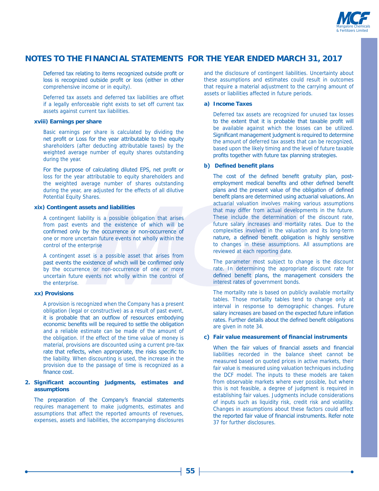

Deferred tax relating to items recognized outside profit or loss is recognized outside profit or loss (either in other comprehensive income or in equity).

 Deferred tax assets and deferred tax liabilities are offset if a legally enforceable right exists to set off current tax assets against current tax liabilities.

#### **xviii) Earnings per share**

 Basic earnings per share is calculated by dividing the net profit or Loss for the year attributable to the equity shareholders (after deducting attributable taxes) by the weighted average number of equity shares outstanding during the year.

For the purpose of calculating diluted EPS, net profit or loss for the year attributable to equity shareholders and the weighted average number of shares outstanding during the year, are adjusted for the effects of all dilutive Potential Equity Shares.

#### **xix) Contingent assets and liabilities**

 A contingent liability is a possible obligation that arises from past events and the existence of which will be confirmed only by the occurrence or non-occurrence of one or more uncertain future events not wholly within the control of the enterprise

 A contingent asset is a possible asset that arises from past events the existence of which will be confirmed only by the occurrence or non-occurrence of one or more uncertain future events not wholly within the control of the enterprise.

### **xx) Provisions**

 A provision is recognized when the Company has a present obligation (legal or constructive) as a result of past event, it is probable that an outflow of resources embodying economic benefits will be required to settle the obligation and a reliable estimate can be made of the amount of the obligation. If the effect of the time value of money is material, provisions are discounted using a current pre-tax rate that reflects, when appropriate, the risks specific to the liability. When discounting is used, the increase in the provision due to the passage of time is recognized as a  $\overline{f}$ inance cost.

#### 2. Significant accounting judgments, estimates and **assumptions**

The preparation of the Company's financial statements requires management to make judgments, estimates and assumptions that affect the reported amounts of revenues, expenses, assets and liabilities, the accompanying disclosures and the disclosure of contingent liabilities. Uncertainty about these assumptions and estimates could result in outcomes that require a material adjustment to the carrying amount of assets or liabilities affected in future periods.

#### **a) Income Taxes**

 Deferred tax assets are recognized for unused tax losses to the extent that it is probable that taxable profit will be available against which the losses can be utilized. Significant management judgment is required to determine the amount of deferred tax assets that can be recognized, based upon the likely timing and the level of future taxable profits together with future tax planning strategies.

### **b)** Defined benefit plans

The cost of the defined benefit gratuity plan, postemployment medical benefits and other defined benefit plans and the present value of the obligation of defined benefit plans are determined using actuarial valuations. An actuarial valuation involves making various assumptions that may differ from actual developments in the future. These include the determination of the discount rate, future salary increases and mortality rates. Due to the complexities involved in the valuation and its long-term nature, a defined benefit obligation is highly sensitive to changes in these assumptions. All assumptions are reviewed at each reporting date.

 The parameter most subject to change is the discount rate. In determining the appropriate discount rate for defined benefit plans, the management considers the interest rates of government bonds.

 The mortality rate is based on publicly available mortality tables. Those mortality tables tend to change only at interval in response to demographic changes. Future salary increases are based on the expected future inflation rates. Further details about the defined benefit obligations are given in note 34.

### c) Fair value measurement of financial instruments

When the fair values of financial assets and financial liabilities recorded in the balance sheet cannot be measured based on quoted prices in active markets, their fair value is measured using valuation techniques including the DCF model. The inputs to these models are taken from observable markets where ever possible, but where this is not feasible, a degree of judgment is required in establishing fair values. Judgments include considerations of inputs such as liquidity risk, credit risk and volatility. Changes in assumptions about these factors could affect the reported fair value of financial instruments. Refer note 37 for further disclosures.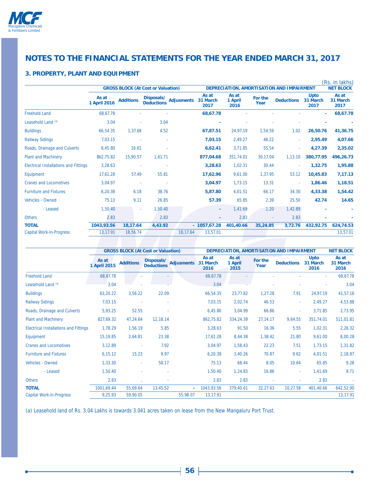

### **3. PROPERTY, PLANT AND EQUIPMENT**

|                                              | <b>GROSS BLOCK (At Cost or Valuation)</b> |                  |                                 |                   | DEPRECIATION, AMORTISATION AND IMPAIRMENT<br><b>NET BLOCK</b> |                          |                 |                   |                                 |                           |
|----------------------------------------------|-------------------------------------------|------------------|---------------------------------|-------------------|---------------------------------------------------------------|--------------------------|-----------------|-------------------|---------------------------------|---------------------------|
|                                              | As at<br>1 April 2016                     | <b>Additions</b> | Disposals/<br><b>Deductions</b> | <b>Adjusments</b> | As at<br>31 March<br>2017                                     | As at<br>1 April<br>2016 | For the<br>Year | <b>Deductions</b> | <b>Upto</b><br>31 March<br>2017 | As at<br>31 March<br>2017 |
| <b>Freehold Land</b>                         | 68,67.78                                  |                  |                                 |                   | 68,67.78                                                      |                          |                 |                   | ÷.                              | 68,67.78                  |
| Leasehold Land <sup>(a)</sup>                | 3.04                                      |                  | 3.04                            |                   |                                                               |                          |                 |                   |                                 |                           |
| <b>Buildings</b>                             | 66,54.35                                  | 1,37.68          | 4.52                            |                   | 67,87.51                                                      | 24,97.19                 | 1,54.59         | 1.02              | 26,50.76                        | 41,36.75                  |
| <b>Railway Sidings</b>                       | 7,03.15                                   | ٠                | ٠                               |                   | 7,03.15                                                       | 2,49.27                  | 46.22           | $\sim$            | 2,95.49                         | 4,07.66                   |
| Roads, Drainage and Culverts                 | 6,45.80                                   | 16.61            |                                 |                   | 6,62.41                                                       | 3,71.85                  | 55.54           | ×                 | 4,27.39                         | 2,35.02                   |
| <b>Plant and Machinery</b>                   | 862.75.82                                 | 15,90.57         | 1.61.71                         |                   | 877,04.68                                                     | 351,74.01                | 30,17.04        | 1,13.10           | 380.77.95                       | 496,26.73                 |
| <b>Electrical Installations and Fittings</b> | 3,28.63                                   | ٠                | ÷                               |                   | 3,28.63                                                       | 1,02.31                  | 30.44           | ٠                 | 1,32.75                         | 1,95.88                   |
| Equipment                                    | 17,61.28                                  | 57.49            | 55.81                           |                   | 17,62.96                                                      | 9,61.00                  | 1,37.95         | 53.12             | 10,45.83                        | 7,17.13                   |
| <b>Cranes and Locomotives</b>                | 3,04.97                                   | ÷                | $\sim$                          |                   | 3,04.97                                                       | 1,73.15                  | 13.31           | $\sim$            | 1,86.46                         | 1,18.51                   |
| <b>Furniture and Fixtures</b>                | 6,20.38                                   | 6.18             | 38.76                           |                   | 5,87.80                                                       | 4,01.51                  | 66.17           | 34.30             | 4,33.38                         | 1,54.42                   |
| Vehicles - Owned                             | 75.13                                     | 9.11             | 26.85                           |                   | 57.39                                                         | 65.85                    | 2.39            | 25.50             | 42.74                           | 14.65                     |
| - Leased                                     | 1,50.40                                   | ٠                | 1,50.40                         |                   | ٠                                                             | 1,41.69                  | 1.20            | 1,42.89           |                                 |                           |
| <b>Others</b>                                | 2.83                                      |                  | 2.83                            |                   | ٠                                                             | 2.83                     |                 | 2.83              |                                 |                           |
| <b>TOTAL</b>                                 | 1043,93.56                                | 18,17.64         | 4,43.92                         |                   | $-1057,67.28$                                                 | 401,40.66                | 35,24.85        | 3,72.76           | 432,92.75                       | 624,74.53                 |
| <b>Capital Work-in-Progress</b>              | 13,17.91                                  | 18,56.74         |                                 | 18,17.64          | 13,57.01                                                      |                          |                 |                   |                                 | 13,57.01                  |

|                                              |                       | <b>GROSS BLOCK (At Cost or Valuation)</b> |                                 |                   |                           | DEPRECIATION, AMORTISATION AND IMPAIRMENT |                 |                   |                                 |                           |
|----------------------------------------------|-----------------------|-------------------------------------------|---------------------------------|-------------------|---------------------------|-------------------------------------------|-----------------|-------------------|---------------------------------|---------------------------|
|                                              | As at<br>1 April 2015 | <b>Additions</b>                          | Disposals/<br><b>Deductions</b> | <b>Adjusments</b> | As at<br>31 March<br>2016 | As at<br>1 April<br>2015                  | For the<br>Year | <b>Deductions</b> | <b>Upto</b><br>31 March<br>2016 | As at<br>31 March<br>2016 |
| <b>Freehold Land</b>                         | 68,67.78              |                                           |                                 |                   | 68,67.78                  |                                           |                 |                   |                                 | 68,67.78                  |
| Leasehold Land <sup>(a)</sup>                | 3.04                  |                                           |                                 |                   | 3.04                      |                                           |                 |                   |                                 | 3.04                      |
| <b>Buildings</b>                             | 63,20.22              | 3,56.22                                   | 22.09                           |                   | 66,54.35                  | 23,77.82                                  | 1,27.28         | 7.91              | 24,97.19                        | 41,57.16                  |
| <b>Railway Sidings</b>                       | 7,03.15               |                                           |                                 |                   | 7,03.15                   | 2,02.74                                   | 46.53           | ٠                 | 2,49.27                         | 4,53.88                   |
| Roads, Drainage and Culverts                 | 5,93.25               | 52.55                                     |                                 |                   | 6,45.80                   | 3,04.99                                   | 66.86           | ٠                 | 3,71.85                         | 2,73.95                   |
| <b>Plant and Machinery</b>                   | 827,69.32             | 47,24.64                                  | 12,18.14                        |                   | 862,75.82                 | 334,24.39                                 | 27,14.17        | 9,64.55           | 351,74.01                       | 511,01.81                 |
| <b>Electrical Installations and Fittings</b> | 1,78.29               | 1,56.19                                   | 5.85                            |                   | 3,28.63                   | 91.50                                     | 16.36           | 5.55              | 1,02.31                         | 2,26.32                   |
| Equipment                                    | 15,19.85              | 2,64.81                                   | 23.38                           |                   | 17,61.28                  | 8,44.38                                   | 1,38.42         | 21.80             | 9,61.00                         | 8,00.28                   |
| <b>Cranes and Locomotives</b>                | 3,12.89               |                                           | 7.92                            |                   | 3,04.97                   | 1,58.43                                   | 22.23           | 7.51              | 1,73.15                         | 1,31.82                   |
| <b>Furniture and Fixtures</b>                | 6,15.12               | 15.23                                     | 9.97                            |                   | 6,20.38                   | 3,40.26                                   | 70.87           | 9.62              | 4,01.51                         | 2,18.87                   |
| Vehicles - Owned                             | 1,33.30               | ٠                                         | 58.17                           |                   | 75.13                     | 68.44                                     | 8.05            | 10.64             | 65.85                           | 9.28                      |
| - Leased                                     | 1,50.40               |                                           |                                 |                   | 1,50.40                   | 1,24.83                                   | 16.86           | ٠                 | 1,41.69                         | 8.71                      |
| <b>Others</b>                                | 2.83                  |                                           |                                 |                   | 2.83                      | 2.83                                      |                 |                   | 2.83                            |                           |
| <b>TOTAL</b>                                 | 1001,69.44            | 55,69.64                                  | 13,45.52                        |                   | 1043,93.56                | 379,40.61                                 | 32,27.63        | 10,27.58          | 401,40.66                       | 642,52.90                 |
| <b>Capital Work-in-Progress</b>              | 9,25.93               | 59,90.05                                  |                                 | 55,98.07          | 13,17.91                  |                                           |                 |                   |                                 | 13,17.91                  |

(a) Leasehold land of Rs. 3.04 Lakhs is towards 3.041 acres taken on lease from the New Mangaluru Port Trust.

<u> 1980 - Johann Barn, mars an t-Amerikaansk kommunister (</u>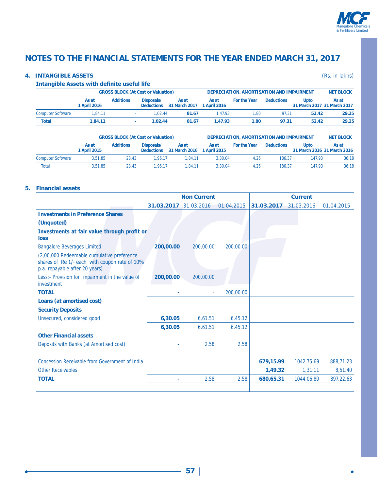

### **4. INTANGIBLE ASSETS** (Rs. in lakhs)

#### **Intangible Assets with definite useful life**

|                          |                       |                  | <b>GROSS BLOCK (At Cost or Valuation)</b> |                        | DEPRECIATION, AMORTISATION AND IMPAIRMENT |                     | <b>NET BLOCK</b>  |                                     |       |
|--------------------------|-----------------------|------------------|-------------------------------------------|------------------------|-------------------------------------------|---------------------|-------------------|-------------------------------------|-------|
|                          | As at<br>1 April 2016 | <b>Additions</b> | Disposals/<br><b>Deductions</b>           | As at<br>31 March 2017 | As at<br>1 April 2016                     | <b>For the Year</b> | <b>Deductions</b> | Upto<br>31 March 2017 31 March 2017 | As at |
| <b>Computer Software</b> | 1.84.11               |                  | 1.02.44                                   | 81.67                  | 1.47.93                                   | 1.80                | 97.31             | 52.42                               | 29.25 |
| <b>Total</b>             | 1.84.11               |                  | 1.02.44                                   | 81.67                  | 1.47.93                                   | 1.80                | 97.31             | 52.42                               | 29.25 |

|                          |                       | <b>GROSS BLOCK (At Cost or Valuation)</b> |                                 |                        | DEPRECIATION, AMORTISATION AND IMPAIRMENT | <b>NET BLOCK</b> |                   |                                            |       |
|--------------------------|-----------------------|-------------------------------------------|---------------------------------|------------------------|-------------------------------------------|------------------|-------------------|--------------------------------------------|-------|
|                          | As at<br>1 April 2015 | <b>Additions</b>                          | Disposals/<br><b>Deductions</b> | As at<br>31 March 2016 | As at<br>1 April 2015                     | For the Year     | <b>Deductions</b> | <b>Upto</b><br>31 March 2016 31 March 2016 | As at |
| <b>Computer Software</b> | 3.51.85               | 28.43                                     | 1.96.17                         | 1.84.11                | 3.30.04                                   | 4.26             | 186.37            | 147.93                                     | 36.18 |
| <b>Total</b>             | 3.51.85               | 28.43                                     | 1.96.17                         | 1.84.11                | 3.30.04                                   | 4.26             | 186.37            | 147.93                                     | 36.18 |

#### **5. Financial assets**

|                                                                                                                               |            | <b>Non Current</b> |            | <b>Current</b> |            |            |  |
|-------------------------------------------------------------------------------------------------------------------------------|------------|--------------------|------------|----------------|------------|------------|--|
|                                                                                                                               | 31.03.2017 | 31.03.2016         | 01.04.2015 | 31.03.2017     | 31.03.2016 | 01.04.2015 |  |
| <b>Investments in Preference Shares</b>                                                                                       |            |                    |            |                |            |            |  |
| (Unquoted)                                                                                                                    |            |                    |            |                |            |            |  |
| Investments at fair value through profit or<br>loss                                                                           |            |                    |            |                |            |            |  |
| <b>Bangalore Beverages Limited</b>                                                                                            | 200,00.00  | 200,00.00          | 200,00.00  |                |            |            |  |
| (2,00,000 Redeemable cumulative preference<br>shares of Re 1/- each with coupon rate of 10%<br>p.a. repayable after 20 years) |            |                    |            |                |            |            |  |
| Less:- Provision for Impairment in the value of<br>investment                                                                 | 200,00.00  | 200,00,00          |            |                |            |            |  |
| <b>TOTAL</b>                                                                                                                  |            |                    | 200,00.00  |                |            |            |  |
| Loans (at amortised cost)                                                                                                     |            |                    |            |                |            |            |  |
| <b>Security Deposits</b>                                                                                                      |            |                    |            |                |            |            |  |
| Unsecured, considered good                                                                                                    | 6,30.05    | 6,61.51            | 6,45.12    |                |            |            |  |
|                                                                                                                               | 6,30.05    | 6,61.51            | 6,45.12    |                |            |            |  |
| <b>Other Financial assets</b>                                                                                                 |            |                    |            |                |            |            |  |
| Deposits with Banks (at Amortised cost)                                                                                       |            | 2.58               | 2.58       |                |            |            |  |
|                                                                                                                               |            |                    |            |                |            |            |  |
| <b>Concession Receivable from Government of India</b>                                                                         |            |                    |            | 679,15.99      | 1042.75.69 | 888,71.23  |  |
| <b>Other Receivables</b>                                                                                                      |            |                    |            | 1,49.32        | 1,31.11    | 8,51.40    |  |
| <b>TOTAL</b>                                                                                                                  |            | 2.58               | 2.58       | 680,65.31      | 1044,06.80 | 897,22.63  |  |
|                                                                                                                               |            |                    |            |                |            |            |  |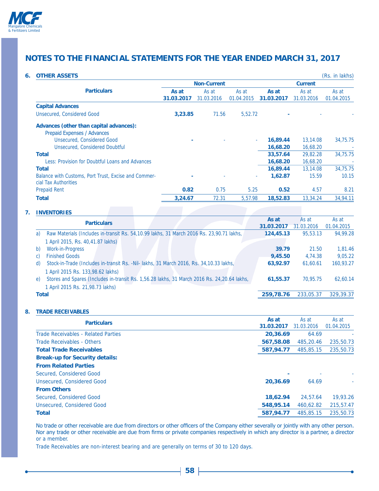

### **6. OTHER ASSETS** (Rs. in lakhs)

|            |            |            | <b>Current</b>                      |                                 |                                                                                                                   |  |
|------------|------------|------------|-------------------------------------|---------------------------------|-------------------------------------------------------------------------------------------------------------------|--|
| As at      | As at      | As at      | As at                               | As at                           | As at                                                                                                             |  |
| 31.03.2017 | 31.03.2016 | 01.04.2015 | 31.03.2017                          | 31.03.2016                      | 01.04.2015                                                                                                        |  |
|            |            |            |                                     |                                 |                                                                                                                   |  |
| 3,23.85    |            |            |                                     |                                 |                                                                                                                   |  |
|            |            |            |                                     |                                 |                                                                                                                   |  |
|            |            |            |                                     |                                 |                                                                                                                   |  |
|            |            |            | 16,89.44                            |                                 | 34,75.75                                                                                                          |  |
|            |            |            |                                     |                                 |                                                                                                                   |  |
|            |            |            |                                     |                                 | 34,75.75                                                                                                          |  |
|            |            |            |                                     |                                 |                                                                                                                   |  |
|            |            |            | 16,89.44                            |                                 | 34,75.75                                                                                                          |  |
|            |            |            | 1,62.87                             |                                 | 10.15                                                                                                             |  |
| 0.82       |            |            | 0.52                                | 4.57                            | 8.21                                                                                                              |  |
| 3.24.67    | 72.31      |            | 18,52.83                            |                                 | 34,94.11                                                                                                          |  |
|            |            |            | <b>Non-Current</b><br>71.56<br>0.75 | 5,52.72<br>٠<br>5.25<br>5,57.98 | 13,14.08<br>16,68.20<br>16,68.20<br>33,57.64<br>29.82.28<br>16,68.20<br>16,68.20<br>13,14.08<br>15.59<br>13,34.24 |  |

## **7. INVENTORIES**

| <b>Particulars</b>                                                                                | As at<br>31.03.2017 | As at<br>31.03.2016 | As at<br>01.04.2015 |
|---------------------------------------------------------------------------------------------------|---------------------|---------------------|---------------------|
| Raw Materials (Includes in-transit Rs. 54, 10.99 lakhs, 31 March 2016 Rs. 23, 90.71 lakhs,<br>a)  | 124,45.13           | 95,53.13            | 94.99.28            |
| 1 April 2015, Rs. 40,41.87 lakhs)                                                                 |                     |                     |                     |
| <b>Work-in-Progress</b><br>b)                                                                     | 39.79               | 21.50               | 1,81.46             |
| <b>Finished Goods</b><br>C)                                                                       | 9,45.50             | 4.74.38             | 9.05.22             |
| Stock-in-Trade (Includes in-transit Rs. -Nil- lakhs, 31 March 2016, Rs. 34, 10.33 lakhs,<br>d)    | 63,92.97            | 61,60.61            | 160,93.27           |
| 1 April 2015 Rs. 133,98.62 lakhs)                                                                 |                     |                     |                     |
| Stores and Spares (Includes in-transit Rs. 1,56.28 lakhs, 31 March 2016 Rs. 24,20.64 lakhs,<br>e) | 61.55.37            | 70.95.75            | 62,60.14            |
| 1 April 2015 Rs. 21,98.73 lakhs)                                                                  |                     |                     |                     |
| <b>Total</b>                                                                                      | 259,78.76           | 233,05.37           | 329,39.37           |
|                                                                                                   |                     |                     |                     |

#### **8. TRADE RECEIVABLES**

| <b>Particulars</b>                    | As at<br>31.03.2017 | As at<br>31.03.2016 | As at<br>01.04.2015 |
|---------------------------------------|---------------------|---------------------|---------------------|
| Trade Receivables - Related Parties   | 20,36.69            | 64.69               |                     |
| Trade Receivables - Others            | 567,58.08           | 485,20.46           | 235,50.73           |
| <b>Total Trade Receivables</b>        | 587,94.77           | 485,85.15           | 235,50.73           |
| <b>Break-up for Security details:</b> |                     |                     |                     |
| <b>From Related Parties</b>           |                     |                     |                     |
| Secured, Considered Good              |                     |                     |                     |
| Unsecured, Considered Good            | 20,36.69            | 64.69               |                     |
| <b>From Others</b>                    |                     |                     |                     |
| Secured, Considered Good              | 18,62.94            | 24,57.64            | 19,93.26            |
| Unsecured, Considered Good            | 548,95.14           | 460.62.82           | 215,57.47           |
| <b>Total</b>                          | 587,94.77           | 485,85.15           | 235,50.73           |

No trade or other receivable are due from directors or other officers of the Company either severally or jointly with any other person. Nor any trade or other receivable are due from firms or private companies respectively in which any director is a partner, a director or a member.

Trade Receivables are non-interest bearing and are generally on terms of 30 to 120 days.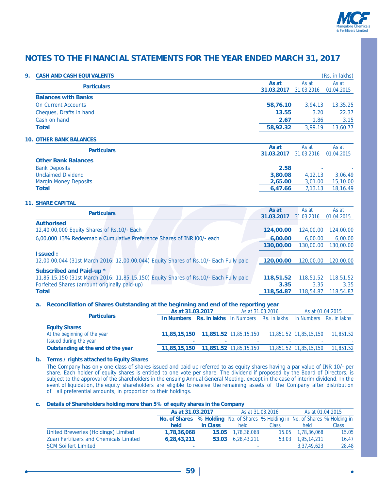

| 9. | <b>CASH AND CASH EQUIVALENTS</b>                                                          |            |            | (Rs. in lakhs) |
|----|-------------------------------------------------------------------------------------------|------------|------------|----------------|
|    | <b>Particulars</b>                                                                        | As at      | As at      | As at          |
|    |                                                                                           | 31.03.2017 | 31.03.2016 | 01.04.2015     |
|    | <b>Balances with Banks</b>                                                                |            |            |                |
|    | <b>On Current Accounts</b>                                                                | 58,76.10   | 3,94.13    | 13,35.25       |
|    | Cheques, Drafts in hand                                                                   | 13.55      | 3.20       | 22.37          |
|    | Cash on hand                                                                              | 2.67       | 1.86       | 3.15           |
|    | <b>Total</b>                                                                              | 58,92.32   | 3,99.19    | 13,60.77       |
|    | <b>10. OTHER BANK BALANCES</b>                                                            |            |            |                |
|    | <b>Particulars</b>                                                                        | As at      | As at      | As at          |
|    | <b>Other Bank Balances</b>                                                                | 31.03.2017 | 31.03.2016 | 01.04.2015     |
|    |                                                                                           | 2.58       |            |                |
|    | <b>Bank Deposits</b><br><b>Unclaimed Dividend</b>                                         | 3,80.08    | 4,12.13    | 3,06.49        |
|    | <b>Margin Money Deposits</b>                                                              | 2,65.00    | 3,01.00    | 15,10.00       |
|    | <b>Total</b>                                                                              | 6,47.66    | 7,13.13    | 18,16.49       |
|    |                                                                                           |            |            |                |
|    | <b>11. SHARE CAPITAL</b>                                                                  |            |            |                |
|    | <b>Particulars</b>                                                                        | As at      | As at      | As at          |
|    |                                                                                           | 31.03.2017 | 31.03.2016 | 01.04.2015     |
|    | <b>Authorised</b>                                                                         |            |            |                |
|    | 12,40,00,000 Equity Shares of Rs.10/- Each                                                | 124,00.00  | 124,00.00  | 124,00.00      |
|    | 6,00,000 13% Redeemable Cumulative Preference Shares of INR I00/- each                    | 6,00.00    | 6,00.00    | 6,00.00        |
|    |                                                                                           | 130,00.00  | 130,00.00  | 130,00.00      |
|    | <b>Issued:</b>                                                                            |            |            |                |
|    | 12,00,00,044 (31st March 2016: 12,00,00,044) Equity Shares of Rs.10/- Each Fully paid     | 120,00.00  | 120,00.00  | 120,00.00      |
|    | Subscribed and Paid-up *                                                                  |            |            |                |
|    | 11,85,15,150 (31st March 2016: 11,85,15,150) Equity Shares of Rs.10/- Each Fully paid     | 118,51.52  | 118,51.52  | 118,51.52      |
|    | Forfeited Shares (amount originally paid-up)                                              | 3.35       | 3.35       | 3.35           |
|    | <b>Total</b>                                                                              | 118,54.87  | 118,54.87  | 118,54.87      |
|    |                                                                                           |            |            |                |
|    | Reconciliation of Shares Outstanding at the beginning and end of the reporting year<br>а. |            |            |                |
|    |                                                                                           |            |            | 0.400100000    |

|                                    | As at 31.03.2017                                                               |     | As at 31.03.2016 |  | As at 01.04.2015       |                                  |
|------------------------------------|--------------------------------------------------------------------------------|-----|------------------|--|------------------------|----------------------------------|
| <b>Particulars</b>                 | <b>In Numbers Rs. in lakhs</b> In Numbers Rs. in lakhs In Numbers Rs. in lakhs |     |                  |  |                        |                                  |
| <b>Equity Shares</b>               |                                                                                |     |                  |  |                        |                                  |
| At the beginning of the year       |                                                                                |     |                  |  |                        | 11,851.52 11,85,15,150 11,851.52 |
| Issued during the year             | $\blacksquare$                                                                 | . . |                  |  |                        |                                  |
| Outstanding at the end of the year |                                                                                |     |                  |  | 11,851.52 11,85,15,150 | 11,851.52                        |
|                                    |                                                                                |     |                  |  |                        |                                  |

### **b. Terms / rights attached to Equity Shares**

The Company has only one class of shares issued and paid up referred to as equity shares having a par value of INR 10/- per share. Each holder of equity shares is entitled to one vote per share. The dividend if proposed by the Board of Directors, is subject to the approval of the shareholders in the ensuing Annual General Meeting, except in the case of interim dividend. In the event of liquidation, the equity shareholders are eligible to receive the remaining assets of the Company after distribution of all preferential amounts, in proportion to their holdings.

#### **c. Details of Shareholders holding more than 5% of equity shares in the Company**

|                                                | As at 31.03.2017                                                              |          |                          | As at 31.03.2016 | As at 01.04.2015  |       |
|------------------------------------------------|-------------------------------------------------------------------------------|----------|--------------------------|------------------|-------------------|-------|
|                                                | No. of Shares % Holding No. of Shares % Holding in No. of Shares % Holding in |          |                          |                  |                   |       |
|                                                | held                                                                          | in Class | held                     | Class            | held              | Class |
| United Breweries (Holdings) Limited            | 1,78,36,068                                                                   |          | <b>15.05</b> 1.78.36.068 |                  |                   | 15.05 |
| <b>Zuari Fertilizers and Chemicals Limited</b> | 6.28.43.211                                                                   |          | 53.03 6.28.43.211        |                  | 53.03 1.95.14.211 | 16.47 |
| <b>SCM Soilfert Limited</b>                    | $\overline{\phantom{a}}$                                                      |          |                          |                  | 3,37,49,623       | 28.48 |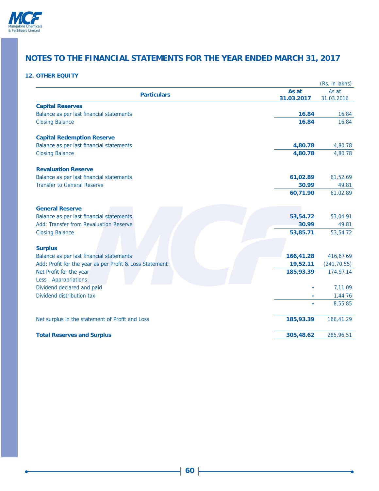

## **12. OTHER EQUITY**

|                                                         |            | (Rs. in lakhs) |
|---------------------------------------------------------|------------|----------------|
| <b>Particulars</b>                                      | As at      | As at          |
|                                                         | 31.03.2017 | 31.03.2016     |
| <b>Capital Reserves</b>                                 |            |                |
| Balance as per last financial statements                | 16.84      | 16.84          |
| <b>Closing Balance</b>                                  | 16.84      | 16.84          |
| <b>Capital Redemption Reserve</b>                       |            |                |
| Balance as per last financial statements                | 4,80.78    | 4,80.78        |
| <b>Closing Balance</b>                                  | 4,80.78    | 4,80.78        |
| <b>Revaluation Reserve</b>                              |            |                |
| Balance as per last financial statements                | 61,02.89   | 61,52.69       |
| <b>Transfer to General Reserve</b>                      | 30.99      | 49.81          |
|                                                         | 60,71.90   | 61,02.89       |
| <b>General Reserve</b>                                  |            |                |
| Balance as per last financial statements                | 53,54.72   | 53,04.91       |
| Add: Transfer from Revaluation Reserve                  | 30.99      | 49.81          |
| <b>Closing Balance</b>                                  | 53,85.71   | 53,54.72       |
| <b>Surplus</b>                                          |            |                |
| Balance as per last financial statements                | 166,41.28  | 416,67.69      |
| Add: Profit for the year as per Profit & Loss Statement | 19,52.11   | (241, 70.55)   |
| Net Profit for the year                                 | 185,93.39  | 174,97.14      |
| Less: Appropriations                                    |            |                |
| Dividend declared and paid                              |            | 7,11.09        |
| Dividend distribution tax                               |            | 1,44.76        |
|                                                         |            | 8,55.85        |
| Net surplus in the statement of Profit and Loss         | 185,93.39  | 166,41.29      |
| <b>Total Reserves and Surplus</b>                       | 305,48.62  | 285,96.51      |
|                                                         |            |                |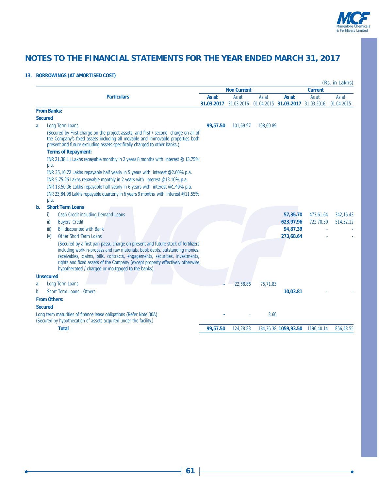

### **13. BORROWINGS (AT AMORTISED COST)**

|    |                                                                                                                                                                                                                                                                                                                                                                                         |                     |                     |           |                                 |                     | (Rs. in Lakhs)      |
|----|-----------------------------------------------------------------------------------------------------------------------------------------------------------------------------------------------------------------------------------------------------------------------------------------------------------------------------------------------------------------------------------------|---------------------|---------------------|-----------|---------------------------------|---------------------|---------------------|
|    |                                                                                                                                                                                                                                                                                                                                                                                         |                     | <b>Non Current</b>  |           |                                 | <b>Current</b>      |                     |
|    | <b>Particulars</b>                                                                                                                                                                                                                                                                                                                                                                      | As at<br>31.03.2017 | As at<br>31.03.2016 | As at     | As at<br>01.04.2015 31.03.2017  | As at<br>31.03.2016 | As at<br>01.04.2015 |
|    | <b>From Banks:</b>                                                                                                                                                                                                                                                                                                                                                                      |                     |                     |           |                                 |                     |                     |
|    | <b>Secured</b>                                                                                                                                                                                                                                                                                                                                                                          |                     |                     |           |                                 |                     |                     |
| a. | <b>Long Term Loans</b>                                                                                                                                                                                                                                                                                                                                                                  | 99,57.50            | 101,69.97           | 108,60.89 |                                 |                     |                     |
|    | (Secured by First charge on the project assets, and first / second charge on all of<br>the Company's fixed assets including all movable and immovable properties both<br>present and future excluding assets specifically charged to other banks.)                                                                                                                                      |                     |                     |           |                                 |                     |                     |
|    | <b>Terms of Repayment:</b>                                                                                                                                                                                                                                                                                                                                                              |                     |                     |           |                                 |                     |                     |
|    | INR 21,38.11 Lakhs repayable monthly in 2 years 8 months with interest @ 13.75%                                                                                                                                                                                                                                                                                                         |                     |                     |           |                                 |                     |                     |
|    | p.a.                                                                                                                                                                                                                                                                                                                                                                                    |                     |                     |           |                                 |                     |                     |
|    | INR 35,10.72 Lakhs repayable half yearly in 5 years with interest @2.60% p.a.                                                                                                                                                                                                                                                                                                           |                     |                     |           |                                 |                     |                     |
|    | INR 5,75.26 Lakhs repayable monthly in 2 years with interest @13.10% p.a.                                                                                                                                                                                                                                                                                                               |                     |                     |           |                                 |                     |                     |
|    | INR 13,50.36 Lakhs repayable half yearly in 6 years with interest @1.40% p.a.                                                                                                                                                                                                                                                                                                           |                     |                     |           |                                 |                     |                     |
|    | INR 23,84.98 Lakhs repayable quarterly in 6 years 9 months with interest @11.55%                                                                                                                                                                                                                                                                                                        |                     |                     |           |                                 |                     |                     |
|    | p.a.                                                                                                                                                                                                                                                                                                                                                                                    |                     |                     |           |                                 |                     |                     |
| b. | <b>Short Term Loans</b>                                                                                                                                                                                                                                                                                                                                                                 |                     |                     |           |                                 |                     |                     |
|    | <b>Cash Credit including Demand Loans</b><br>i)                                                                                                                                                                                                                                                                                                                                         |                     |                     |           | 57,35.70                        | 473,61.64           | 342, 16.43          |
|    | <b>Buyers' Credit</b><br>ii)                                                                                                                                                                                                                                                                                                                                                            |                     |                     |           | 623,97.96                       | 722,78.50           | 514,32.12           |
|    | <b>Bill discounted with Bank</b><br>$\overline{\mathsf{iii}}$                                                                                                                                                                                                                                                                                                                           |                     |                     |           | 94,87.39                        |                     |                     |
|    | <b>Other Short Term Loans</b><br>iv)                                                                                                                                                                                                                                                                                                                                                    |                     |                     |           | 273,68.64                       |                     |                     |
|    | (Secured by a first pari passu charge on present and future stock of fertilizers<br>including work-in-process and raw materials, book debts, outstanding monies,<br>receivables, claims, bills, contracts, engagements, securities, investments,<br>rights and fixed assets of the Company (except property effectively otherwise<br>hypothecated / charged or mortgaged to the banks). |                     |                     |           |                                 |                     |                     |
|    |                                                                                                                                                                                                                                                                                                                                                                                         |                     |                     |           |                                 |                     |                     |
|    | <b>Unsecured</b>                                                                                                                                                                                                                                                                                                                                                                        |                     |                     |           |                                 |                     |                     |
| a. | <b>Long Term Loans</b>                                                                                                                                                                                                                                                                                                                                                                  |                     | 22,58.86            | 75.71.83  |                                 |                     |                     |
| b. | <b>Short Term Loans - Others</b>                                                                                                                                                                                                                                                                                                                                                        |                     |                     |           | 10,03.81                        |                     |                     |
|    | <b>From Others:</b>                                                                                                                                                                                                                                                                                                                                                                     |                     |                     |           |                                 |                     |                     |
|    | <b>Secured</b>                                                                                                                                                                                                                                                                                                                                                                          |                     |                     |           |                                 |                     |                     |
|    | Long term maturities of finance lease obligations (Refer Note 30A)<br>(Secured by hypothecation of assets acquired under the facility.)                                                                                                                                                                                                                                                 |                     |                     | 3.66      |                                 |                     |                     |
|    | <b>Total</b>                                                                                                                                                                                                                                                                                                                                                                            | 99,57.50            | 124,28.83           |           | 184,36.38 1059,93.50 1196,40.14 |                     | 856,48.55           |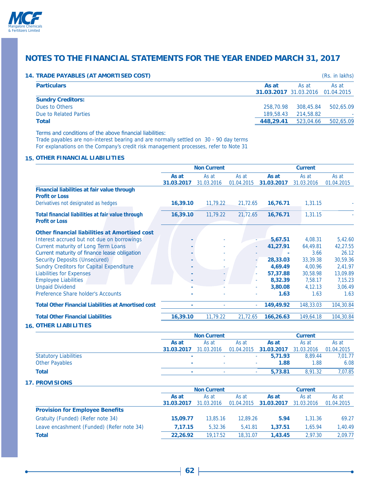

#### **14. TRADE PAYABLES (AT AMORTISED COST)** (Rs. in lakhs)

|                          |           |                                           | $\mathbf{u}$ |
|--------------------------|-----------|-------------------------------------------|--------------|
| <b>Particulars</b>       | As at     | As at<br>31.03.2017 31.03.2016 01.04.2015 | As at        |
| <b>Sundry Creditors:</b> |           |                                           |              |
| Dues to Others           | 258,70.98 | 308,45.84                                 | 502,65.09    |
| Due to Related Parties   | 189,58.43 | 214,58.82                                 |              |
| <b>Total</b>             | 448.29.41 | 523,04.66                                 | 502,65.09    |
|                          |           |                                           |              |

Terms and conditions of the above financial liabilities:

Trade payables are non-interest bearing and are normally settled on 30 - 90 day terms For explanations on the Company's credit risk management processes, refer to Note 31

### **15. OTHER FINANCIAL LIABILITIES**

|                                                                            | <b>Non Current</b>  |                     |                     | <b>Current</b>      |                     |                     |
|----------------------------------------------------------------------------|---------------------|---------------------|---------------------|---------------------|---------------------|---------------------|
|                                                                            | As at<br>31.03.2017 | As at<br>31.03.2016 | As at<br>01.04.2015 | As at<br>31.03.2017 | As at<br>31.03.2016 | As at<br>01.04.2015 |
| Financial liabilities at fair value through<br><b>Profit or Loss</b>       |                     |                     |                     |                     |                     |                     |
| Derivatives not designated as hedges                                       | 16,39.10            | 11,79.22            | 21,72.65            | 16,76.71            | 1,31.15             |                     |
| Total financial liabilities at fair value through<br><b>Profit or Loss</b> | 16,39.10            | 11,79.22            | 21,72.65            | 16,76.71            | 1,31.15             |                     |
| <b>Other financial liabilities at Amortised cost</b>                       |                     |                     |                     |                     |                     |                     |
| Interest accrued but not due on borrowings                                 |                     |                     |                     | 5,67.51             | 4,08.31             | 5,42.60             |
| <b>Current maturity of Long Term Loans</b>                                 |                     |                     |                     | 41,27.91            | 64,49.81            | 42,27.55            |
| Current maturity of finance lease obligation                               |                     |                     |                     |                     | 3.66                | 26.12               |
| <b>Security Deposits (Unsecured)</b>                                       |                     |                     |                     | 28,33.03            | 33,39.38            | 30,59.36            |
| <b>Sundry Creditors for Capital Expenditure</b>                            |                     | ۰                   |                     | 4,69.49             | 4,00.96             | 2,41.97             |
| <b>Liabilities for Expenses</b>                                            |                     | ٠                   |                     | 57,37.88            | 30,58.98            | 13,09.89            |
| <b>Employee Liabilities</b>                                                |                     |                     |                     | 8,32.39             | 7,58.17             | 7,15.23             |
| <b>Unpaid Dividend</b>                                                     |                     |                     |                     | 3,80.08             | 4,12.13             | 3,06.49             |
| Preference Share holder's Accounts                                         |                     |                     |                     | 1.63                | 1.63                | 1.63                |
| <b>Total Other Financial Liabilities at Amortised cost</b>                 | ٠                   | ٠                   |                     | 149,49.92           | 148,33.03           | 104,30.84           |
| <b>Total Other Financial Liabilities</b>                                   | 16,39.10            | 11,79.22            | 21,72.65            | 166,26.63           | 149,64.18           | 104,30.84           |

**16. OTHER LIABILITIES** 

|                              |                          | <b>Non Current</b> |       |                                  | <b>Current</b> |            |  |  |
|------------------------------|--------------------------|--------------------|-------|----------------------------------|----------------|------------|--|--|
|                              | As at                    | As at              | As at | As at                            | As at          | As at      |  |  |
|                              | 31.03.2017               | 31.03.2016         |       | 01.04.2015 31.03.2017 31.03.2016 |                | 01.04.2015 |  |  |
| <b>Statutory Liabilities</b> | $\overline{\phantom{a}}$ |                    |       | 5,71.93                          | 8.89.44        | 7,01.77    |  |  |
| <b>Other Payables</b>        |                          | $\sim$             |       | 1.88                             | 1.88           | 6.08       |  |  |
| Total                        |                          | ٠                  |       | 5.73.81                          | 8.91.32        | 7,07.85    |  |  |

#### **17. PROVISIONS**

|                                           | <b>Non Current</b> |            |            | <b>Current</b> |            |            |  |
|-------------------------------------------|--------------------|------------|------------|----------------|------------|------------|--|
|                                           | As at              | As at      | As at      | As at          | As at      | As at      |  |
|                                           | 31.03.2017         | 31.03.2016 | 01.04.2015 | 31.03.2017     | 31.03.2016 | 01.04.2015 |  |
| <b>Provision for Employee Benefits</b>    |                    |            |            |                |            |            |  |
| Gratuity (Funded) (Refer note 34)         | 15,09.77           | 13,85.16   | 12.89.26   | 5.94           | 1,31.36    | 69.27      |  |
| Leave encashment (Funded) (Refer note 34) | 7.17.15            | 5.32.36    | 5,41.81    | 1,37.51        | 1.65.94    | 1.40.49    |  |
| Total                                     | 22,26.92           | 19,17.52   | 18,31.07   | 1,43,45        | 2.97.30    | 2,09.77    |  |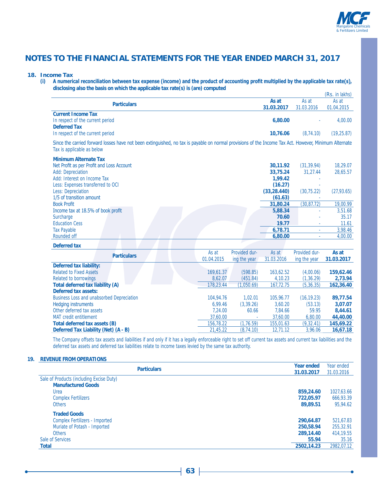

#### **18. Income Tax**

(i) A numerical reconciliation between tax expense (income) and the product of accounting profit multiplied by the applicable tax rate(s), **disclosing also the basis on which the applicable tax rate(s) is (are) computed**

|                                                                                                                                                                                     |            |               |                                    |                         | (Rs. in lakhs)       |
|-------------------------------------------------------------------------------------------------------------------------------------------------------------------------------------|------------|---------------|------------------------------------|-------------------------|----------------------|
| <b>Particulars</b>                                                                                                                                                                  |            |               | As at<br>31.03.2017                | As at<br>31.03.2016     | As at<br>01.04.2015  |
| <b>Current Income Tax</b><br>In respect of the current period<br><b>Deferred Tax</b>                                                                                                |            |               | 6,80.00                            |                         | 4,00.00              |
| In respect of the current period                                                                                                                                                    |            |               | 10,76.06                           | (8, 74.10)              | (19, 25.87)          |
| Since the carried forward losses have not been extinguished, no tax is payable on normal provisions of the Income Tax Act. However, Minimum Alternate<br>Tax is applicable as below |            |               |                                    |                         |                      |
| <b>Minimum Alternate Tax</b><br>Net Profit as per Profit and Loss Account<br><b>Add: Depreciation</b><br>Add: Interest on Income Tax                                                |            |               | 30,11.92<br>33,75.24<br>1,99.42    | (31, 39.94)<br>31,27.44 | 18,29.07<br>28,65.57 |
| Less: Expenses transferred to OCI<br><b>Less: Depreciation</b><br>1/5 of transition amount                                                                                          |            |               | (16.27)<br>(33, 28.440)<br>(61.63) | (30, 75.22)             | (27, 93.65)          |
| <b>Book Profit</b>                                                                                                                                                                  |            |               | 31,80.24                           | (30, 87.72)             | 19,00.99             |
| Income tax at 18.5% of book profit                                                                                                                                                  |            |               | 5,88.34                            |                         | 3,51.68              |
| Surcharge                                                                                                                                                                           |            |               | 70.60                              |                         | 35.17                |
| <b>Education Cess</b>                                                                                                                                                               |            |               | 19.77                              |                         | 11.61                |
| <b>Tax Payable</b><br>Rounded off                                                                                                                                                   |            |               | 6,78.71<br>6,80.00                 | $\omega$                | 3,98.46<br>4,00.00   |
|                                                                                                                                                                                     |            |               |                                    | $\mathbf{r}$            |                      |
| <b>Deferred tax</b>                                                                                                                                                                 |            |               |                                    |                         |                      |
| <b>Particulars</b>                                                                                                                                                                  | As at      | Provided dur- | As at                              | Provided dur-           | As at                |
|                                                                                                                                                                                     | 01.04.2015 | ing the year  | 31.03.2016                         | ing the year            | 31.03.2017           |
| <b>Deferred tax liability:</b>                                                                                                                                                      |            |               |                                    |                         |                      |
| <b>Related to Fixed Assets</b>                                                                                                                                                      | 169,61.37  | (598.85)      | 163,62.52                          | (4,00.06)               | 159,62.46            |
| Related to borrowings                                                                                                                                                               | 8,62.07    | (451.84)      | 4,10.23                            | (1, 36.29)              | 2,73.94              |
| Total deferred tax liability (A)                                                                                                                                                    | 178,23.44  | (1,050.69)    | 167,72.75                          | (5, 36.35)              | 162,36.40            |
| <b>Deferred tax assets:</b><br><b>Business Loss and unabsorbed Depreciation</b>                                                                                                     | 104,94.76  | 1,02.01       | 105,96.77                          | (16, 19.23)             | 89,77.54             |
| <b>Hedging instruments</b>                                                                                                                                                          | 6,99.46    | (3, 39.26)    | 3,60.20                            | (53.13)                 | 3,07.07              |
| Other deferred tax assets                                                                                                                                                           | 7,24.00    | 60.66         | 7,84.66                            | 59.95                   | 8,44.61              |
| <b>MAT</b> credit entitlement                                                                                                                                                       | 37.60.00   |               | 37,60.00                           | 6,80.00                 | 44,40.00             |

MAT credit entitlement<br> **137,60.00** - 37,60.00 6,80.00 **44,40.00**<br> **156,78.22** (1,76.59) 155,01.63 (9,32.41) 145,69.22 **Total deferred tax assets (B)**<br> **Deferred Tax Liability (Net) (A - B)**<br> **156,78.22** (1,76.59) 155,01.63 (9,32.41) 145,69.22<br>
21,45.22 (8,74.10) 12,71.12 3,96.06 16,67.18 **Deferred Tax Liability (Net) (A - B)** 21,45.22 (8,74.10) 12,71.12 3,96.06 **16,67.18**

The Company offsets tax assets and liabilities if and only if it has a legally enforceable right to set off current tax assets and current tax liabilities and the deferred tax assets and deferred tax liabilities relate to income taxes levied by the same tax authority.

### **19. REVENUE FROM OPERATIONS**

| <b>Particulars</b>                       | <b>Year ended</b> | Year ended |
|------------------------------------------|-------------------|------------|
|                                          | 31.03.2017        | 31.03.2016 |
| Sale of Products (including Excise Duty) |                   |            |
| <b>Manufactured Goods</b>                |                   |            |
| Urea                                     | 859,24.60         | 1027,63.66 |
| <b>Complex Fertilizers</b>               | 722.05.97         | 666,93.39  |
| <b>Others</b>                            | 89,89.51          | 95,94.62   |
| <b>Traded Goods</b>                      |                   |            |
| <b>Complex Fertilizers - Imported</b>    | 290,64.87         | 521,67.83  |
| Muriate of Potash - Imported             | 250,58.94         | 255,32.91  |
| <b>Others</b>                            | 289,14.40         | 414, 19.55 |
| Sale of Services                         | 55.94             | 35.16      |
| <b>Total</b>                             | 2502.14.23        | 2982.07.12 |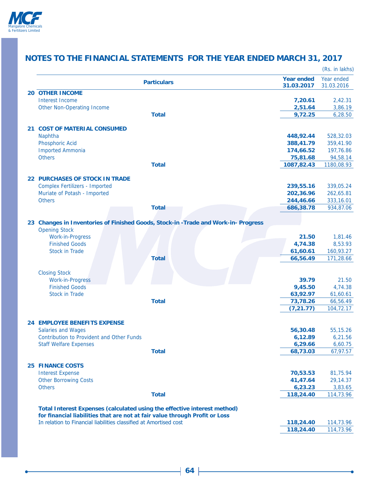

|                                                                             |                                                                                    |                                 | (Rs. in lakhs)           |
|-----------------------------------------------------------------------------|------------------------------------------------------------------------------------|---------------------------------|--------------------------|
|                                                                             | <b>Particulars</b>                                                                 | <b>Year ended</b><br>31.03.2017 | Year ended<br>31.03.2016 |
| <b>20 OTHER INCOME</b>                                                      |                                                                                    |                                 |                          |
| <b>Interest Income</b>                                                      |                                                                                    | 7,20.61                         | 2,42.31                  |
| <b>Other Non-Operating Income</b>                                           |                                                                                    | 2,51.64                         | 3,86.19                  |
|                                                                             | <b>Total</b>                                                                       | 9,72.25                         | 6,28.50                  |
| 21 COST OF MATERIAL CONSUMED                                                |                                                                                    |                                 |                          |
| Naphtha                                                                     |                                                                                    | 448,92.44                       | 528,32.03                |
| <b>Phosphoric Acid</b>                                                      |                                                                                    | 388,41.79                       | 359,41.90                |
| <b>Imported Ammonia</b>                                                     |                                                                                    | 174,66.52                       | 197,76.86                |
| <b>Others</b>                                                               |                                                                                    | 75,81.68                        | 94,58.14                 |
|                                                                             | <b>Total</b>                                                                       | 1087,82.43                      | 1180,08.93               |
| <b>22 PURCHASES OF STOCK IN TRADE</b>                                       |                                                                                    |                                 |                          |
| <b>Complex Fertilizers - Imported</b>                                       |                                                                                    | 239,55.16                       | 339,05.24                |
| Muriate of Potash - Imported                                                |                                                                                    | 202,36.96                       | 262,65.81                |
| <b>Others</b>                                                               |                                                                                    | 244,46.66                       | 333,16.01                |
|                                                                             | <b>Total</b>                                                                       | 686,38.78                       | 934,87.06                |
|                                                                             | 23 Changes in Inventories of Finished Goods, Stock-in -Trade and Work-in- Progress |                                 |                          |
| <b>Opening Stock</b>                                                        |                                                                                    |                                 |                          |
| <b>Work-in-Progress</b>                                                     |                                                                                    | 21.50                           | 1,81.46                  |
| <b>Finished Goods</b>                                                       |                                                                                    | 4,74.38                         | 8,53.93                  |
| <b>Stock in Trade</b>                                                       |                                                                                    | 61,60.61                        | 160,93.27                |
|                                                                             | <b>Total</b>                                                                       | 66,56.49                        | 171,28.66                |
| <b>Closing Stock</b>                                                        |                                                                                    |                                 |                          |
| <b>Work-in-Progress</b>                                                     |                                                                                    | 39.79                           | 21.50                    |
| <b>Finished Goods</b>                                                       |                                                                                    | 9,45.50                         | 4,74.38                  |
| <b>Stock in Trade</b>                                                       |                                                                                    | 63,92.97                        | 61,60.61                 |
|                                                                             | <b>Total</b>                                                                       | 73,78.26                        | 66,56.49                 |
|                                                                             |                                                                                    | (7, 21.77)                      | 104,72.17                |
| <b>24 EMPLOYEE BENEFITS EXPENSE</b>                                         |                                                                                    |                                 |                          |
| <b>Salaries and Wages</b>                                                   |                                                                                    | 56,30.48                        | 55,15.26                 |
| <b>Contribution to Provident and Other Funds</b>                            |                                                                                    | 6,12.89                         | 6,21.56                  |
| <b>Staff Welfare Expenses</b>                                               |                                                                                    | 6,29.66                         | 6,60.75                  |
|                                                                             | <b>Total</b>                                                                       | 68,73.03                        | 67,97.57                 |
| <b>25 FINANCE COSTS</b>                                                     |                                                                                    |                                 |                          |
| <b>Interest Expense</b>                                                     |                                                                                    | 70,53.53                        | 81,75.94                 |
| <b>Other Borrowing Costs</b>                                                |                                                                                    | 41,47.64                        | 29,14.37                 |
| <b>Others</b>                                                               |                                                                                    | 6,23.23                         | 3,83.65                  |
|                                                                             | <b>Total</b>                                                                       | 118,24.40                       | 114,73.96                |
| Total Interest Expenses (calculated using the effective interest method)    |                                                                                    |                                 |                          |
| for financial liabilities that are not at fair value through Profit or Loss |                                                                                    |                                 |                          |
| In relation to Financial liabilities classified at Amortised cost           |                                                                                    | 118,24.40                       | 114,73.96                |
|                                                                             |                                                                                    | 118,24.40                       | 114,73.96                |
|                                                                             |                                                                                    |                                 |                          |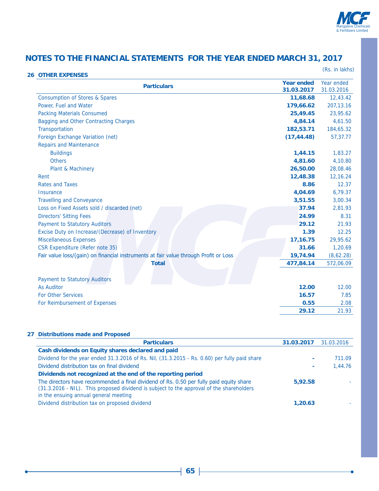

| <b>26 OTHER EXPENSES</b>                                                             |                                 | (Rs. in lakhs)           |
|--------------------------------------------------------------------------------------|---------------------------------|--------------------------|
| <b>Particulars</b>                                                                   | <b>Year ended</b><br>31.03.2017 | Year ended<br>31.03.2016 |
| <b>Consumption of Stores &amp; Spares</b>                                            | 11,68.68                        | 12,43.42                 |
| Power, Fuel and Water                                                                | 179,66.62                       | 207, 13.16               |
| <b>Packing Materials Consumed</b>                                                    | 25,49.45                        | 23,95.62                 |
| Bagging and Other Contracting Charges                                                | 4,84.14                         | 4,61.50                  |
| Transportation                                                                       | 182,53.71                       | 184,65.32                |
| Foreign Exchange Variation (net)                                                     | (17, 44.48)                     | 57,37.77                 |
| <b>Repairs and Maintenance</b>                                                       |                                 |                          |
| <b>Buildings</b>                                                                     | 1,44.15                         | 1,83.27                  |
| <b>Others</b>                                                                        | 4,81.60                         | 4,10.80                  |
| Plant & Machinery                                                                    | 26,50.00                        | 28,08.46                 |
| Rent                                                                                 | 12,48.38                        | 12,16.24                 |
| <b>Rates and Taxes</b>                                                               | 8.86                            | 12.37                    |
| Insurance                                                                            | 4,04.69                         | 6,79.37                  |
| <b>Travelling and Conveyance</b>                                                     | 3,51.55                         | 3,00.34                  |
| Loss on Fixed Assets sold / discarded (net)                                          | 37.94                           | 2,81.93                  |
| <b>Directors' Sitting Fees</b>                                                       | 24.99                           | 8.31                     |
| <b>Payment to Statutory Auditors</b>                                                 | 29.12                           | 21.93                    |
| Excise Duty on Increase/(Decrease) of Inventory                                      | 1.39                            | 12.25                    |
| <b>Miscellaneous Expenses</b>                                                        | 17,16.75                        | 29,95.62                 |
| <b>CSR Expenditure (Refer note 35)</b>                                               | 31.66                           | 1,20.69                  |
| Fair value loss/(gain) on financial instruments at fair value through Profit or Loss | 19,74.94                        | (8,62.28)                |
| <b>Total</b>                                                                         | 477,84.14                       | 572,06.09                |
| <b>Payment to Statutory Auditors</b>                                                 |                                 |                          |
| <b>As Auditor</b>                                                                    | 12.00                           | 12.00                    |
| <b>For Other Services</b>                                                            | 16.57                           | 7.85                     |
| For Reimbursement of Expenses                                                        | 0.55                            | 2.08                     |
|                                                                                      | 29.12                           | 21.93                    |

### **27 Distributions made and Proposed**

| <b>Particulars</b>                                                                                                                                                                                                           | <b>31.03.2017</b> 31.03.2016 |         |
|------------------------------------------------------------------------------------------------------------------------------------------------------------------------------------------------------------------------------|------------------------------|---------|
| Cash dividends on Equity shares declared and paid                                                                                                                                                                            |                              |         |
| Dividend for the year ended 31.3.2016 of Rs. Nil, (31.3.2015 - Rs. 0.60) per fully paid share                                                                                                                                |                              | 711.09  |
| Dividend distribution tax on final dividend                                                                                                                                                                                  |                              | 1,44.76 |
| Dividends not recognized at the end of the reporting period                                                                                                                                                                  |                              |         |
| The directors have recommended a final dividend of Rs. 0.50 per fully paid equity share<br>(31.3.2016 - NIL). This proposed dividend is subject to the approval of the shareholders<br>in the ensuing annual general meeting | 5.92.58                      |         |
| Dividend distribution tax on proposed dividend                                                                                                                                                                               | 1,20.63                      |         |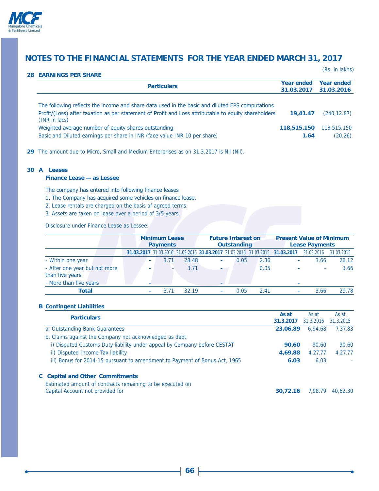

(Rs. in lakhs)

| <b>28 EARNINGS PER SHARE</b>                                                                                                                                                                                                |                                 |                                 |
|-----------------------------------------------------------------------------------------------------------------------------------------------------------------------------------------------------------------------------|---------------------------------|---------------------------------|
| <b>Particulars</b>                                                                                                                                                                                                          | <b>Year ended</b><br>31.03.2017 | <b>Year ended</b><br>31.03.2016 |
| The following reflects the income and share data used in the basic and diluted EPS computations<br>Profit/(Loss) after taxation as per statement of Profit and Loss attributable to equity shareholders<br>$(INR)$ in lacs) | 19.41.47                        | (240.12.87)                     |
| Weighted average number of equity shares outstanding<br>Basic and Diluted earnings per share in INR (face value INR 10 per share)                                                                                           | 118,515,150<br>1.64             | 118,515,150<br>(20.26)          |

**29** The amount due to Micro, Small and Medium Enterprises as on 31.3.2017 is Nil (Nil).

#### **30 A Leases**

### **Finance Lease — as Lessee**

The company has entered into following finance leases

- 1. The Company has acquired some vehicles on finance lease.
- 2. Lease rentals are charged on the basis of agreed terms.
- 3. Assets are taken on lease over a period of 3/5 years.

Disclosure under Finance Lease as Lessee:

|                                                  |  | <b>Minimum Lease</b><br><b>Payments</b> |                          |      | <b>Future Interest on</b><br><b>Outstanding</b> |                |        | <b>Present Value of Minimum</b><br><b>Lease Payments</b> |      |                                                                              |            |            |
|--------------------------------------------------|--|-----------------------------------------|--------------------------|------|-------------------------------------------------|----------------|--------|----------------------------------------------------------|------|------------------------------------------------------------------------------|------------|------------|
|                                                  |  |                                         |                          |      |                                                 |                |        |                                                          |      | 31.03.2017 31.03.2016 31.03.2015 31.03.2017 31.03.2016 31.03.2015 31.03.2017 | 31.03.2016 | 31.03.2015 |
| - Within one year                                |  |                                         | ۰                        | 3.71 | 28.48                                           | $\sim$         |        | 0.05                                                     | 2.36 | ٠                                                                            | 3.66       | 26.12      |
| - After one year but not more<br>than five years |  |                                         | $\overline{\phantom{a}}$ |      | 3.71                                            |                | $\sim$ |                                                          | 0.05 | ٠                                                                            | ۰.         | 3.66       |
| - More than five years                           |  |                                         |                          |      |                                                 | $\blacksquare$ |        |                                                          |      | $\overline{\phantom{a}}$                                                     |            |            |
| Total                                            |  |                                         | $\sim$                   | 3.71 | 32 19                                           | $\sim$         |        | 0.05                                                     | 2.41 | ٠                                                                            | 3.66       | 29.78      |

### **B Contingent Liabilities**

| <b>Particulars</b>                                                                            | As at<br>31.3.2017 | As at<br>31.3.2016 | As at<br>31.3.2015 |
|-----------------------------------------------------------------------------------------------|--------------------|--------------------|--------------------|
| a. Outstanding Bank Guarantees                                                                | 23,06.89           | 6.94.68            | 7,37.83            |
| b. Claims against the Company not acknowledged as debt                                        |                    |                    |                    |
| i) Disputed Customs Duty liability under appeal by Company before CESTAT                      | 90.60              | 90.60              | 90.60              |
| ii) Disputed Income-Tax liability                                                             | 4,69.88            | 4,27.77            | 4.27.77            |
| iii) Bonus for 2014-15 pursuant to amendment to Payment of Bonus Act, 1965                    | 6.03               | 6.03               | ٠                  |
| <b>C</b> Capital and Other Commitments                                                        |                    |                    |                    |
| Estimated amount of contracts remaining to be executed on<br>Capital Account not provided for | 30.72.16           | 7.98.79            | 40.62.30           |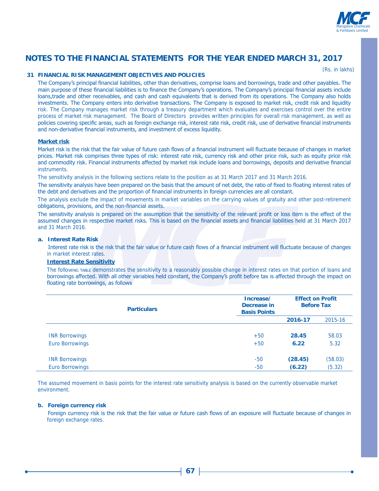

(Rs. in lakhs)

### **31 FINANCIAL RISK MANAGEMENT OBJECTIVES AND POLICIES**

The Company's principal financial liabilities, other than derivatives, comprise loans and borrowings, trade and other payables. The main purpose of these financial liabilities is to finance the Company's operations. The Company's principal financial assets include loans,trade and other receivables, and cash and cash equivalents that is derived from its operations. The Company also holds investments. The Company enters into derivative transactions. The Company is exposed to market risk, credit risk and liquidity risk. The Company manages market risk through a treasury department which evaluates and exercises control over the entire process of market risk management. The Board of Directors provides written principles for overall risk management, as well as policies covering specific areas, such as foreign exchange risk, interest rate risk, credit risk, use of derivative financial instruments and non-derivative financial instruments, and investment of excess liquidity.

#### **Market risk**

Market risk is the risk that the fair value of future cash flows of a financial instrument will fluctuate because of changes in market prices. Market risk comprises three types of risk: interest rate risk, currency risk and other price risk, such as equity price risk and commodity risk. Financial instruments affected by market risk include loans and borrowings, deposits and derivative financial **instruments** 

The sensitivity analysis in the following sections relate to the position as at 31 March 2017 and 31 March 2016.

The sensitivity analysis have been prepared on the basis that the amount of net debt, the ratio of fixed to floating interest rates of the debt and derivatives and the proportion of financial instruments in foreign currencies are all constant.

The analysis exclude the impact of movements in market variables on the carrying values of gratuity and other post-retirement obligations, provisions, and the non-financial assets.

The sensitivity analysis is prepared on the assumption that the sensitivity of the relevant profit or loss item is the effect of the assumed changes in respective market risks. This is based on the financial assets and financial liabilities held at 31 March 2017 and 31 March 2016.

### **a. Interest Rate Risk**

Interest rate risk is the risk that the fair value or future cash flows of a financial instrument will fluctuate because of changes in market interest rates.

#### **Interest Rate Sensitivity**

The folloWING TABLE demonstrates the sensitivity to a reasonably possible change in interest rates on that portion of loans and borrowings affected. With all other variables held constant, the Company's profit before tax is affected through the impact on floating rate borrowings, as follows

|                        | <b>Particulars</b> | Increase/<br>Decrease in<br><b>Basis Points</b> | <b>Effect on Profit</b><br><b>Before Tax</b> |         |  |
|------------------------|--------------------|-------------------------------------------------|----------------------------------------------|---------|--|
|                        |                    |                                                 | 2016-17                                      | 2015-16 |  |
| <b>INR Borrowings</b>  |                    | $+50$                                           | 28.45                                        | 58.03   |  |
| <b>Euro Borrowings</b> |                    | $+50$                                           | 6.22                                         | 5.32    |  |
| <b>INR Borrowings</b>  |                    | $-50$                                           | (28.45)                                      | (58.03) |  |
| <b>Euro Borrowings</b> |                    | $-50$                                           | (6.22)                                       | (5.32)  |  |

The assumed movement in basis points for the interest rate sensitivity analysis is based on the currently observable market environment.

### **b.** Foreign currency risk

Foreign currency risk is the risk that the fair value or future cash flows of an exposure will fluctuate because of changes in foreign exchange rates.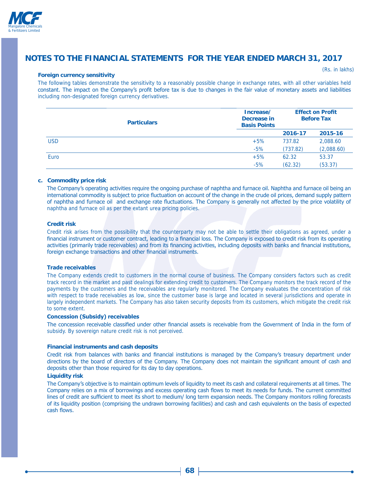

#### **Foreign currency sensitivity**

(Rs. in lakhs)

The following tables demonstrate the sensitivity to a reasonably possible change in exchange rates, with all other variables held constant. The impact on the Company's profit before tax is due to changes in the fair value of monetary assets and liabilities including non-designated foreign currency derivatives.

|            | <b>Particulars</b> | Increase/<br>Decrease in<br><b>Basis Points</b> | <b>Effect on Profit</b><br><b>Before Tax</b> |            |  |
|------------|--------------------|-------------------------------------------------|----------------------------------------------|------------|--|
|            |                    |                                                 | 2016-17                                      | 2015-16    |  |
| <b>USD</b> |                    | $+5%$                                           | 737.82                                       | 2,088.60   |  |
|            |                    | $-5%$                                           | (737.82)                                     | (2,088.60) |  |
| Euro       |                    | $+5%$                                           | 62.32                                        | 53.37      |  |
|            |                    | $-5%$                                           | (62.32)                                      | (53.37)    |  |

#### **c. Commodity price risk**

The Company's operating activities require the ongoing purchase of naphtha and furnace oil. Naphtha and furnace oil being an international commodity is subject to price fluctuation on account of the change in the crude oil prices, demand supply pattern of naphtha and furnace oil and exchange rate fluctuations. The Company is generally not affected by the price volatility of naphtha and furnace oil as per the extant urea pricing policies.

#### **Credit risk**

Credit risk arises from the possibility that the counterparty may not be able to settle their obligations as agreed, under a financial instrument or customer contract, leading to a financial loss. The Company is exposed to credit risk from its operating activities (primarily trade receivables) and from its financing activities, including deposits with banks and financial institutions, foreign exchange transactions and other financial instruments.

#### **Trade receivables**

The Company extends credit to customers in the normal course of business. The Company considers factors such as credit track record in the market and past dealings for extending credit to customers. The Company monitors the track record of the payments by the customers and the receivables are regularly monitored. The Company evaluates the concentration of risk with respect to trade receivables as low, since the customer base is large and located in several jurisdictions and operate in largely independent markets. The Company has also taken security deposits from its customers, which mitigate the credit risk to some extent.

#### **Concession (Subsidy) receivables**

The concession receivable classified under other financial assets is receivable from the Government of India in the form of subsidy. By sovereign nature credit risk is not perceived.

#### **Financial instruments and cash deposits**

Credit risk from balances with banks and financial institutions is managed by the Company's treasury department under directions by the board of directors of the Company. The Company does not maintain the significant amount of cash and deposits other than those required for its day to day operations.

#### **Liquidity risk**

The Company's objective is to maintain optimum levels of liquidity to meet its cash and collateral requirements at all times. The Company relies on a mix of borrowings and excess operating cash flows to meet its needs for funds. The current committed lines of credit are sufficient to meet its short to medium/ long term expansion needs. The Company monitors rolling forecasts of its liquidity position (comprising the undrawn borrowing facilities) and cash and cash equivalents on the basis of expected cash flows.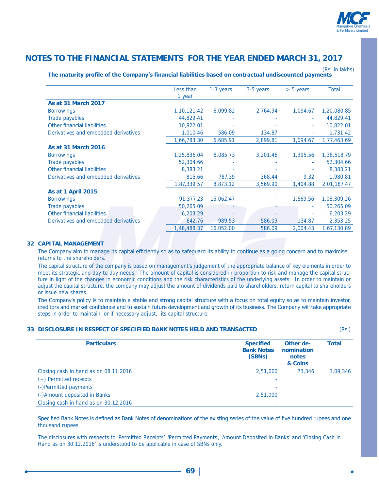

|                                      | Less than      | 1-3 years | 3-5 years | $> 5$ years | Total       |
|--------------------------------------|----------------|-----------|-----------|-------------|-------------|
|                                      | 1 year         |           |           |             |             |
| <b>As at 31 March 2017</b>           |                |           |           |             |             |
| <b>Borrowings</b>                    | 1, 10, 121. 42 | 6,099.82  | 2,764.94  | 1,094.67    | 1,20,080.85 |
| Trade payables                       | 44,829.41      |           |           |             | 44,829.41   |
| Other financial liabilities          | 10,822.01      |           |           |             | 10,822.01   |
| Derivatives and embedded derivatives | 1,010.46       | 586.09    | 134.87    |             | 1,731.42    |
|                                      | 1,66,783.30    | 6,685.91  | 2,899.81  | 1,094.67    | 1,77,463.69 |
| <b>As at 31 March 2016</b>           |                |           |           |             |             |
| <b>Borrowings</b>                    | 1,25,836.04    | 8,085.73  | 3,201.46  | 1,395.56    | 1,38,518.79 |
| Trade payables                       | 52,304.66      |           |           |             | 52,304.66   |
| Other financial liabilities          | 8,383.21       |           |           |             | 8,383.21    |
| Derivatives and embedded derivatives | 815.66         | 787.39    | 368.44    | 9.32        | 1,980.81    |
|                                      | 1,87,339.57    | 8,873.12  | 3,569.90  | 1,404.88    | 2,01,187.47 |
| <b>As at 1 April 2015</b>            |                |           |           |             |             |
| <b>Borrowings</b>                    | 91,377.23      | 15,062.47 |           | 1,869.56    | 1,08,309.26 |
| Trade payables                       | 50,265.09      |           |           |             | 50,265.09   |
| Other financial liabilities          | 6,203.29       |           |           |             | 6,203.29    |
| Derivatives and embedded derivatives | 642.76         | 989.53    | 586.09    | 134.87      | 2,353.25    |
|                                      | 1,48,488.37    | 16,052.00 | 586.09    | 2,004.43    | 1,67,130.89 |

#### The maturity profile of the Company's financial liabilities based on contractual undiscounted payments (Rs. in lakhs)

#### **32 CAPITAL MANAGEMENT**

The Company aim to manage its capital efficiently so as to safeguard its ability to continue as a going concern and to maximise returns to the shareholders.

The capital structure of the company is based on management's judgement of the appropriate balance of key elements in order to meet its strategic and day to day needs. The amount of capital is considered in proportion to risk and manage the capital structure in light of the changes in economic conditions and the risk characteristics of the underlying assets. In order to maintain or adjust the capital structure, the company may adjust the amount of dividends paid to shareholders, return capital to shareholders or issue new shares.

The Company's policy is to maintain a stable and strong capital structure with a focus on total equity so as to maintain investor, creditors and market confidence and to sustain future development and growth of its business. The Company will take appropriate steps in order to maintain, or if necessary adjust, its capital structure.

#### **33 DISCLOSURE IN RESPECT OF SPECIFIED BANK NOTES HELD AND TRANSACTED** (Rs.)

| <b>Particulars</b>                    | <b>Specified</b><br><b>Bank Notes</b><br>(SBNs) | Other de-<br>nomination<br>notes<br>& Coins | <b>Total</b> |  |
|---------------------------------------|-------------------------------------------------|---------------------------------------------|--------------|--|
| Closing cash in hand as on 08.11.2016 | 2,51,000                                        | 73,346                                      | 3,09,346     |  |
| (+) Permitted receipts                |                                                 |                                             |              |  |
| (-)Permitted payments                 |                                                 |                                             |              |  |
| (-)Amount deposited in Banks          | 2,51,000                                        |                                             |              |  |
| Closing cash in hand as on 30.12.2016 |                                                 |                                             |              |  |

Specified Bank Notes is defined as Bank Notes of denominations of the existing series of the value of five hundred rupees and one thousand rupees.

The disclosures with respects to 'Permitted Receipts', 'Permitted Payments', 'Amount Deposited in Banks' and 'Closing Cash in Hand as on 30.12.2016' is understood to be applicable in case of SBNs only.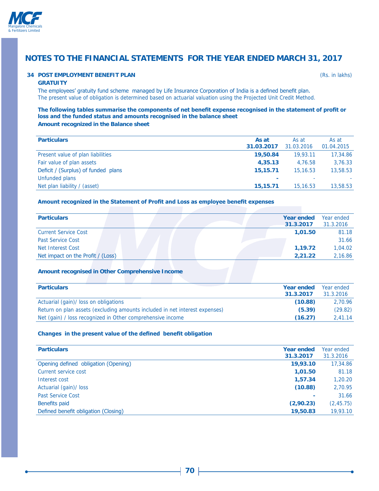

### **34 POST EMPLOYMENT BENEFIT PLAN** *CONTRACT CONTRACT CONTRACT CONTRACT CONTRACT CONTRACT CONTRACT CONTRACT CONTRACT CONTRACT CONTRACT CONTRACT CONTRACT CONTRACT CONTRACT CONTRACT CONTRACT CONTRACT CONTRACT CONTRACT CONTRA*

#### **GRATUITY**

The employees' gratuity fund scheme managed by Life Insurance Corporation of India is a defined benefit plan. The present value of obligation is determined based on actuarial valuation using the Projected Unit Credit Method.

## The following tables summarise the components of net benefit expense recognised in the statement of profit or loss and the funded status and amounts recognised in the balance sheet

**Amount recognized in the Balance sheet**

| <b>Particulars</b>                  | As at          | As at      | As at      |
|-------------------------------------|----------------|------------|------------|
|                                     | 31.03.2017     | 31.03.2016 | 01.04.2015 |
| Present value of plan liabilities   | 19,50.84       | 19.93.11   | 17,34.86   |
| Fair value of plan assets           | 4,35.13        | 4.76.58    | 3,76.33    |
| Deficit / (Surplus) of funded plans | 15,15.71       | 15, 16, 53 | 13,58.53   |
| Unfunded plans                      | $\blacksquare$ | ۰          |            |
| Net plan liability / (asset)        | 15,15.71       | 15,16.53   | 13,58.53   |
|                                     |                |            |            |

### Amount recognized in the Statement of Profit and Loss as employee benefit expenses

| <b>Particulars</b>                |  |  | Year ended<br>31.3.2017 | Year ended<br>31.3.2016 |
|-----------------------------------|--|--|-------------------------|-------------------------|
| <b>Current Service Cost</b>       |  |  | 1.01.50                 | 81.18                   |
| <b>Past Service Cost</b>          |  |  |                         | 31.66                   |
| Net Interest Cost                 |  |  | 1.19.72                 | 1.04.02                 |
| Net impact on the Profit / (Loss) |  |  | 2,21.22                 | 2,16.86                 |

#### **Amount recognised in Other Comprehensive Income**

| <b>Particulars</b>                                                          | Year ended<br>31.3.2017 | Year ended<br>31.3.2016 |
|-----------------------------------------------------------------------------|-------------------------|-------------------------|
| Actuarial (gain)/ loss on obligations                                       | (10.88)                 | 2.70.96                 |
| Return on plan assets (excluding amounts included in net interest expenses) | (5.39)                  | (29.82)                 |
| Net (gain) / loss recognized in Other comprehensive income                  | (16.27)                 | 2.41.14                 |

#### Changes in the present value of the defined benefit obligation

| <b>Particulars</b>                   | <b>Year ended</b><br>31.3.2017 | Year ended<br>31.3.2016 |
|--------------------------------------|--------------------------------|-------------------------|
| Opening defined obligation (Opening) | 19,93.10                       | 17,34.86                |
| Current service cost                 | 1,01.50                        | 81.18                   |
| Interest cost                        | 1,57.34                        | 1,20.20                 |
| Actuarial (gain)/ loss               | (10.88)                        | 2,70.95                 |
| <b>Past Service Cost</b>             |                                | 31.66                   |
| Benefits paid                        | (2,90.23)                      | (2, 45.75)              |
| Defined benefit obligation (Closing) | 19,50.83                       | 19,93.10                |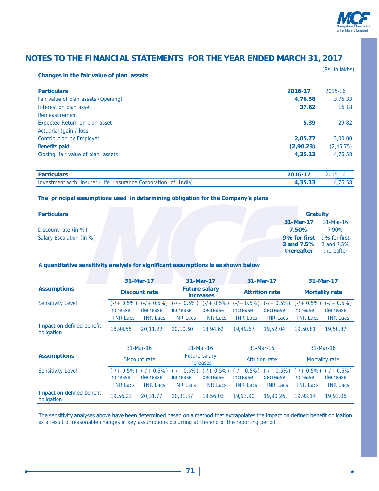

(Rs. in lakhs)

#### **Changes in the fair value of plan assets**

| <b>Particulars</b>                   | 2016-17   | 2015-16    |
|--------------------------------------|-----------|------------|
| Fair value of plan assets (Opening)  | 4,76.58   | 3,76.33    |
| Interest on plan asset               | 37.62     | 16.18      |
| Remeasurement                        |           |            |
| <b>Expected Return on plan asset</b> | 5.39      | 29.82      |
| Actuarial (gain)/ loss               |           |            |
| <b>Contribution by Employer</b>      | 2,05.77   | 3,00.00    |
| Benefits paid                        | (2,90.23) | (2, 45.75) |
| Closing fair value of plan assets    | 4,35.13   | 4,76.58    |
|                                      |           |            |

| <b>Particulars</b>                                            | 2016-17 | $2015 - 16$ |
|---------------------------------------------------------------|---------|-------------|
| Investment with insurer (Life Insurance Corporation of India) |         | 4,76,58     |

#### The principal assumptions used in determining obligation for the Company's plans

|                          | 31-Mar-17<br>31-Mar-16                                                                |
|--------------------------|---------------------------------------------------------------------------------------|
|                          |                                                                                       |
| Discount rate (in %)     | 7.90%<br>7.50%                                                                        |
| Salary Escalation (in %) | 9% for first 9% for first<br><b>2 and 7.5%</b> 2 and 7.5%<br>thereafter<br>thereafter |

### A quantitative sensitivity analysis for significant assumptions is as shown below

|                                         |                                     | 31-Mar-17                  |                                          | 31-Mar-17                  |                            | 31-Mar-17                  |                            | 31-Mar-17                  |
|-----------------------------------------|-------------------------------------|----------------------------|------------------------------------------|----------------------------|----------------------------|----------------------------|----------------------------|----------------------------|
| <b>Assumptions</b>                      | <b>Discount rate</b>                |                            | <b>Future salary</b><br><b>increases</b> |                            | <b>Attrition rate</b>      |                            | <b>Mortality rate</b>      |                            |
| <b>Sensitivity Level</b>                | $(-/ + 0.5\%)$<br>increase          | $(-/ + 0.5\%)$<br>decrease | $(-/ + 0.5\%)$<br>increase               | $(-/ + 0.5\%)$<br>decrease | $(-/ + 0.5\%)$<br>increase | $(-/ + 0.5\%)$<br>decrease | $(-/ + 0.5\%)$<br>increase | $(-/ + 0.5\%)$<br>decrease |
|                                         | <b>INR Lacs</b>                     | <b>INR Lacs</b>            | <b>INR Lacs</b>                          | <b>INR Lacs</b>            | <b>INR Lacs</b>            | <b>INR Lacs</b>            | <b>INR Lacs</b>            | <b>INR Lacs</b>            |
| Impact on defined benefit<br>obligation | 18,94.55                            | 20,11.22                   | 20,10.60                                 | 18,94.62                   | 19,49.67                   | 19,52.04                   | 19,50.81                   | 19,50.87                   |
|                                         |                                     |                            |                                          |                            |                            |                            |                            |                            |
|                                         | 31-Mar-16<br>31-Mar-16<br>31-Mar-16 |                            |                                          |                            |                            | 31-Mar-16                  |                            |                            |
| <b>Assumptions</b>                      | Discount rate                       |                            | <b>Future salary</b><br>increases        |                            | <b>Attrition rate</b>      |                            | Mortality rate             |                            |
| <b>Sensitivity Level</b>                | $(-/ + 0.5\%)$<br>increase          | $(-/ + 0.5\%)$<br>decrease | $(-/ + 0.5\%)$<br>increase               | $(-/ + 0.5\%)$<br>decrease | $(-/ + 0.5\%)$<br>increase | $(-/ + 0.5\%)$<br>decrease | $(-/ + 0.5\%)$<br>increase | $(-/ + 0.5\%)$<br>decrease |
|                                         | <b>INR Lacs</b>                     | <b>INR Lacs</b>            | <b>INR Lacs</b>                          | <b>INR Lacs</b>            | <b>INR Lacs</b>            | <b>INR Lacs</b>            | <b>INR Lacs</b>            | <b>INR Lacs</b>            |
| Impact on defined benefit<br>obligation | 19,56.23                            | 20,31.77                   | 20.31.37                                 | 19,56.03                   | 19,93.90                   | 19,90.26                   | 19,93.14                   | 19,93.06                   |

The sensitivity analyses above have been determined based on a method that extrapolates the impact on defined benefit obligation as a result of reasonable changes in key assumptions occurring at the end of the reporting period.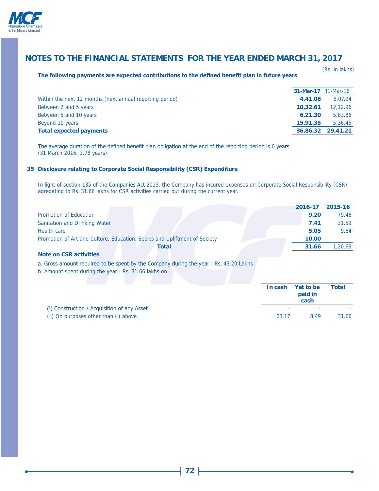

#### The following payments are expected contributions to the defined benefit plan in future years

(Rs. in lakhs)

|                                                          |          | <b>31-Mar-17</b> 31-Mar-16 |
|----------------------------------------------------------|----------|----------------------------|
| Within the next 12 months (next annual reporting period) | 4.41.06  | 6.07.94                    |
| Between 2 and 5 years                                    | 10,32.61 | 12,12.96                   |
| Between 5 and 10 years                                   | 6.21.30  | 5,83.86                    |
| Beyond 10 years                                          | 15,91.35 | 5.36.45                    |
| <b>Total expected payments</b>                           |          | 36,86.32 29,41.21          |

The average duration of the defined benefit plan obligation at the end of the reporting period is 6 years (31 March 2016: 3.78 years).

#### **35 Disclosure relating to Corporate Social Responsibility (CSR) Expenditure**

In light of section 135 of the Companies Act 2013, the Company has incured expenses on Corporate Social Responsibility (CSR) agregating to Rs. 31.66 lakhs for CSR activities carried out during the current year.

|                                                                                      |         | 2016-17              | 2015-16      |
|--------------------------------------------------------------------------------------|---------|----------------------|--------------|
| <b>Promotion of Education</b>                                                        |         | 9.20                 | 79.46        |
| Sanitation and Drinking Water                                                        |         | 7.41                 | 31.59        |
| <b>Health care</b>                                                                   |         | 5.05                 | 9.64         |
| Promotion of Art and Culture, Education, Sports and Upliftment of Society            |         | 10.00                |              |
| Total                                                                                |         | 31.66                | 1,20.69      |
| <b>Note on CSR activities</b>                                                        |         |                      |              |
| a. Gross amount required to be spent by the Company during the year: Rs. 43.20 Lakhs |         |                      |              |
| b. Amount spent during the year - Rs. 31.66 lakhs on:                                |         |                      |              |
|                                                                                      |         |                      |              |
|                                                                                      | In cash | Yet to be<br>paid in | <b>Total</b> |

| (i) Construction / Acquisition of any Asset |       | paig in<br>cash |       |  |  |
|---------------------------------------------|-------|-----------------|-------|--|--|
|                                             |       |                 |       |  |  |
| (ii) On purposes other than (i) above       | 23.17 | 849             | 31.66 |  |  |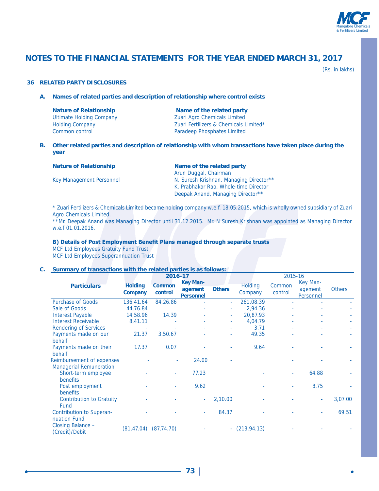

(Rs. in lakhs)

#### **36 RELATED PARTY DISCLOSURES**

**A. Names of related parties and description of relationship where control exists**

| <b>Nature of Relationship</b>   |
|---------------------------------|
| <b>Ultimate Holding Company</b> |
| <b>Holding Company</b>          |
| Common control                  |

**Name of the related party** Zuari Agro Chemicals Limited Zuari Fertilizers & Chemicals Limited\* Paradeep Phosphates Limited

**B. Other related parties and description of relationship with whom transactions have taken place during the year**

| <b>Nature of Relationship</b> | Name of the related party               |  |  |  |
|-------------------------------|-----------------------------------------|--|--|--|
|                               | Arun Duggal, Chairman                   |  |  |  |
| Key Management Personnel      | N. Suresh Krishnan, Managing Director** |  |  |  |
|                               | K. Prabhakar Rao, Whole-time Director   |  |  |  |
|                               | Deepak Anand, Managing Director**       |  |  |  |

\* Zuari Fertilizers & Chemicals Limited became holding company w.e.f. 18.05.2015, which is wholly owned subsidiary of Zuari Agro Chemicals Limited.

\*\*Mr. Deepak Anand was Managing Director until 31.12.2015. Mr. N Suresh Krishnan was appointed as Managing Director w.e.f 01.01.2016.

#### **B) Details of Post Employment Benefit Plans managed through separate trusts**

MCF Ltd Employees Gratuity Fund Trust MCF Ltd Employees Superannuation Trust

### **C. Summary of transactions with the related parties is as follows:**

|                                                 |                           | 2016-17                  |                                                |               | 2015-16                   |                   |                                  |               |
|-------------------------------------------------|---------------------------|--------------------------|------------------------------------------------|---------------|---------------------------|-------------------|----------------------------------|---------------|
| <b>Particulars</b>                              | <b>Holding</b><br>Company | <b>Common</b><br>control | <b>Key Man-</b><br>agement<br><b>Personnel</b> | <b>Others</b> | <b>Holding</b><br>Company | Common<br>control | Key Man-<br>agement<br>Personnel | <b>Others</b> |
| <b>Purchase of Goods</b>                        | 136,41.64                 | 84,26.86                 |                                                | ÷             | 261,08.39                 |                   |                                  |               |
| Sale of Goods                                   | 44,76.84                  |                          |                                                |               | 2,94.36                   |                   |                                  |               |
| <b>Interest Payable</b>                         | 14,58.96                  | 14.39                    |                                                | ٠             | 20,87.93                  |                   |                                  |               |
| <b>Interest Receivable</b>                      | 8,41.11                   |                          |                                                | ٠             | 4,04.79                   |                   | ٠                                |               |
| <b>Rendering of Services</b>                    |                           |                          |                                                |               | 3.71                      |                   |                                  |               |
| Payments made on our<br>behalf                  | 21.37                     | 3,50.67                  |                                                |               | 49.35                     |                   |                                  |               |
| Payments made on their<br>behalf                | 17.37                     | 0.07                     |                                                |               | 9.64                      |                   |                                  |               |
| Reimbursement of expenses                       |                           | ÷                        | 24.00                                          |               |                           |                   |                                  |               |
| <b>Managerial Remuneration</b>                  |                           |                          |                                                |               |                           |                   |                                  |               |
| Short-term employee<br>benefits                 |                           | ×.                       | 77.23                                          |               |                           | ٠                 | 64.88                            |               |
| Post employment<br>benefits                     |                           |                          | 9.62                                           |               |                           |                   | 8.75                             |               |
| <b>Contribution to Gratuity</b><br>Fund         |                           |                          | ٠                                              | 2,10.00       |                           |                   | ٠                                | 3,07.00       |
| <b>Contribution to Superan-</b><br>nuation Fund |                           |                          | ٠                                              | 84.37         |                           |                   | $\overline{\phantom{a}}$         | 69.51         |
| Closing Balance -<br>(Credit)/Debit             | (81, 47.04)               | (87, 74.70)              |                                                |               | $-(213,94.13)$            |                   |                                  |               |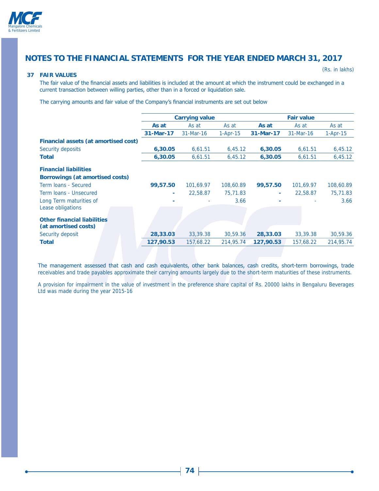

#### **37 FAIR VALUES**

(Rs. in lakhs)

The fair value of the financial assets and liabilities is included at the amount at which the instrument could be exchanged in a current transaction between willing parties, other than in a forced or liquidation sale.

The carrying amounts and fair value of the Company's financial instruments are set out below

|                                                            |           | <b>Carrying value</b> |            |           | <b>Fair value</b> |            |
|------------------------------------------------------------|-----------|-----------------------|------------|-----------|-------------------|------------|
|                                                            |           |                       |            |           |                   |            |
|                                                            | As at     | As at                 | As at      | As at     | As at             | As at      |
|                                                            | 31-Mar-17 | 31-Mar-16             | $1-Apr-15$ | 31-Mar-17 | 31-Mar-16         | $1-Apr-15$ |
| Financial assets (at amortised cost)                       |           |                       |            |           |                   |            |
| Security deposits                                          | 6,30.05   | 6,61.51               | 6,45.12    | 6,30.05   | 6,61.51           | 6,45.12    |
| <b>Total</b>                                               | 6,30.05   | 6,61.51               | 6,45.12    | 6,30.05   | 6,61.51           | 6,45.12    |
| <b>Financial liabilities</b>                               |           |                       |            |           |                   |            |
| Borrowings (at amortised costs)                            |           |                       |            |           |                   |            |
| Term Joans - Secured                                       | 99,57.50  | 101.69.97             | 108,60.89  | 99,57.50  | 101,69.97         | 108,60.89  |
| Term Joans - Unsecured                                     |           | 22,58.87              | 75,71.83   | ۰         | 22,58.87          | 75,71.83   |
| Long Term maturities of                                    |           |                       | 3.66       |           |                   | 3.66       |
| Lease obligations                                          |           |                       |            |           |                   |            |
| <b>Other financial liabilities</b><br>(at amortised costs) |           |                       |            |           |                   |            |
| Security deposit                                           | 28,33.03  | 33,39.38              | 30,59.36   | 28,33.03  | 33,39.38          | 30,59.36   |
| <b>Total</b>                                               | 127,90.53 | 157,68.22             | 214,95.74  | 127,90.53 | 157,68.22         | 214,95.74  |
|                                                            |           |                       |            |           |                   |            |

The management assessed that cash and cash equivalents, other bank balances, cash credits, short-term borrowings, trade receivables and trade payables approximate their carrying amounts largely due to the short-term maturities of these instruments.

A provision for impairment in the value of investment in the preference share capital of Rs. 20000 lakhs in Bengaluru Beverages Ltd was made during the year 2015-16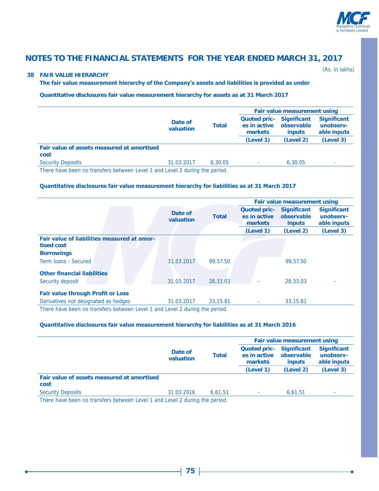

#### **38 FAIR VALUE HIERARCHY**

(Rs. in lakhs)

#### The fair value measurement hierarchy of the Company's assets and liabilities is provided as under

**Quantitative disclosures fair value measurement hierarchy for assets as at 31 March 2017**

|                      |         | Fair value measurement using |                             |                                                |  |
|----------------------|---------|------------------------------|-----------------------------|------------------------------------------------|--|
| Date of<br>valuation | Total   | es in active<br>markets      | observable<br><i>inputs</i> | <b>Significant</b><br>unobserv-<br>able inputs |  |
|                      |         | (Level 1)                    | (Level 2)                   | (Level 3)                                      |  |
|                      |         |                              |                             |                                                |  |
| 31.03.2017           | 6.30.05 | $\sim$                       | 6,30.05                     | ٠                                              |  |
|                      |         |                              |                             | Quoted pric- Significant                       |  |

There have been no transfers between Level 1 and Level 2 during the period.

#### Quantitative disclosures fair value measurement hierarchy for liabilities as at 31 March 2017

|                                                                                                                 |                      |              |                                                | Fair value measurement using                      |                                                |
|-----------------------------------------------------------------------------------------------------------------|----------------------|--------------|------------------------------------------------|---------------------------------------------------|------------------------------------------------|
|                                                                                                                 | Date of<br>valuation | <b>Total</b> | <b>Quoted pric-</b><br>es in active<br>markets | <b>Significant</b><br>observable<br><b>inputs</b> | <b>Significant</b><br>unobserv-<br>able inputs |
|                                                                                                                 |                      |              | (Level 1)                                      | (Level 2)                                         | (Level 3)                                      |
| Fair value of liabilities measured at amor-<br>tised cost                                                       |                      |              |                                                |                                                   |                                                |
| <b>Borrowings</b>                                                                                               |                      |              |                                                |                                                   |                                                |
| Term Ioans - Secured                                                                                            | 31.03.2017           | 99,57.50     |                                                | 99,57.50                                          |                                                |
| <b>Other financial liabilities</b>                                                                              |                      |              |                                                |                                                   |                                                |
| Security deposit                                                                                                | 31.03.2017           | 28,33,03     |                                                | 28,33.03                                          |                                                |
| <b>Fair value through Profit or Loss</b>                                                                        |                      |              |                                                |                                                   |                                                |
| Derivatives not designated as hedges                                                                            | 31.03.2017           | 33, 15, 81   |                                                | 33, 15.81                                         |                                                |
| The same housing the company interested in the same same formed of the same for all satisfies which are safeted |                      |              |                                                |                                                   |                                                |

There have been no transfers between Level 1 and Level 2 during the period.

#### Quantitative disclosures fair value measurement hierarchy for liabilities as at 31 March 2016

|                                                                            | Date of<br>valuation |         |                                                | Fair value measurement using                      |                                                |  |
|----------------------------------------------------------------------------|----------------------|---------|------------------------------------------------|---------------------------------------------------|------------------------------------------------|--|
|                                                                            |                      | Total   | <b>Quoted pric-</b><br>es in active<br>markets | <b>Significant</b><br>observable<br><i>inputs</i> | <b>Significant</b><br>unobserv-<br>able inputs |  |
|                                                                            |                      |         | (Level 1)                                      | (Level 2)                                         | (Level 3)                                      |  |
| Fair value of assets measured at amortised<br>cost                         |                      |         |                                                |                                                   |                                                |  |
| <b>Security Deposits</b>                                                   | 31.03.2016           | 6.61.51 | ٠                                              | 6.61.51                                           | ٠                                              |  |
| There have been no transfers between Level 1 and Level 2 during the period |                      |         |                                                |                                                   |                                                |  |

There have been no transfers between Level 1 and Level 2 during the period.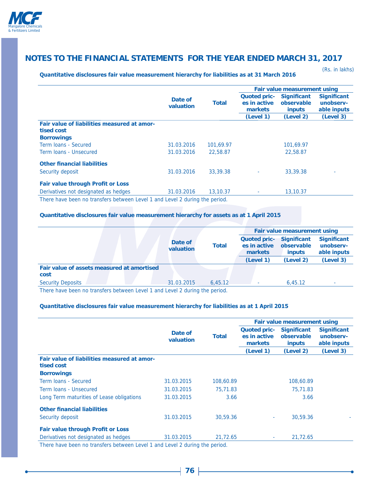

Quantitative disclosures fair value measurement hierarchy for liabilities as at 31 March 2016

(Rs. in lakhs)

|                                             |                      |              | Fair value measurement using                   |                                                   |                                                |  |
|---------------------------------------------|----------------------|--------------|------------------------------------------------|---------------------------------------------------|------------------------------------------------|--|
|                                             | Date of<br>valuation | <b>Total</b> | <b>Quoted pric-</b><br>es in active<br>markets | <b>Significant</b><br>observable<br><i>inputs</i> | <b>Significant</b><br>unobserv-<br>able inputs |  |
|                                             |                      |              | (Level 1)                                      | (Level 2)                                         | (Level 3)                                      |  |
| Fair value of liabilities measured at amor- |                      |              |                                                |                                                   |                                                |  |
| tised cost                                  |                      |              |                                                |                                                   |                                                |  |
| <b>Borrowings</b>                           |                      |              |                                                |                                                   |                                                |  |
| Term Joans - Secured                        | 31.03.2016           | 101.69.97    |                                                | 101.69.97                                         |                                                |  |
| Term Joans - Unsecured                      | 31.03.2016           | 22,58.87     |                                                | 22,58.87                                          |                                                |  |
| <b>Other financial liabilities</b>          |                      |              |                                                |                                                   |                                                |  |
| Security deposit                            | 31.03.2016           | 33,39.38     |                                                | 33,39.38                                          |                                                |  |
| <b>Fair value through Profit or Loss</b>    |                      |              |                                                |                                                   |                                                |  |
| Derivatives not designated as hedges        | 31.03.2016           | 13,10.37     | ٠                                              | 13,10.37                                          |                                                |  |

There have been no transfers between Level 1 and Level 2 during the period.

### **Quantitative disclosures fair value measurement hierarchy for assets as at 1 April 2015**

|                                            |                                                                                    |              | Fair value measurement using                        |                             |                                                |
|--------------------------------------------|------------------------------------------------------------------------------------|--------------|-----------------------------------------------------|-----------------------------|------------------------------------------------|
|                                            | Date of<br>valuation                                                               | <b>Total</b> | Quoted pric- Significant<br>es in active<br>markets | observable<br><i>inputs</i> | <b>Significant</b><br>unobserv-<br>able inputs |
|                                            |                                                                                    |              | (Level 1)                                           | (Level 2)                   | (Level 3)                                      |
| Fair value of assets measured at amortised |                                                                                    |              |                                                     |                             |                                                |
| cost                                       |                                                                                    |              |                                                     |                             |                                                |
| <b>Security Deposits</b>                   | 31.03.2015                                                                         | 6.45.12      |                                                     | 6.45.12                     |                                                |
|                                            | Thoma house house in the influence in the local Annual Local Order in the included |              |                                                     |                             |                                                |

There have been no transfers between Level 1 and Level 2 during the period.

#### Quantitative disclosures fair value measurement hierarchy for liabilities as at 1 April 2015

|                                                                             |                      |              | Fair value measurement using                   |                                                   |                                                |  |
|-----------------------------------------------------------------------------|----------------------|--------------|------------------------------------------------|---------------------------------------------------|------------------------------------------------|--|
|                                                                             | Date of<br>valuation | <b>Total</b> | <b>Quoted pric-</b><br>es in active<br>markets | <b>Significant</b><br>observable<br><b>inputs</b> | <b>Significant</b><br>unobserv-<br>able inputs |  |
|                                                                             |                      |              | (Level 1)                                      | (Level 2)                                         | (Level 3)                                      |  |
| Fair value of liabilities measured at amor-<br>tised cost                   |                      |              |                                                |                                                   |                                                |  |
| <b>Borrowings</b>                                                           |                      |              |                                                |                                                   |                                                |  |
| Term Joans - Secured                                                        | 31.03.2015           | 108,60.89    |                                                | 108,60.89                                         |                                                |  |
| Term Joans - Unsecured                                                      | 31.03.2015           | 75,71.83     |                                                | 75,71.83                                          |                                                |  |
| Long Term maturities of Lease obligations                                   | 31.03.2015           | 3.66         |                                                | 3.66                                              |                                                |  |
| <b>Other financial liabilities</b>                                          |                      |              |                                                |                                                   |                                                |  |
| Security deposit                                                            | 31.03.2015           | 30,59.36     | ۰.                                             | 30.59.36                                          |                                                |  |
| <b>Fair value through Profit or Loss</b>                                    |                      |              |                                                |                                                   |                                                |  |
| Derivatives not designated as hedges                                        | 31.03.2015           | 21,72.65     | ۰.                                             | 21,72.65                                          |                                                |  |
| There have been no transfers between Level 1 and Level 2 during the period. |                      |              |                                                |                                                   |                                                |  |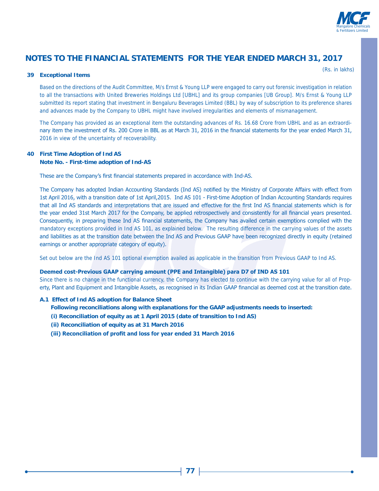

#### **39 Exceptional Items**

(Rs. in lakhs)

Based on the directions of the Audit Committee, M/s Ernst & Young LLP were engaged to carry out forensic investigation in relation to all the transactions with United Breweries Holdings Ltd [UBHL] and its group companies [UB Group]. M/s Ernst & Young LLP submitted its report stating that investment in Bengaluru Beverages Limited (BBL) by way of subscription to its preference shares and advances made by the Company to UBHL might have involved irregularities and elements of mismanagement.

The Company has provided as an exceptional item the outstanding advances of Rs. 16.68 Crore from UBHL and as an extraordinary item the investment of Rs. 200 Crore in BBL as at March 31, 2016 in the financial statements for the year ended March 31, 2016 in view of the uncertainty of recoverability.

### **40 First Time Adoption of Ind AS Note No. - First-time adoption of Ind-AS**

These are the Company's first financial statements prepared in accordance with Ind-AS.

The Company has adopted Indian Accounting Standards (Ind AS) notified by the Ministry of Corporate Affairs with effect from 1st April 2016, with a transition date of 1st April, 2015. Ind AS 101 - First-time Adoption of Indian Accounting Standards requires that all Ind AS standards and interpretations that are issued and effective for the first Ind AS financial statements which is for the year ended 31st March 2017 for the Company, be applied retrospectively and consistently for all financial years presented. Consequently, in preparing these Ind AS financial statements, the Company has availed certain exemptions complied with the mandatory exceptions provided in Ind AS 101, as explained below. The resulting difference in the carrying values of the assets and liabilities as at the transition date between the Ind AS and Previous GAAP have been recognized directly in equity (retained earnings or another appropriate category of equity).

Set out below are the Ind AS 101 optional exemption availed as applicable in the transition from Previous GAAP to Ind AS.

#### **Deemed cost-Previous GAAP carrying amount (PPE and Intangible) para D7 of IND AS 101**

Since there is no change in the functional currency, the Company has elected to continue with the carrying value for all of Property, Plant and Equipment and Intangible Assets, as recognised in its Indian GAAP financial as deemed cost at the transition date.

#### **A.1 Effect of Ind AS adoption for Balance Sheet**

**Following reconciliations along with explanations for the GAAP adjustments needs to inserted:**

- **(i) Reconciliation of equity as at 1 April 2015 (date of transition to Ind AS)**
- **(ii) Reconciliation of equity as at 31 March 2016**
- (iii) Reconciliation of profit and loss for year ended 31 March 2016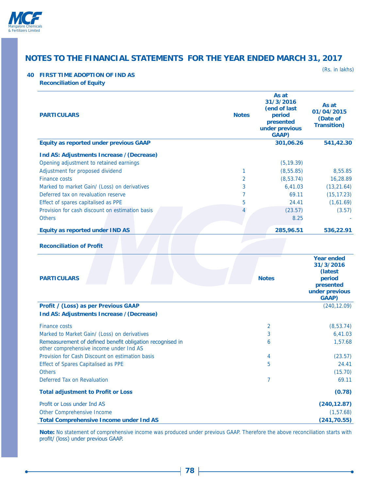

(Rs. in lakhs)

### **40 FIRST TIME ADOPTION OF IND AS**

| <b>Reconciliation of Equity</b> |  |
|---------------------------------|--|
|---------------------------------|--|

| <b>PARTICULARS</b>                                                                                                 | <b>Notes</b>        | As at<br>31/3/2016<br>(end of last<br>period<br>presented<br>under previous<br><b>GAAP</b> ) | As at<br>01/04/2015<br>(Date of<br><b>Transition</b> )                                                      |
|--------------------------------------------------------------------------------------------------------------------|---------------------|----------------------------------------------------------------------------------------------|-------------------------------------------------------------------------------------------------------------|
| <b>Equity as reported under previous GAAP</b>                                                                      |                     | 301,06.26                                                                                    | 541,42.30                                                                                                   |
| Ind AS: Adjustments Increase / (Decrease)<br>Opening adjustment to retained earnings                               |                     | (5, 19.39)                                                                                   |                                                                                                             |
| Adjustment for proposed dividend<br><b>Finance costs</b>                                                           | 1<br>$\overline{2}$ | (8, 55.85)<br>(8, 53.74)                                                                     | 8,55.85<br>16,28.89                                                                                         |
| Marked to market Gain/ (Loss) on derivatives                                                                       | 3                   | 6,41.03                                                                                      | (13, 21.64)                                                                                                 |
| Deferred tax on revaluation reserve                                                                                | 7                   | 69.11                                                                                        | (15, 17.23)                                                                                                 |
| Effect of spares capitalised as PPE                                                                                | 5                   | 24.41                                                                                        | (1,61.69)                                                                                                   |
| Provision for cash discount on estimation basis                                                                    |                     | (23.57)                                                                                      | (3.57)                                                                                                      |
| <b>Others</b>                                                                                                      |                     | 8.25                                                                                         |                                                                                                             |
| <b>Equity as reported under IND AS</b>                                                                             |                     | 285,96.51                                                                                    | 536,22.91                                                                                                   |
| <b>Reconciliation of Profit</b><br><b>PARTICULARS</b><br><b>Profit / (Loss) as per Previous GAAP</b>               |                     | <b>Notes</b>                                                                                 | <b>Year ended</b><br>31/3/2016<br>(latest<br>period<br>presented<br>under previous<br>GAAP)<br>(240, 12.09) |
| Ind AS: Adjustments Increase / (Decrease)                                                                          |                     |                                                                                              |                                                                                                             |
| <b>Finance costs</b>                                                                                               |                     | $\overline{2}$                                                                               | (8, 53.74)                                                                                                  |
| Marked to Market Gain/ (Loss) on derivatives                                                                       |                     | 3                                                                                            | 6,41.03                                                                                                     |
| Remeasurement of defined benefit obligation recognised in<br>other comprehensive income under Ind AS               |                     | 6                                                                                            | 1,57.68                                                                                                     |
| Provision for Cash Discount on estimation basis                                                                    |                     | 4                                                                                            | (23.57)                                                                                                     |
| <b>Effect of Spares Capitalised as PPE</b>                                                                         |                     | 5                                                                                            | 24.41                                                                                                       |
| <b>Others</b>                                                                                                      |                     |                                                                                              | (15.70)                                                                                                     |
| Deferred Tax on Revaluation                                                                                        |                     | 7                                                                                            | 69.11                                                                                                       |
| <b>Total adjustment to Profit or Loss</b>                                                                          |                     |                                                                                              | (0.78)                                                                                                      |
| Profit or Loss under Ind AS<br><b>Other Comprehensive Income</b><br><b>Total Comprehensive Income under Ind AS</b> |                     |                                                                                              | (240, 12.87)<br>(1, 57.68)<br>(241, 70.55)                                                                  |

**Note:** No statement of comprehensive income was produced under previous GAAP. Therefore the above reconciliation starts with profit/ (loss) under previous GAAP.

-0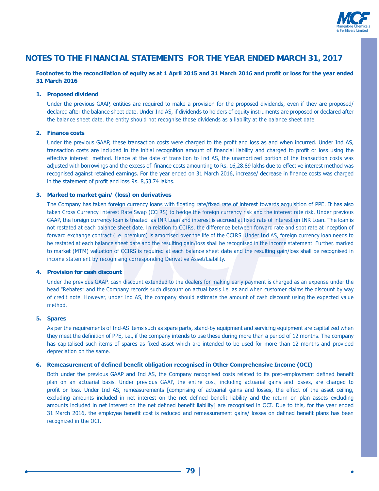

#### Footnotes to the reconciliation of equity as at 1 April 2015 and 31 March 2016 and profit or loss for the year ended **31 March 2016**

#### **1. Proposed dividend**

Under the previous GAAP, entities are required to make a provision for the proposed dividends, even if they are proposed/ declared after the balance sheet date. Under Ind AS, if dividends to holders of equity instruments are proposed or declared after the balance sheet date, the entity should not recognise those dividends as a liability at the balance sheet date.

#### **2. Finance costs**

Under the previous GAAP, these transaction costs were charged to the profit and loss as and when incurred. Under Ind AS, transaction costs are included in the initial recognition amount of financial liability and charged to profit or loss using the effective interest method. Hence at the date of transition to Ind AS, the unamortized portion of the transaction costs was adjusted with borrowings and the excess of finance costs amounting to Rs. 16,28.89 lakhs due to effective interest method was recognised against retained earnings. For the year ended on 31 March 2016, increase/ decrease in finance costs was charged in the statement of profit and loss Rs. 8,53.74 lakhs.

#### **3. Marked to market gain/ (loss) on derivatives**

The Company has taken foreign currency loans with floating rate/fixed rate of interest towards acquisition of PPE. It has also taken Cross Currency Interest Rate Swap (CCIRS) to hedge the foreign currency risk and the interest rate risk. Under previous GAAP, the foreign currency loan is treated as INR Loan and interest is accrued at fixed rate of interest on INR Loan. The loan is not restated at each balance sheet date. In relation to CCIRs, the difference between forward rate and spot rate at inception of forward exchange contract (i.e. premium) is amortised over the life of the CCIRS. Under Ind AS, foreign currency loan needs to be restated at each balance sheet date and the resulting gain/loss shall be recognised in the income statement. Further, marked to market (MTM) valuation of CCIRS is required at each balance sheet date and the resulting gain/loss shall be recognised in income statement by recognising corresponding Derivative Asset/Liability.

#### **4. Provision for cash discount**

 Under the previous GAAP, cash discount extended to the dealers for making early payment is charged as an expense under the head "Rebates" and the Company records such discount on actual basis i.e. as and when customer claims the discount by way of credit note. However, under Ind AS, the company should estimate the amount of cash discount using the expected value method.

#### **5. Spares**

As per the requirements of Ind-AS items such as spare parts, stand-by equipment and servicing equipment are capitalized when they meet the definition of PPE, i.e., if the company intends to use these during more than a period of 12 months. The company has capitalised such items of spares as fixed asset which are intended to be used for more than 12 months and provided depreciation on the same.

#### 6. Remeasurement of defined benefit obligation recognised in Other Comprehensive Income (OCI)

Both under the previous GAAP and Ind AS, the Company recognised costs related to its post-employment defined benefit plan on an actuarial basis. Under previous GAAP, the entire cost, including actuarial gains and losses, are charged to profit or loss. Under Ind AS, remeasurements [comprising of actuarial gains and losses, the effect of the asset ceiling, excluding amounts included in net interest on the net defined benefit liability and the return on plan assets excluding amounts included in net interest on the net defined benefit liability] are recognised in OCI. Due to this, for the year ended 31 March 2016, the employee benefit cost is reduced and remeasurement gains/ losses on defined benefit plans has been recognized in the OCI.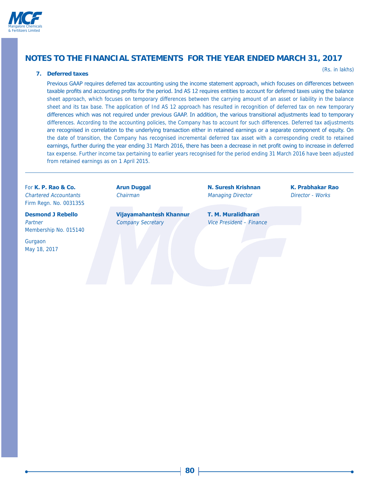

#### **7. Deferred taxes**

(Rs. in lakhs)

Previous GAAP requires deferred tax accounting using the income statement approach, which focuses on differences between taxable profits and accounting profits for the period. Ind AS 12 requires entities to account for deferred taxes using the balance sheet approach, which focuses on temporary differences between the carrying amount of an asset or liability in the balance sheet and its tax base. The application of Ind AS 12 approach has resulted in recognition of deferred tax on new temporary differences which was not required under previous GAAP. In addition, the various transitional adjustments lead to temporary differences. According to the accounting policies, the Company has to account for such differences. Deferred tax adjustments are recognised in correlation to the underlying transaction either in retained earnings or a separate component of equity. On the date of transition, the Company has recognised incremental deferred tax asset with a corresponding credit to retained earnings, further during the year ending 31 March 2016, there has been a decrease in net profit owing to increase in deferred tax expense. Further income tax pertaining to earlier years recognised for the period ending 31 March 2016 have been adjusted from retained earnings as on 1 April 2015.

Chartered Accountants Chairman Managing Director Director - Works Firm Regn. No. 003135S

Membership No. 015140

Gurgaon May 18, 2017

**Desmond J Rebello Vijayamahantesh Khannur** T. M. Muralidharan Partner Company Secretary Vice President – Finance

For K. P. Rao & Co. **Commence Arun Duggal** Commence A. Suresh Krishnan K. Prabhakar Rao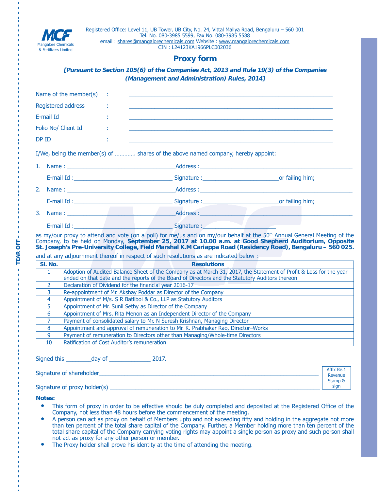

### **Proxy form**

### **[Pursuant to Section 105(6) of the Companies Act, 2013 and Rule 19(3) of the Companies (Management and Administration) Rules, 2014]**

|                     | Name of the member(s)                                                                                                                                                                                                 |  |                                                                                                                                                                                                                                     |                                                                                                                                                                                                                                                                                                                                                             |  |  |
|---------------------|-----------------------------------------------------------------------------------------------------------------------------------------------------------------------------------------------------------------------|--|-------------------------------------------------------------------------------------------------------------------------------------------------------------------------------------------------------------------------------------|-------------------------------------------------------------------------------------------------------------------------------------------------------------------------------------------------------------------------------------------------------------------------------------------------------------------------------------------------------------|--|--|
|                     | Registered address                                                                                                                                                                                                    |  |                                                                                                                                                                                                                                     |                                                                                                                                                                                                                                                                                                                                                             |  |  |
| E-mail Id           |                                                                                                                                                                                                                       |  |                                                                                                                                                                                                                                     |                                                                                                                                                                                                                                                                                                                                                             |  |  |
| Folio No/ Client Id |                                                                                                                                                                                                                       |  | the contract of the contract of the contract of the contract of the contract of the contract of the contract of                                                                                                                     |                                                                                                                                                                                                                                                                                                                                                             |  |  |
| DP ID               |                                                                                                                                                                                                                       |  |                                                                                                                                                                                                                                     |                                                                                                                                                                                                                                                                                                                                                             |  |  |
|                     |                                                                                                                                                                                                                       |  | I/We, being the member(s) of  shares of the above named company, hereby appoint:                                                                                                                                                    |                                                                                                                                                                                                                                                                                                                                                             |  |  |
|                     |                                                                                                                                                                                                                       |  | 1. Name: 1. 2008. [1] Address : 2008. [1] Address : 2008. [1] Address : 2008. [1] Address : 2008. [1] Address : 2008. [1] Address : 2008. [1] Address : 2008. [1] Address : 2008. [1] Address : 2008. [1] Address : 2008. [1]       |                                                                                                                                                                                                                                                                                                                                                             |  |  |
|                     |                                                                                                                                                                                                                       |  | E-mail Id: contract to the contract of the Signature : Contract of the contract of failing him;                                                                                                                                     |                                                                                                                                                                                                                                                                                                                                                             |  |  |
|                     |                                                                                                                                                                                                                       |  |                                                                                                                                                                                                                                     |                                                                                                                                                                                                                                                                                                                                                             |  |  |
|                     |                                                                                                                                                                                                                       |  |                                                                                                                                                                                                                                     |                                                                                                                                                                                                                                                                                                                                                             |  |  |
|                     |                                                                                                                                                                                                                       |  | 3. Name: <u>Address:</u> Address: Address: Address: Address: Address: Address: Address: Address: Address: Address: Address: Address: Address: Address: Address: Address: Address: Address: Address: Address: Address: Address: Addr |                                                                                                                                                                                                                                                                                                                                                             |  |  |
|                     |                                                                                                                                                                                                                       |  | E-mail Id : Signature : Signature : Signature : Signature : Signature : Signature : Signature : Signature : Signature : Signature : Signature : Signature : Signature : Signature : Signature : Signature : Signature : Signat      |                                                                                                                                                                                                                                                                                                                                                             |  |  |
|                     |                                                                                                                                                                                                                       |  |                                                                                                                                                                                                                                     | as my/our proxy to attend and vote (on a poll) for me/us and on my/our behalf at the 50 <sup>th</sup> Annual General Meeting of the<br>Company, to be held on Monday, September 25, 2017 at 10.00 a.m. at Good Shepherd Auditorium, Opposite<br>St. Joseph's Pre-University College, Field Marshal K.M Cariappa Road (Residency Road), Bengaluru - 560 025. |  |  |
|                     |                                                                                                                                                                                                                       |  | and at any adjournment thereof in respect of such resolutions as are indicated below :                                                                                                                                              |                                                                                                                                                                                                                                                                                                                                                             |  |  |
| SI. No.             |                                                                                                                                                                                                                       |  | <b>Resolutions</b>                                                                                                                                                                                                                  |                                                                                                                                                                                                                                                                                                                                                             |  |  |
| $\mathbf{1}$        | Adoption of Audited Balance Sheet of the Company as at March 31, 2017, the Statement of Profit & Loss for the year<br>ended on that date and the reports of the Board of Directors and the Statutory Auditors thereon |  |                                                                                                                                                                                                                                     |                                                                                                                                                                                                                                                                                                                                                             |  |  |
| 2                   | Declaration of Dividend for the financial year 2016-17                                                                                                                                                                |  |                                                                                                                                                                                                                                     |                                                                                                                                                                                                                                                                                                                                                             |  |  |
| 3                   | Re-appointment of Mr. Akshay Poddar as Director of the Company                                                                                                                                                        |  |                                                                                                                                                                                                                                     |                                                                                                                                                                                                                                                                                                                                                             |  |  |
| 4                   | Appointment of M/s. S R Batliboi & Co., LLP as Statutory Auditors                                                                                                                                                     |  |                                                                                                                                                                                                                                     |                                                                                                                                                                                                                                                                                                                                                             |  |  |
| 5                   | Appointment of Mr. Sunil Sethy as Director of the Company                                                                                                                                                             |  |                                                                                                                                                                                                                                     |                                                                                                                                                                                                                                                                                                                                                             |  |  |
| 6                   | Appointment of Mrs. Rita Menon as an Independent Director of the Company                                                                                                                                              |  |                                                                                                                                                                                                                                     |                                                                                                                                                                                                                                                                                                                                                             |  |  |
| 7                   | Payment of consolidated salary to Mr. N Suresh Krishnan, Managing Director                                                                                                                                            |  |                                                                                                                                                                                                                                     |                                                                                                                                                                                                                                                                                                                                                             |  |  |
| 8                   | Appointment and approval of remuneration to Mr. K. Prabhakar Rao, Director-Works                                                                                                                                      |  |                                                                                                                                                                                                                                     |                                                                                                                                                                                                                                                                                                                                                             |  |  |
| 9                   | Payment of remuneration to Directors other than Managing/Whole-time Directors                                                                                                                                         |  |                                                                                                                                                                                                                                     |                                                                                                                                                                                                                                                                                                                                                             |  |  |
|                     | Ratification of Cost Auditor's remuneration                                                                                                                                                                           |  |                                                                                                                                                                                                                                     |                                                                                                                                                                                                                                                                                                                                                             |  |  |

6LJQHGWKLVBBBBBBBBGD\RIBBBBBBBBBBBBB

Signature of shareholder and the state of shareholder

Signature of proxy holder(s)  $\equiv$ 

**Notes:**

**– – – – – – – – – – – – – – – – – – – – –– –– – – – – – –– – – – – – – – – – –– – – – – – – TEAR OFF – – – – – –– – – –– – – – – – – – – – –– – – – – – – – – – –– – – – – – – – – – – – – – –– – – –** 

**TEAR OFF** 

л

• This form of proxy in order to be effective should be duly completed and deposited at the Registered Office of the Company, not less than 48 hours before the commencement of the meeting.

Affix Re.1 Revenue Stamp & sign

- A person can act as proxy on behalf of Members upto and not exceeding fifty and holding in the aggregate not more than ten percent of the total share capital of the Company. Further, a Member holding more than ten percent of the total share capital of the Company carrying voting rights may appoint a single person as proxy and such person shall not act as proxy for any other person or member.
- The Proxy holder shall prove his identity at the time of attending the meeting.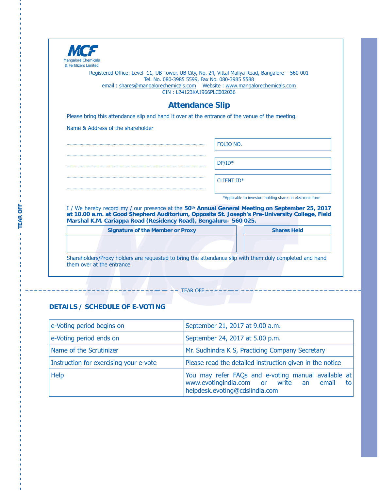| & Fertilizers Limited<br>Registered Office: Level 11, UB Tower, UB City, No. 24, Vittal Mallya Road, Bangalore – 560 001                                                                                                                                                         |                                                            |
|----------------------------------------------------------------------------------------------------------------------------------------------------------------------------------------------------------------------------------------------------------------------------------|------------------------------------------------------------|
| Tel. No. 080-3985 5599, Fax No. 080-3985 5588                                                                                                                                                                                                                                    |                                                            |
| CIN: L24123KA1966PLC002036                                                                                                                                                                                                                                                       |                                                            |
|                                                                                                                                                                                                                                                                                  |                                                            |
| <b>Attendance Slip</b>                                                                                                                                                                                                                                                           |                                                            |
| Please bring this attendance slip and hand it over at the entrance of the venue of the meeting.                                                                                                                                                                                  |                                                            |
| Name & Address of the shareholder                                                                                                                                                                                                                                                |                                                            |
|                                                                                                                                                                                                                                                                                  |                                                            |
|                                                                                                                                                                                                                                                                                  | FOLIO NO.                                                  |
|                                                                                                                                                                                                                                                                                  |                                                            |
|                                                                                                                                                                                                                                                                                  | $DP/ID*$                                                   |
|                                                                                                                                                                                                                                                                                  |                                                            |
|                                                                                                                                                                                                                                                                                  | <b>CLIENT ID*</b>                                          |
|                                                                                                                                                                                                                                                                                  | *Applicable to investors holding shares in electronic form |
|                                                                                                                                                                                                                                                                                  |                                                            |
| I / We hereby record my / our presence at the 50 <sup>th</sup> Annual General Meeting on September 25, 2017<br>at 10.00 a.m. at Good Shepherd Auditorium, Opposite St. Joseph's Pre-University College, Field<br>Marshal K.M. Cariappa Road (Residency Road), Bengaluru-560 025. |                                                            |
| <b>Signature of the Member or Proxy</b>                                                                                                                                                                                                                                          | <b>Shares Held</b>                                         |
|                                                                                                                                                                                                                                                                                  |                                                            |

### **DETAILS / SCHEDULE OF E-VOTING**

**– – – – – – – – – – – – – – – – – – – – – – – – – – – –– –– – – – – – –– – – – – – – – – – –– – – – – – – TEAR OFF – – – – – –– – – –– – – – – – – – – – –– – – – – – – – – – –– – – – – – – – – – – –**

TEAR OFF-

| e-Voting period begins on              | September 21, 2017 at 9.00 a.m.                                                                                                            |
|----------------------------------------|--------------------------------------------------------------------------------------------------------------------------------------------|
| e-Voting period ends on                | September 24, 2017 at 5.00 p.m.                                                                                                            |
| Name of the Scrutinizer                | Mr. Sudhindra K S, Practicing Company Secretary                                                                                            |
| Instruction for exercising your e-vote | Please read the detailed instruction given in the notice                                                                                   |
| <b>Help</b>                            | You may refer FAQs and e-voting manual available at<br>www.evotingindia.com or write an<br>email<br>to l<br>helpdesk.evoting@cdslindia.com |

 $+ - - - -$  TEAR OFF $- -$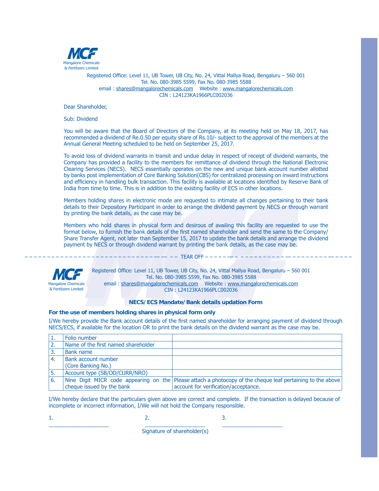

Registered Office: Level 11, UB Tower, UB City, No. 24, Vittal Mallya Road, Bengaluru - 560 001 Tel. No. 080-3985 5599, Fax No. 080-3985 5588 HPDLOVKDUHV#PDQJDORUHFKHPLFDOVFRP:HEVLWHZZZPDQJDORUHFKHPLFDOVFRP CIN: L24123KA1966PLC002036

Dear Shareholder.

Sub: Dividend

You will be aware that the Board of Directors of the Company, at its meeting held on May 18, 2017, has recommended a dividend of Re.0.50 per equity share of Rs.10/- subject to the approval of the members at the Annual General Meeting scheduled to be held on September 25, 2017.

To avoid loss of dividend warrants in transit and undue delay in respect of receipt of dividend warrants, the Company has provided a facility to the members for remittance of dividend through the National Electronic Clearing Services (NECS). NECS essentially operates on the new and unique bank account number allotted by banks post implementation of Core Banking Solution(CBS) for centralized processing on inward instructions and efficiency in handling bulk transaction. This facility is available at locations identified by Reserve Bank of India from time to time. This is in addition to the existing facility of ECS in other locations.

Members holding shares in electronic mode are requested to intimate all changes pertaining to their bank details to their Depository Participant in order to arrange the dividend payment by NECS or through warrant by printing the bank details, as the case may be.

Members who hold shares in physical form and desirous of availing this facility are requested to use the format below, to furnish the bank details of the first named shareholder and send the same to the Company/ Share Transfer Agent, not later than September 15, 2017 to update the bank details and arrange the dividend payment by NECS or through dividend warrant by printing the bank details, as the case may be.

#### $- - -$  TEAR OFF $- - - -$



Registered Office: Level 11, UB Tower, UB City, No. 24, Vittal Mallya Road, Bengaluru - 560 001 Tel. No. 080-3985 5599, Fax No. 080-3985 5588 HPDLOVKDUHV#PDQJDORUHFKHPLFDOVFRP:HEVLWHZZZPDQJDORUHFKHPLFDOVFRP CIN: L24123KA1966PLC002036

#### **NECS/ECS Mandate/Bank details updation Form**

#### **For the use of members holding shares in physical form only**

I/We hereby provide the Bank account details of the first named shareholder for arranging payment of dividend through NECS/ECS, if available for the location OR to print the bank details on the dividend warrant as the case may be.

|    | Folio number                        |                                                                                                            |
|----|-------------------------------------|------------------------------------------------------------------------------------------------------------|
|    | Name of the first named shareholder |                                                                                                            |
|    | Bank name                           |                                                                                                            |
| 4. | Bank account number                 |                                                                                                            |
|    | (Core Banking No.)                  |                                                                                                            |
|    | Account type (SB/OD/CURR/NRO)       |                                                                                                            |
| ь. |                                     | Nine Digit MICR code appearing on the Please attach a photocopy of the cheque leaf pertaining to the above |
|    | cheque issued by the bank           | account for verification/acceptance.                                                                       |

I/We hereby declare that the particulars given above are correct and complete. If the transaction is delayed because of incomplete or incorrect information, I/We will not hold the Company responsible.

 $\sim$  2.  $\sim$  3.

BBBBBBBBBBBBBBBBBBBBBBBBBBBBBBBBBBBBBBBBBBBBBBBBBBBBBBBBBBBB

Signature of shareholder(s)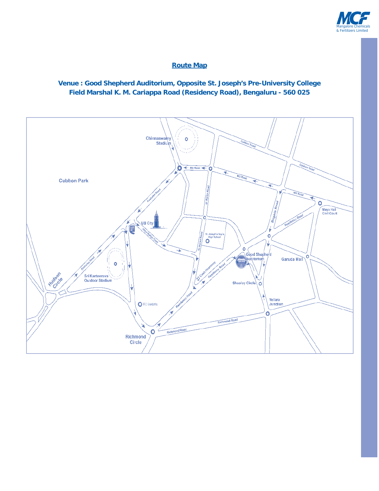

### **Route Map**

### **Venue : Good Shepherd Auditorium, Opposite St. Joseph's Pre-University College Field Marshal K. M. Cariappa Road (Residency Road), Bengaluru - 560 025**